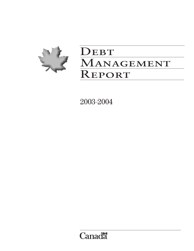

# DEBT MANAGEMENT Report

2003–2004

**Canadä**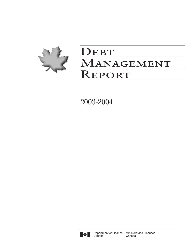

# DEBT MANAGEMENT REPORT

2003–2004

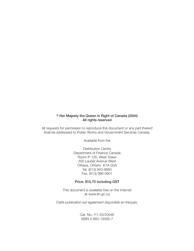# © Her Majesty the Queen in Right of Canada (2004) All rights reserved

All requests for permission to reproduce this document or any part thereof shall be addressed to Public Works and Government Services Canada.

Available from the

Distribution Centre Department of Finance Canada Room P-135, West Tower 300 Laurier Avenue West Ottawa, Ontario K1A 0G5 Tel: (613) 943-8665 Fax: (613) 996-0901

## Price: \$10.70 including GST

This document is available free on the Internet at www.fin.gc.ca

*Cette publication est également disponible en français.*

Cat. No.: F1-33/2004E ISBN 0-660-19395-7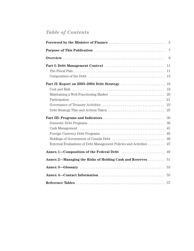# *Table of Contents*

|                                                                 | $\overline{7}$                   |
|-----------------------------------------------------------------|----------------------------------|
|                                                                 | 9                                |
|                                                                 | 11<br>11                         |
|                                                                 | 13                               |
|                                                                 | 16<br>16<br>20<br>21<br>23<br>25 |
|                                                                 | 30                               |
| External Evaluations of Debt Management Policies and Activities | 30<br>41<br>45<br>46<br>47       |
|                                                                 | 49                               |
| Annex 2—Managing the Risks of Holding Cash and Reserves         | 51                               |
|                                                                 | 53                               |
|                                                                 | 55                               |
|                                                                 | 57                               |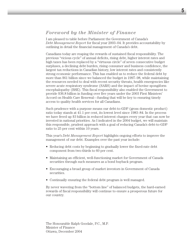# *Foreword by the Minister of Finance*

I am pleased to table before Parliament the Government of Canada's *Debt Management Report* for fiscal year 2003–04. It provides accountability by outlining in detail the financial management of Canada's debt.

Canadians today are reaping the rewards of sustained fiscal responsibility. The previous "vicious cycle" of annual deficits, rising debt, higher interest rates and high taxes has been replaced by a "virtuous circle" of seven consecutive budget surpluses, a declining debt burden, rising consumer and business confidence, the largest tax reductions in Canadian history, low interest rates and consistently strong economic performance. This has enabled us to reduce the federal debt by more than \$61 billion since we balanced the budget in 1997–98, while maintaining the resources needed to deal with recent security threats, health emergencies like severe acute respiratory syndrome (SARS) and the impact of bovine spongiform encephalopathy (BSE). This fiscal responsibility also enabled the Government to provide \$36.8 billion in funding over five years under the 2003 First Ministers' Accord on Health Care Renewal—funding that will be key to ensuring timely access to quality health services for all Canadians.

Such prudence with a purpose means our debt-to-GDP (gross domestic product) ratio today stands at 41.1 per cent, its lowest level since 1983–84. In the process we have freed up \$3 billion in reduced interest charges every year that can now be invested in national priorities. As I indicated in the 2004 budget, we will maintain this responsible, prudent approach with a goal of reducing Canada's debt-to-GDP ratio to 25 per cent within 10 years.

This year's *Debt Management Report* highlights ongoing efforts to improve the management of our debt. Examples over the past year include:

- Reducing debt costs by beginning to gradually lower the fixed-rate debt component from two-thirds to 60 per cent.
- Maintaining an efficient, well-functioning market for Government of Canada securities through such measures as a bond buyback program.
- Encouraging a broad group of market investors in Government of Canada securities.
- Continually ensuring the federal debt program is well managed.

By never wavering from the "bottom line" of balanced budgets, the hard-earned rewards of fiscal responsibility will continue to ensure a prosperous future for our country.

The Honourable Ralph Goodale, P.C., M.P. Minister of Finance Ottawa, December 2004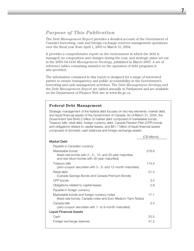# *Purpose of This Publication*

The *Debt Management Report* provides a detailed account of the Government of Canada's borrowing, cash and foreign exchange reserves management operations over the fiscal year from April 1, 2003 to March 31, 2004.

It provides a comprehensive report on the environment in which the debt is managed, its composition and changes during the year, and strategic plans set out in the 2003–04 *Debt Management Strategy*, published in March 2003. A set of reference tables containing statistics on the operation of debt programs is also provided.

The information contained in this report is designed for a range of interested parties to ensure transparency and public accountability in the Government's borrowing and cash management activities. The *Debt Management Strategy* and the *Debt Management Report* are tabled annually in Parliament and are available on the Department of Finance Web site at www.fin.gc.ca.

# **Federal Debt Management**

Strategic management of the federal debt focuses on two key elements: market debt, and liquid financial assets of the Government of Canada. As of March 31, 2004, the Government had \$440.2 billion of market debt composed of marketable bonds, Treasury bills, retail debt, foreign currency debt, Canada Pension Plan (CPP) bonds and obligations related to capital leases, and \$61.7 billion of liquid financial assets composed of domestic cash balances and foreign exchange assets.

|                                                                                                                                 | (C\$ billions) |
|---------------------------------------------------------------------------------------------------------------------------------|----------------|
| Market Debt                                                                                                                     |                |
| Payable in Canadian currency                                                                                                    |                |
| Marketable bonds<br>(fixed-rate bonds with 2-, 5-, 10- and 30-year maturities<br>and real return bonds with 30-year maturities) | 278.8          |
| Treasury bills<br>(zero-coupon securities with 3-, 6- and 12-month maturities)                                                  | 113.4          |
| Retail debt<br>(Canada Savings Bonds and Canada Premium Bonds)                                                                  | 21.3           |
| CPP bonds                                                                                                                       | 3.4            |
| Obligations related to capital leases                                                                                           | 2.8            |
| Payable in foreign currency                                                                                                     |                |
| Marketable bonds and foreign currency notes<br>(fixed-rate bonds, Canada notes and Euro Medium-Term Notes)                      | 17.1           |
| Canada bills<br>(zero-coupon securities with 1- to 9-month maturities)                                                          | 3.4            |
| <b>Liquid Financial Assets</b>                                                                                                  |                |
| Cash                                                                                                                            | 20.5           |
| Foreign exchange reserves                                                                                                       | 412            |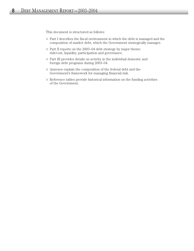This document is structured as follows:

- Part I describes the fiscal environment in which the debt is managed and the composition of market debt, which the Government strategically manages.
- $\Box$  Part II reports on the 2003–04 debt strategy by major theme: risk/cost, liquidity, participation and governance.
- Part III provides details on activity in the individual domestic and foreign debt programs during 2003–04.
- Annexes explain the composition of the federal debt and the Government's framework for managing financial risk.
- Reference tables provide historical information on the funding activities of the Government.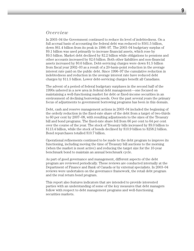# *Overview*

In 2003–04 the Government continued to reduce its level of indebtedness. On a full accrual basis of accounting the federal debt was reduced to \$501.5 billion, down \$61.4 billion from its peak in 1996–97. The 2003–04 budgetary surplus of \$9.1 billion was used primarily to increase financial assets, which rose by \$9.5 billion. Market debt declined by \$2.2 billion while obligations to pensions and other accounts increased by \$2.6 billion. Both other liabilities and non-financial assets increased by \$0.6 billion. Debt-servicing charges were down \$1.5 billion from fiscal year 2002–03 as a result of a 20-basis-point reduction in the average interest rate paid on the public debt. Since 1996–97 the cumulative reduction in indebtedness and reduction in the average interest rate have reduced debt charges by \$11.5 billion. Lower debt-servicing charges benefit all Canadians.

The advent of a period of federal budgetary surpluses in the second half of the 1990s ushered in a new area in federal debt management—one focused on maintaining a well-functioning market for debt or fixed-income securities in an environment of declining borrowing needs. Over the past several years the primary focus of adjustments to government borrowing programs has been in this domain.

Debt, cash and reserve management actions in 2003–04 included the beginning of the orderly reduction in the fixed-rate share of the debt from a target of two-thirds to 60 per cent by 2007–08, with resulting adjustments to the sizes of the Treasury bill and bond programs. The fixed-rate share fell from 66 per cent to 64 per cent over the course of the year. The stock of Treasury bills increased by \$9.0 billion to \$113.4 billion, while the stock of bonds declined by \$10.9 billion to \$258.2 billion. Bond repurchases totalled \$10.7 billion.

Operational refinements continued to be made to the debt program to improve its functioning, including moving the time of Treasury bill auctions to the morning (when the market is most active) and reducing the target size for the 10-year benchmark bond to maintain an annual benchmark cycle.

As part of good governance and management, different aspects of the debt program are reviewed periodically. These reviews are conducted internally at the Department of Finance and Bank of Canada or by external specialists. In 2003–04 reviews were undertaken on the governance framework, the retail debt program and the real return bond program.

This report also features indicators that are intended to provide interested parties with an understanding of some of the key measures that debt managers follow with respect to debt management programs and well-functioning securities markets.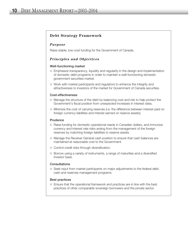# **Debt Strategy Framework**

#### *Purpose*

Raise stable, low-cost funding for the Government of Canada.

## *Principles and Objectives*

#### Well-functioning market

- Emphasize transparency, liquidity and regularity in the design and implementation of domestic debt programs in order to maintain a well-functioning domestic government securities market.
- $\Box$  Work with market participants and regulators to enhance the integrity and attractiveness to investors of the market for Government of Canada securities.

#### Cost-effectiveness

- Manage the structure of the debt by balancing cost and risk to help protect the Government's fiscal position from unexpected increases in interest rates.
- Minimize the cost of carrying reserves (i.e. the difference between interest paid on foreign currency liabilities and interest earned on reserve assets).

#### Prudence

- Raise funding for domestic operational needs in Canadian dollars, and immunize currency and interest rate risks arising from the management of the foreign reserves by matching foreign liabilities to reserve assets.
- Manage the Receiver General cash position to ensure that cash balances are maintained at reasonable cost to the Government.
- Control credit risks through diversification.
- Borrow using a variety of instruments, a range of maturities and a diversified investor base.

#### **Consultations**

 $\Box$  Seek input from market participants on major adjustments to the federal debt, cash and reserves management programs.

#### Best practices

 $\Box$  Ensure that the operational framework and practices are in line with the best practices of other comparable sovereign borrowers and the private sector.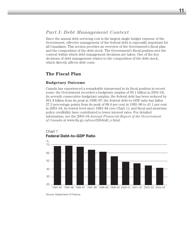# *Part I: Debt Management Context*

Since the annual debt-servicing cost is the largest single budget expense of the Government, effective management of the federal debt is especially important for all Canadians. This section provides an overview of the Government's fiscal plan and the composition of the debt stock. The Government's fiscal position sets the context within which debt management decisions are taken. One of the key decisions of debt management relates to the composition of the debt stock, which directly affects debt costs.

# **The Fiscal Plan**

# **Budgetary Outcome**

Canada has experienced a remarkable turnaround in its fiscal position in recent years: the Government recorded a budgetary surplus of \$9.1 billion in 2003–04, its seventh consecutive budgetary surplus; the federal debt has been reduced by \$61.4 billion from its peak in 1996–97; the federal debt-to-GDP ratio has fallen 27.3 percentage points from its peak of 68.4 per cent in 1995–96 to 41.1 per cent in 2003–04, its lowest level since 1983–84 (see Chart 1); and fiscal and monetary policy credibility have contributed to lower interest rates. For detailed information, see the 2003–04 *Annual Financial Report of the Government of Canada* at www.fin.gc.ca/toce/2004/afr\_e.html.



## Chart 1 **Federal Debt–to–GDP Ratio**

Source: Department of Finance.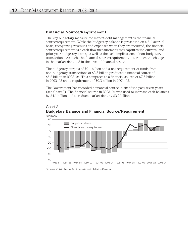## **Financial Source/Requirement**

The key budgetary measure for market debt management is the financial source/requirement. While the budgetary balance is presented on a full accrual basis, recognizing revenues and expenses when they are incurred, the financial source/requirement is a cash flow measurement that captures the current- and prior-year budgetary items, as well as the cash implications of non-budgetary transactions. As such, the financial source/requirement determines the changes in the market debt and in the level of financial assets.

The budgetary surplus of \$9.1 billion and a net requirement of funds from non-budgetary transactions of \$2.8 billion produced a financial source of \$6.2 billion in 2003–04. This compares to a financial source of \$7.6 billion in 2002–03 and a requirement of \$0.3 billion in 2001–02.

The Government has recorded a financial source in six of the past seven years (see Chart 2). The financial source in 2003–04 was used to increase cash balances by \$4.1 billion and to reduce market debt by \$2.2 billion.





Sources: Public Accounts of Canada and Statistics Canada.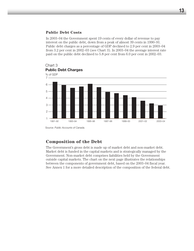## **Public Debt Costs**

In 2003–04 the Government spent 19 cents of every dollar of revenue to pay interest on the public debt, down from a peak of almost 39 cents in 1990–91. Public debt charges as a percentage of GDP declined to 2.9 per cent in 2003–04 from 3.2 per cent in 2002–03 (see Chart 3). In 2003–04 the average interest rate paid on the public debt declined to 5.8 per cent from 6.0 per cent in 2002–03.



Chart 3

Source: *Public Accounts of Canada.*

# **Composition of the Debt**

The Government's gross debt is made up of market debt and non-market debt. Market debt is funded in the capital markets and is strategically managed by the Government. Non-market debt comprises liabilities held by the Government outside capital markets. The chart on the next page illustrates the relationships between the components of government debt, based on the 2003–04 fiscal year. See Annex 1 for a more detailed description of the composition of the federal debt.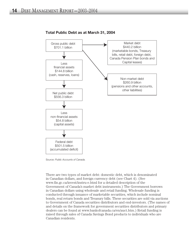

# **Total Public Debt as at March 31, 2004**

Source: *Public Accounts of Canada.*

There are two types of market debt: domestic debt, which is denominated in Canadian dollars, and foreign currency debt (see Chart 4). (See www.fin.gc.ca/invest/instru-e.html for a detailed description of the Government of Canada's market debt instruments.) The Government borrows in Canadian dollars using wholesale and retail funding. Wholesale funding is conducted through issuance of marketable securities, which include nominal bonds, real return bonds and Treasury bills. These securities are sold via auctions to Government of Canada securities distributors and end-investors. (The names of and details on the framework for government securities distributors and primary dealers can be found at www.bankofcanada.ca/en/auct.htm.) Retail funding is raised through sales of Canada Savings Bond products to individuals who are Canadian residents.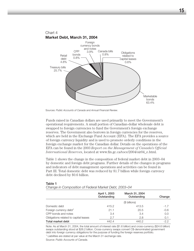

Sources: *Public Accounts of Canada* and *Annual Financial Review*

Funds raised in Canadian dollars are used primarily to meet the Government's operational requirements. A small portion of Canadian-dollar wholesale debt is swapped to foreign currencies to fund the Government's foreign exchange reserves. The Government also borrows in foreign currencies for the reserves, which are held in the Exchange Fund Account (EFA). The EFA provides a source of foreign currency liquidity and is used to promote orderly conditions in the foreign exchange market for the Canadian dollar. Details on the operations of the EFA can be found in the 2003 *Report on the Management of Canada's Official International Reserves*, located at www.fin.gc.ca/toce/2004/oir04\_e.html.

Table 1 shows the change in the composition of federal market debt in 2003–04 by domestic and foreign debt programs. Further details of the changes in programs and indicators of debt management operations and activities can be found in Part III. Total domestic debt was reduced by \$1.7 billion while foreign currency debt declined by \$0.6 billion.

|                                       | April 1, 2003<br>Outstanding | March 31, 2004<br>Outstanding | Change |
|---------------------------------------|------------------------------|-------------------------------|--------|
|                                       |                              | (\$ billions)                 |        |
| Domestic debt                         | 415.2                        | 413.5                         | $-1.7$ |
| Foreign currency debt <sup>1</sup>    | 21.1                         | 20.5                          | $-0.6$ |
| CPP bonds and notes                   | 3.4                          | 3.4                           | 0.0    |
| Obligations related to capital leases | 2.7                          | 2.8                           | 0.1    |
| Total market debt                     | 442.4                        | 440.2                         | $-2.2$ |

Table 1 *Change in Composition of Federal Market Debt, 2003–04*

Note: As at March 31, 2004, the total amount of interest rate (\$1.6 billion) and cross-currency (\$24.6 billion) swaps outstanding stood at \$26.2 billion. Cross-currency swaps convert C\$-denominated government debt into foreign currency obligations for the purpose of funding the foreign reserves portfolio.

<sup>1</sup> Liabilities are stated at par value at the March 31 exchange rate.

Source: *Public Accounts of Canada.*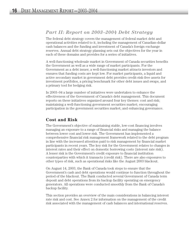# *Part II: Report on 2003–2004 Debt Strategy*

The federal debt strategy covers the management of federal market debt and operational activities related to it, including the management of Canadian-dollar cash balances and the funding and investment of Canada's foreign exchange reserves. Annual debt strategy planning sets out the objectives for the year in each of these domains and provides for a series of initiatives.

A well-functioning wholesale market in Government of Canada securities benefits the Government as well as a wide range of market participants. For the Government as a debt issuer, a well-functioning market attracts investors and ensures that funding costs are kept low. For market participants, a liquid and active secondary market in government debt provides credit-risk-free assets for investment portfolios, a pricing benchmark for other debt issues and swaps, and a primary tool for hedging risk.

In 2003–04 a large number of initiatives were undertaken to enhance the effectiveness of the Government of Canada's debt management. This document reports on these initiatives organized around four key themes: cost and risk; maintaining a well-functioning government securities market; encouraging participation in the government securities market; and enhancing governance.

# **Cost and Risk**

The Government's objective of maintaining stable, low-cost financing involves managing an exposure to a range of financial risks and managing the balance between lower cost and lower risk. The Government has implemented a comprehensive financial risk management framework related to the debt program in line with the increased attention paid to risk management by financial market participants in recent years. The key risk for the Government relates to changes in interest rates and their effect on domestic borrowing costs (interest rate risk). A lesser risk is the Government's credit exposure to financial institution counterparties with which it transacts (credit risk). There are also exposures to other types of risk, such as operational risks like the August 2003 blackout.

On August 14, 2003, the Bank of Canada took steps to ensure that the Government's cash and debt operations would continue to function throughout the period of the blackout. The Bank conducted several Government of Canada term deposit and debt operations from its backup facility operating on emergency generators. All operations were conducted smoothly from the Bank of Canada's backup facility.

This section provides an overview of the main considerations in balancing interest rate risk and cost. See Annex 2 for information on the management of the credit risk associated with the management of cash balances and international reserves.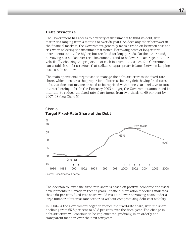#### **Debt Structure**

The Government has access to a variety of instruments to fund its debt, with maturities ranging from 3 months to over 30 years. As does any other borrower in the financial markets, the Government generally faces a trade-off between cost and risk when selecting the instruments it issues. Borrowing costs of longer-term instruments tend to be higher, but are fixed for long periods. On the other hand, borrowing costs of shorter-term instruments tend to be lower on average, but more volatile. By choosing the proportion of each instrument it issues, the Government can establish a debt structure that strikes an appropriate balance between keeping costs stable and low.

The main operational target used to manage the debt structure is the fixed-rate share, which measures the proportion of interest-bearing debt having fixed rates debt that does not mature or need to be repriced within one year—relative to total interest-bearing debt. In the February 2003 budget, the Government announced its intention to reduce the fixed-rate share target from two-thirds to 60 per cent by 2007–08 (see Chart 5).



# Chart 5 **Target Fixed-Rate Share of the Debt**

The decision to lower the fixed-rate share is based on positive economic and fiscal developments in Canada in recent years. Financial simulation modelling indicates that a 60-per-cent fixed-rate share would result in lower borrowing costs under a large number of interest rate scenarios without compromising debt cost stability.

In 2003–04 the Government began to reduce the fixed-rate share, with the share declining from 65.8 per cent to 63.8 per cent over the fiscal year. The change in debt structure will continue to be implemented gradually, in an orderly and transparent manner, over the next few years.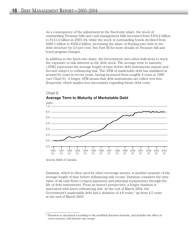As a consequence of the adjustment in the fixed-rate share, the stock of outstanding Treasury bills and cash management bills increased from \$104.4 billion to \$113.4 billion in 2003–04, while the stock of outstanding bonds declined from \$269.1 billion to \$258.2 billion, increasing the share of floating-rate debt in the debt structure by 2.0 per cent. See Part III for more details on Treasury bill and bond program changes.

In addition to the fixed-rate share, the Government uses other indicators to track the exposure to risk inherent in the debt stock. The average term to maturity (ATM) represents the average length of time before debt instruments mature and become subject to refinancing risk. The ATM of marketable debt has stabilized at around 61 ⁄2 years in recent years, having increased from roughly 4 years in 1990 (see Chart 6). A longer ATM means that debt instruments are rolled over less frequently, which implies less uncertainty regarding future debt costs.



# Chart 6 **Average Term to Maturity of Marketable Debt**

Source: Bank of Canada.

Duration, which is often used by other sovereign issuers, is another measure of the average length of time before refinancing risk occurs. Duration considers the time value of all cash flows (coupon payments and principal repayments) through the life of debt instruments. From an issuer's perspective, a longer duration is associated with lower refinancing risk. At the end of March 2004, the Government's marketable debt had a duration of  $4.8$  years,<sup>1</sup> up from  $4.5$  years at the end of March 2003.

<sup>&</sup>lt;sup>1</sup> Duration is calculated according to the modified duration formula, and includes the effect of cross-currency and interest rate swaps.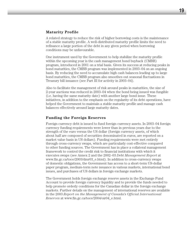## **Maturity Profile**

A related strategy to reduce the risk of higher borrowing costs is the maintenance of a stable maturity profile. A well-distributed maturity profile limits the need to refinance a large portion of the debt in any given period when borrowing conditions may be unfavourable.

One instrument used by the Government to help stabilize the maturity profile within the upcoming year is the cash management bond buyback (CMBB) program, introduced in 2001 on a trial basis. Given its success at reducing peaks in bond maturities, the CMBB program was implemented in 2003–04 on an ongoing basis. By reducing the need to accumulate high cash balances leading up to large bond maturities, the CMBB program also smoothes out seasonal fluctuations in Treasury bill issuance (see Part III for activity in 2003–04).

Also to facilitate the management of risk around peaks in maturities, the size of 2-year auctions was reduced in 2003–04 when the bond being issued was fungible (i.e. having the same maturity date) with another large bond issue. These initiatives, in addition to the emphasis on the regularity of its debt operations, have helped the Government to maintain a stable maturity profile and manage cash balances effectively around large maturity dates.

## **Funding the Foreign Reserves**

Foreign currency debt is issued to fund foreign currency assets. In 2003–04 foreign currency funding requirements were lower than in previous years due to the strength of the euro versus the US dollar (foreign currency assets, of which about half are composed of securities denominated in euros, are reported on a market value basis in US dollars). Funding requirements were met entirely through cross-currency swaps, which are particularly cost-effective compared to other funding sources. The Government has in place a collateral management framework to control the credit risk to financial institutions with which it executes swaps (see Annex 2 and the 2002–03 *Debt Management Report* at www.fin.gc.ca/toce/2003/dmr03\_e.html). In addition to cross-currency swaps of domestic obligations, the Government has access to a short-term US-dollar paper program, medium-term note issuance in various markets, international bond issues, and purchases of US dollars in foreign exchange markets.

The Government holds foreign exchange reserve assets in the Exchange Fund Account to provide foreign currency liquidity and to provide the funds needed to help promote orderly conditions for the Canadian dollar in the foreign exchange markets. Further details on the management of international reserves are available in the 2003 *Report on the Management of Canada's Official International Reserves* at www.fin.gc.ca/toce/2004/oir04\_e.html.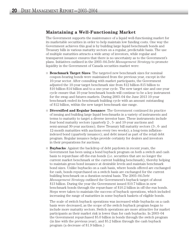# **Maintaining a Well-Functioning Market**

The Government supports the maintenance of a liquid well-functioning market for its marketable securities in order to help maintain low funding costs. One way the Government achieves this goal is by building large liquid benchmark bonds and Treasury bills in various maturity sectors on a regular, predictable basis. The use of multiple maturities attracts a wide array of investors, while regular and transparent issuance ensures that there is no uncertainty as to the Government's plans. Initiatives outlined in the 2003–04 *Debt Management Strategy* to promote liquidity in the Government of Canada securities market were:

- **Benchmark Target Sizes**: The targeted new benchmark sizes for nominal coupon-bearing bonds were maintained from the previous year, except in the 10-year sector. After consulting with market participants, the Government adjusted the 10-year target benchmark size from \$12 billion-\$15 billion to \$10 billion-\$14 billion and to a one-year cycle. The new target size and one-year cycle ensure that 10-year benchmark bonds will continue to be a key instrument for the swap and futures markets. During 2003–04 the June 2013 10-year benchmark ended its benchmark building cycle with an amount outstanding of \$12 billion, within the new target benchmark size range.
- **Diversified and Regular Issuance**: The Government continued its practice of issuing and building large liquid benchmarks in a variety of instruments and terms to maturity to target a diverse investor base. These instruments include four bond maturity sectors (quarterly 2-, 5- and 10-year auctions and semi-annual 30-year auctions); three Treasury bill maturity sectors (3-, 6- and 12-month maturities with auctions every two weeks); a long-term inflationindexed bond (quarterly issuance); and debt issued as part of the retail debt program. Regular issuance helps provide certainty for dealers and investors in their preparations for auctions.
- **Buybacks**: Against the backdrop of debt paydown in recent years, the Government has been using a bond buyback program on both a switch and cash basis to repurchase off-the-run bonds (i.e. securities that are no longer the current market benchmark or the current building benchmark), thereby helping to maintain gross bond issuance at desirable levels and maintain benchmark bond sizes. Unlike buybacks on a cash basis, where bonds offered are exchanged for cash, bonds repurchased on a switch basis are exchanged for the current building benchmark on a duration neutral basis. The 2003–04 *Debt Management Strategy* outlined the Government's buyback target of about \$13 billion. During the year the Government issued \$10.7 billion in new benchmark bonds through the repurchase of \$10.2 billion in off-the-run bonds. Steps were taken to maintain the success of buyback operations, which included increasing the range of maturities in some buyback baskets of eligible bonds.

The scale of switch buyback operations was increased while buybacks on a cash basis were decreased, as the scope of the switch buyback program began to include more maturity sectors. Switch operations are more attractive for market participants as their market risk is lower than for cash buybacks. In 2003–04 the Government repurchased \$5.0 billion in bonds through the switch program (in line with the previous year), and \$5.2 billion through the cash buyback program (a decrease of \$1.9 billion.)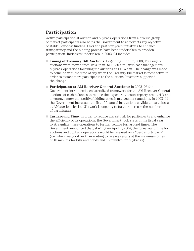# **Participation**

Active participation at auction and buyback operations from a diverse group of market participants also helps the Government to achieve its key objective of stable, low-cost funding. Over the past few years initiatives to enhance transparency and the bidding process have been undertaken to broaden participation. Initiatives undertaken in 2003–04 include:

- **Timing of Treasury Bill Auctions**: Beginning June 17, 2003, Treasury bill auctions were moved from 12:30 p.m. to 10:30 a.m., with cash management buyback operations following the auctions at 11:15 a.m. The change was made to coincide with the time of day when the Treasury bill market is most active in order to attract more participants to the auctions. Investors supported the change.
- **Participation at AM Receiver General Auctions**: In 2002–03 the Government introduced a collateralized framework for the AM Receiver General auctions of cash balances to reduce the exposure to counterparty credit risk and encourage more competitive bidding at cash management auctions. In 2003–04 the Government increased the list of financial institutions eligible to participate at AM auctions by 1 to 21; work is ongoing to further increase the number of participants.
- **Turnaround Time**: In order to reduce market risk for participants and enhance the efficiency of its operations, the Government took steps in the fiscal year to streamline these operations to further reduce turnaround times. The Government announced that, starting on April 1, 2004, the turnaround time for auctions and buyback operations would be released on a "best efforts basis" (i.e. when ready rather than waiting to release results at the maximum times of 10 minutes for bills and bonds and 15 minutes for buybacks).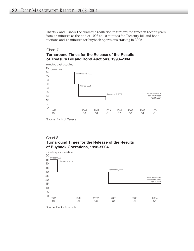Charts 7 and 8 show the dramatic reduction in turnaround times in recent years, from 45 minutes at the end of 1998 to 10 minutes for Treasury bill and bond auctions and 15 minutes for buyback operations starting in 2002.

# Chart 7 **Turnaround Times for the Release of the Results of Treasury Bill and Bond Auctions, 1998–2004**



Source: Bank of Canada.

# Chart 8 **Turnaround Times for the Release of the Results of Buyback Operations, 1998–2004**



Source: Bank of Canada.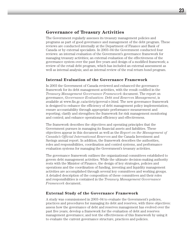# **Governance of Treasury Activities**

The Government regularly assesses its treasury management policies and programs as part of good governance and management of the debt program. These reviews are conducted internally at the Department of Finance and Bank of Canada or by external specialists. In 2003–04 the Government conducted four reviews: an internal evaluation of the Government's governance framework for managing treasury activities; an external evaluation of the effectiveness of the governance system over the past five years and design of a modified framework; a review of the retail debt program, which has included an external assessment as well as internal analysis; and an internal review of the real return bond program.

## **Internal Evaluation of the Governance Framework**

In 2003 the Government of Canada reviewed and enhanced the governance framework for its debt management activities, with the result codified in the *Treasury Management Governance Framework* document. The report on governance, *Governance Evaluation: Debt and Reserves Management*, is available at www.fin.gc.ca/activty/goveval-e.html. The new governance framework is designed to enhance the efficiency of debt management policy implementation; ensure accountability through appropriate performance measurement and reporting; clarify and strengthen the framework for risk management monitoring and control; and enhance operational efficiency and effectiveness.

The framework describes the objectives and operating principles that the Government pursues in managing its financial assets and liabilities. These objectives appear in this document as well as the *Report on the Management of Canada's Official International Reserves* and the Canada Investment and Savings annual report. In addition, the framework describes the authorities, roles and responsibilities, coordination and control systems, and performance evaluation systems for managing the Government's treasury activities.

The governance framework outlines the organizational committees established to govern debt management activities. While the ultimate decision-making authority rests with the Minister of Finance, the design of key strategies, policies and operations and the coordination of funding, investing and liquidity management activities are accomplished through several key committees and working groups. A detailed description of the composition of these committees and their roles and responsibilities is contained in the *Treasury Management Governance Framework* document.

## **External Study of the Governance Framework**

A study was commissioned in 2003–04 to evaluate the Government's policies, practices and procedures for managing its debt and reserves, with three objectives: assess how the governance of debt and reserves management has evolved over the past five years; develop a framework for the evaluation of debt and reserves management governance; and test the effectiveness of this framework by using it to evaluate the current governance structure, practices and policies.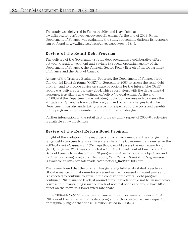The study was delivered in February 2004 and is available at www.fin.gc.ca/treas/goveev/govevrepvol1-e.html. At the end of 2003–04 the Department of Finance was evaluating the study's recommendations; its response can be found at www.fin.gc.ca/treas/goveev/govevres-e.html.

## **Review of the Retail Debt Program**

The delivery of the Government's retail debt program is a collaborative effort between Canada Investment and Savings (a special operating agency of the Department of Finance), the Financial Sector Policy Branch of the Department of Finance and the Bank of Canada.

As part of the Treasury Evaluation Program, the Department of Finance hired Cap Gemini Ernst & Young (CGEY) in September 2003 to assess the retail debt program and to provide advice on strategic options for the future. The CGEY report was delivered in January 2004. This report, along with the departmental response, is available at www.fin.gc.ca/activty/goveval-e.html. At the end of 2003–04 the Department was initiating public opinion research to assess the attitudes of Canadians towards the program and potential changes to it. The Department was also undertaking analysis of expected future costs and benefits of the program under a number of different program designs.

Further information on the retail debt program and a report of 2003–04 activities is available at www.csb.gc.ca.

## **Review of the Real Return Bond Program**

In light of the evolution in the macroeconomic environment and the change in the target debt structure to a lower fixed-rate share, the Government announced in the 2003–04 *Debt Management Strategy* that it would assess the real return bond (RRB) program. Work was conducted within the Department of Finance and the Bank of Canada to evaluate the RRB program relative to its stated objectives and to other borrowing programs. The report, *Real Return Bond Funding Review*, is available at www.bankofcanada.ca/en/notices\_fmd/rrb2003.htm.

The review found that the program has generally fulfilled its stated objectives. Global issuance of inflation-indexed securities has increased in recent years and is expected to continue to grow. In the context of the overall debt program, continued RRB issuance levels at around current levels should not be an immediate constraint in maintaining issuance levels of nominal bonds and would have little effect on the move to a lower fixed-rate share.

In the 2004–05 *Debt Management Strategy*, the Government announced that RRBs would remain a part of its debt program, with expected issuance equal to or marginally higher than the \$1.4 billion issued in 2003–04.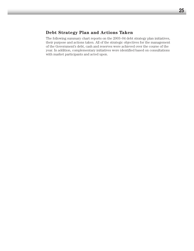# **Debt Strategy Plan and Actions Taken**

The following summary chart reports on the 2003–04 debt strategy plan initiatives, their purpose and actions taken. All of the strategic objectives for the management of the Government's debt, cash and reserves were achieved over the course of the year. In addition, complementary initiatives were identified based on consultations with market participants and acted upon.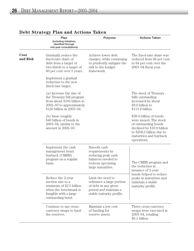|                                         | Plan<br>(including initiatives<br>identified through<br>mid-year consultations)                                                                                               | Purpose                                                                                                                     | <b>Actions Taken</b>                                                                                                                                                          |
|-----------------------------------------|-------------------------------------------------------------------------------------------------------------------------------------------------------------------------------|-----------------------------------------------------------------------------------------------------------------------------|-------------------------------------------------------------------------------------------------------------------------------------------------------------------------------|
| <b>Cost</b><br>and Risk                 | Gradually reduce the<br>fixed-rate share of<br>debt from a target of<br>two-thirds to a target of<br>60 per cent over 5 years.<br>Implement a gradual<br>reduction to the new | Achieve lower debt<br>charges, while continuing<br>to prudently mitigate the<br>risk to the budget<br>framework.            | The fixed-rate share was<br>reduced from 66 per cent<br>to 64 per cent over the<br>$2003-04$ fiscal year.                                                                     |
|                                         | fixed-rate target:<br>(a) Increase the size of<br>the Treasury bill program<br>from about \$105 billion in<br>2002-03 to approximately<br>\$120 billion in 2003-04.           |                                                                                                                             | The stock of Treasury<br>bills outstanding<br>increased by about<br>\$9.0 billion to<br>\$113.4 billion.                                                                      |
| (b) Issue roughly<br>amount in 2002-03. | \$40 billion of bonds in<br>$2003-04$ , similar to the                                                                                                                        |                                                                                                                             | \$39.4 billion of bonds<br>were issued. The stock<br>of outstanding bonds<br>declined by \$10.9 billion<br>to \$258.2 billion due to<br>maturities and buyback<br>operations. |
|                                         | Implement the cash<br>management bond<br>buyback (CMBB)<br>program on a regular<br>basis.                                                                                     | Smooth cash<br>requirements by<br>reducing peak cash<br>balances needed to<br>redeem upcoming<br>large maturities.          | The CMBB program and<br>the reduction in<br>issuance of 2-year                                                                                                                |
|                                         | Reduce the 2-year<br>auction size to a<br>minimum of \$2.5 billion<br>when the benchmark is<br>fungible with a large<br>outstanding bond.                                     | Limit the need to<br>refinance a large portion<br>of debt in any given<br>period and maintain a<br>stable maturity profile. | bonds helped to reduce<br>peaks in maturities and<br>maintain a stable<br>maturity profile.                                                                                   |
|                                         | Continue to use cross-<br>currency swaps to fund<br>the reserves.                                                                                                             | Maintain a low cost<br>of funding for<br>reserve assets.                                                                    | Three cross-currency<br>swaps were executed in<br>$2003-04$ , totalling<br>\$0.1 billion.                                                                                     |

# **Debt Strategy Plan and Actions Taken**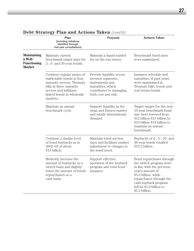| 27 |
|----|
|    |
|    |

|                                                                      | Plan<br>(including initiatives<br>identified through<br>mid-year consultations)                                                                                                    | Purpose                                                                                                                                  | <b>Actions Taken</b>                                                                                                                                                                                                           |
|----------------------------------------------------------------------|------------------------------------------------------------------------------------------------------------------------------------------------------------------------------------|------------------------------------------------------------------------------------------------------------------------------------------|--------------------------------------------------------------------------------------------------------------------------------------------------------------------------------------------------------------------------------|
| <b>Maintaining</b><br>a Well-<br><b>Functioning</b><br><b>Market</b> | Maintain current<br>benchmark target sizes for<br>$2$ -, 5- and 30-year bonds.                                                                                                     | Maintain a liquid market<br>for on-the-run issues.                                                                                       | Benchmark bond sizes<br>were maintained.                                                                                                                                                                                       |
|                                                                      | Continue regular issues of<br>marketable bonds in four<br>maturity sectors, Treasury<br>bills in three maturity<br>sectors and inflation-<br>linked bonds in wholesale<br>markets. | Provide liquidity across<br>investor segments,<br>instruments and<br>maturities, which<br>contributes to managing<br>both cost and risk. | Issuance schedule and<br>maturities of past years<br>were maintained in<br>Treasury bills, bonds and<br>real return bonds.                                                                                                     |
|                                                                      | Maintain an annual<br>benchmark cycle.                                                                                                                                             | Support liquidity in the<br>swap and futures market<br>and satisfy international<br>demand.                                              | Target ranges for the new<br>10-year benchmark bond<br>size were lowered from<br>\$12 billion-\$15 billion to<br>\$10 billion-\$14 billion to<br>maintain an annual<br>benchmark.                                              |
|                                                                      | Continue a similar level<br>of bond buybacks as in<br>$2002 - 03$ of about<br>\$13 billion.                                                                                        | Maintain bond auction<br>sizes and facilitate market<br>adjustment to changes in<br>the bond stock.                                      | Buybacks of $2$ -, $5$ -, $10$ - and<br>30-year bonds totalled<br>\$10.2 billion.                                                                                                                                              |
|                                                                      | Modestly increase the<br>amount of buybacks on a<br>switch basis and slightly<br>lower the amount of bonds<br>repurchased on a<br>cash basis.                                      | Support effective<br>operation of the buyback<br>program and total bond<br>issuance.                                                     | Bond repurchases through<br>the switch program were<br>in line with the previous<br>year's amount of<br>\$5.0 billion, while<br>repurchases through the<br>cash buyback program<br>fell by $$1.9$ billion to<br>\$5.2 billion. |

# **Debt Strategy Plan and Actions Taken** *(cont'd)*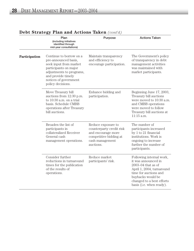|               | Plan<br>(including initiatives<br>identified through<br>mid-year consultations)                                                                                                                    | Purpose                                                                                                                        | <b>Actions Taken</b>                                                                                                                                                                                          |
|---------------|----------------------------------------------------------------------------------------------------------------------------------------------------------------------------------------------------|--------------------------------------------------------------------------------------------------------------------------------|---------------------------------------------------------------------------------------------------------------------------------------------------------------------------------------------------------------|
| Participation | Continue to borrow on a<br>pre-announced basis,<br>seek input from market<br>participants on major<br>adjustments to programs,<br>and provide timely<br>notices of government<br>policy decisions. | Maintain transparency<br>and efficiency to<br>encourage participation.                                                         | The Government's policy<br>of transparency in debt<br>management activities<br>was maintained with<br>market participants.                                                                                    |
|               | Move Treasury bill<br>auctions from 12:30 p.m.<br>to 10:30 a.m. on a trial<br>basis. Schedule CMBB<br>operations after Treasury<br>bill auctions.                                                  | Enhance bidding and<br>participation.                                                                                          | Beginning June 17, 2003,<br>Treasury bill auctions<br>were moved to 10:30 a.m.<br>and CMBB operations<br>were moved to follow<br>Treasury bill auctions at<br>11:15 a.m.                                      |
|               | Broaden the list of<br>participants in<br>collateralized Receiver<br>General cash<br>management operations.                                                                                        | Reduce exposure to<br>counterparty credit risk<br>and encourage more<br>competitive bidding at<br>cash management<br>auctions. | The number of<br>participants increased<br>by 1 to 21 financial<br>institutions. Work is<br>ongoing to increase<br>further the number of<br>participants.                                                     |
|               | Consider further<br>reductions in turnaround<br>times for the publication<br>of the results of<br>operations.                                                                                      | Reduce market<br>participants' risk.                                                                                           | Following internal work,<br>it was announced in<br>$2003 - 04$ that as of<br>April 1, 2004, turnaround<br>time for auctions and<br>buybacks would be<br>changed to a best efforts<br>basis (i.e. when ready). |

# **Debt Strategy Plan and Actions Taken** *(cont'd)*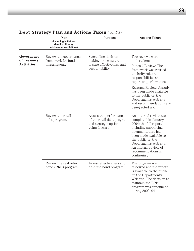|                                                | Plan<br>(including initiatives<br>identified through<br>mid-year consultations) | Purpose                                                                                         | <b>Actions Taken</b>                                                                                                                                                                                                                                          |
|------------------------------------------------|---------------------------------------------------------------------------------|-------------------------------------------------------------------------------------------------|---------------------------------------------------------------------------------------------------------------------------------------------------------------------------------------------------------------------------------------------------------------|
| Governance<br>of Treasury<br><b>Activities</b> | Review the governance<br>framework for funds<br>management.                     | Streamline decision-<br>making processes, and<br>ensure effectiveness and<br>accountability.    | Two reviews were<br>undertaken:<br>Internal Review: The<br>framework was revised<br>to clarify roles and<br>responsibilities and<br>report on performance.                                                                                                    |
|                                                |                                                                                 |                                                                                                 | External Review: A study<br>has been made available<br>to the public on the<br>Department's Web site<br>and recommendations are<br>being acted upon.                                                                                                          |
|                                                | Review the retail<br>debt program.                                              | Assess the performance<br>of the retail debt program<br>and strategic options<br>going forward. | An external review was<br>completed in January<br>2004; the full report,<br>including supporting<br>documentation, has<br>been made available to<br>the public on the<br>Department's Web site.<br>An internal review of<br>recommendations is<br>continuing. |
|                                                | Review the real return<br>bond (RRB) program.                                   | Assess effectiveness and<br>fit in the bond program.                                            | The program was<br>reviewed and the report<br>is available to the public<br>on the Department's<br>Web site. The decision to<br>maintain the RRB<br>program was announced<br>during 2003-04.                                                                  |

# **Debt Strategy Plan and Actions Taken** *(cont'd)*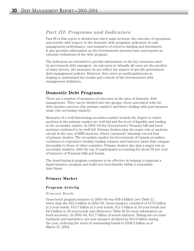# *Part III: Programs and Indicators*

Part III of this report is divided into three main sections: the outcome of operations and activity with respect to the domestic debt programs; indicators of cash management performance; and measures of reserves funding and investment. It also provides information on the Government's investor base and reports on external evaluations of the debt program.

The indicators are intended to provide information on the key measures used by government debt managers. As outcomes in virtually all cases are the product of many factors, the measures do not reflect the impact of specific government debt management policies. However, they serve as useful guideposts in helping to understand the results and context of the Government's debt management initiatives.

# **Domestic Debt Programs**

There are a number of measures of outcomes in the area of domestic debt management. They can be divided into two groups: those associated with the debt issuance process (the primary market) and those dealing with post-issuance trade (the secondary market).

Measures of a well-functioning securities market include the degree to which auctions in the primary market are well bid and the level of liquidity and trading in the secondary market. In 2003–04 the Government's Treasury bill and bond auctions continued to be well bid. Primary dealers play the major role at auctions except in the case of RRB auctions, where customers' winnings exceed that of primary dealers. The secondary market for Government of Canada securities continues to experience healthy trading volumes and turnover ratios that compare favourably to those of other countries. Primary dealers also play a major role in secondary markets, with the top 10 participants accounting for about 90 per cent of turnover of Treasury bills and bonds.

The bond buyback program continues to be effective in helping to maintain a liquid issuance program and build new benchmarks within a reasonable time frame.

## **Primary Market**

#### *Program Activity*

#### *Nominal Bonds*

Gross bond program issuance in 2003–04 was \$39.4 billion (see Table 2), lower than the \$42.3 billion in 2002–03. Gross issuance consisted of \$13.0 billion in 2-year bonds, \$10.7 billion in 5-year bonds, \$11.5 billion in 10-year bonds and \$4.2 billion in 30-year bonds (see Reference Table IX for more information on bond auctions). In 2003–04, \$31.7 billion of bonds matured. Taking into account buybacks and maturities, net new issuance declined by \$10.9 billion during the year, reducing the stock of outstanding bonds to \$258.2 billion as at March 31, 2004.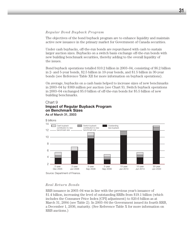#### *Regular Bond Buyback Program*

The objectives of the bond buyback program are to enhance liquidity and maintain active new issuance in the primary market for Government of Canada securities.

Under cash buybacks, off-the-run bonds are repurchased with cash to sustain larger auction sizes. Buybacks on a switch basis exchange off-the-run bonds with new building benchmark securities, thereby adding to the overall liquidity of the issues.

Bond buyback operations totalled \$10.2 billion in 2003–04, consisting of \$6.2 billion in 2- and 5-year bonds, \$2.5 billion in 10-year bonds, and \$1.5 billion in 30-year bonds (see Reference Table XII for more information on buyback operations).

On average, buybacks on a cash basis helped to increase sizes of new benchmarks in 2003–04 by \$369 million per auction (see Chart 9). Switch buyback operations in 2003–04 exchanged \$5.0 billion of off-the-run bonds for \$5.5 billion of new building benchmarks.

#### Chart 9

#### **Impact of Regular Buyback Program on Benchmark Sizes**  As of March 31, 2003



#### *Real Return Bonds*

RRB issuance in 2003–04 was in line with the previous year's issuance of \$1.4 billion, increasing the level of outstanding RRBs from \$19.1 billion (which includes the Consumer Price Index [CPI] adjustment) to \$20.6 billion as at March 31, 2004 (see Table 2). In 2003–04 the Government issued its fourth RRB, a December 1, 2036, maturity. (See Reference Table X for more information on RRB auctions.)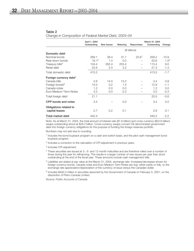#### Table 2

*Change in Composition of Federal Market Debt, 2003–04*

|                                    | April 1, 2003<br>Outstanding | <b>New Issues</b> | Maturing | Repurchase        | March 31, 2004<br>Outstanding | Change    |
|------------------------------------|------------------------------|-------------------|----------|-------------------|-------------------------------|-----------|
|                                    |                              |                   |          | (\$ billions)     |                               |           |
| Domestic debt                      |                              |                   |          |                   |                               |           |
| Nominal bonds                      | 269.1                        | 39.4              | 31.7     | 25.8 <sup>1</sup> | 258.2                         | $-10.9$   |
| Real return bonds                  | 19.1 <sup>2</sup>            | 1.4               | 0.0      |                   | 20.6                          | $1.5^{3}$ |
| Treasury bills <sup>4</sup>        | 104.4                        | 262.4             | 253.4    |                   | 113.4                         | 9.0       |
| Retail debt                        | 22.6                         | 2.0               | 3.2      |                   | 21.3                          | $-1.3$    |
| Total domestic debt                | 415.2                        |                   |          |                   | 413.5                         | $-1.7$    |
| Foreign currency debt <sup>5</sup> |                              |                   |          |                   |                               |           |
| Canada bills                       | 2.6                          | 14.0              | 13.2     |                   | 3.4                           | 0.8       |
| Foreign bonds <sup>6</sup>         | 14.0                         | 0.2               | 1.3      |                   | 12.9                          | $-1.1$    |
| Canada notes                       | 1.2                          | 0.0               | 0.0      |                   | 1.2                           | 0.0       |
| Euro Medium-Term Notes             | 3.3                          | 0.0               | 0.3      |                   | 3.0                           | $-0.3$    |
| Total foreign debt                 | 21.1                         |                   |          |                   | 20.5                          | $-0.6$    |
| CPP bonds and notes                | 3.4                          |                   | 0.0      |                   | 3.4                           | 0.0       |
| Obligations related to             |                              |                   |          |                   |                               |           |
| capital leases                     | 2.7                          | 0.2               | 0.1      |                   | 2.8                           | 0.1       |
| Total market debt                  | 442.4                        |                   |          |                   | 440.2                         | $-2.2$    |

Note: As at March 31, 2004, the total amount of interest rate (\$1.6 billion) and cross-currency (\$24.6 billion) swaps outstanding stood at \$26.2 billion. Cross-currency swaps convert C\$-denominated government debt into foreign currency obligations for the purpose of funding the foreign reserves portfolio.

Numbers may not add due to rounding.

- <sup>1</sup> Includes the bond buyback program on a cash and switch basis, and the pilot cash management bond buyback program.
- <sup>2</sup> Includes a correction to the calculation of CPI adjustment in previous years.
- <sup>3</sup> Includes CPI adjustment.
- <sup>4</sup> These securities are issued at 3-, 6- and 12-month maturities and are therefore rolled over a number of times during the year for refinancing. This results in a larger number of new issues per year than stock outstanding at the end of the fiscal year. These amounts include cash management bills.
- <sup>5</sup> Liabilities are stated at par value at the March 31, 2004, exchange rate. Increases/decreases shown for foreign currency bonds, Canada notes and Euro Medium-Term Notes are due, either partly or fully, to the exchange rate appreciation/depreciation of the currency of issue versus the Canadian dollar.
- $6$  Includes \$492.0 million in securities assumed by the Government of Canada on February 5, 2001, on the dissolution of Petro-Canada Limited.

Source: *Public Accounts of Canada.*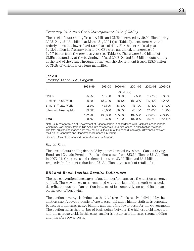#### *Treasury Bills and Cash Management Bills (CMBs)*

The stock of outstanding Treasury bills and CMBs increased by \$9.0 billion during 2003–04 to \$113.4 billion at March 31, 2004 (see Table 2), consistent with the orderly move to a lower fixed-rate share of debt. For the entire fiscal year \$262.4 billion in Treasury bills and CMBs were auctioned, an increase of \$25.7 billion from the previous year (see Table 3). There were \$4.0 billion of CMBs outstanding at the beginning of fiscal 2003–04 and \$4.7 billion outstanding at the end of the year. Throughout the year the Government issued \$28.5 billion of CMBs of various short-term maturities.

#### Table 3

#### *Treasury Bill and CMB Program*

|                         | 1998–99 | 1999–00       | 2000-01 | $2001 - 02$ | $2002 - 03$ | 2003-04 |
|-------------------------|---------|---------------|---------|-------------|-------------|---------|
|                         |         | $$$ millions) |         |             |             |         |
| <b>CMBs</b>             | 25,750  | 19.700        | 9.000   | 7.500       | 23,750      | 28,500  |
| 3-month Treasury bills  | 90,800  | 100.700       | 88.100  | 103,300     | 117.400     | 129,700 |
| 6-month Treasury bills  | 42,600  | 46,600        | 38,600  | 43,100      | 47,800      | 51,900  |
| 12-month Treasury bills | 39,500  | 46,600        | 38,600  | 43,100      | 47,800      | 51,900  |
|                         | 172,900 | 193.900       | 165.300 | 189,500     | 213,000     | 233,450 |
| Total                   | 198,650 | 213,600       | 174,300 | 197,000     | 236,750     | 262,416 |

Note: Sub-categorization of Government of Canada debt is in accordance with Bank of Canada reports, which may vary slightly from Public Accounts categories due to differences in classification methods. The total outstanding market debt may not equal the sum of the parts due to slight differences between the Bank of Canada's and Department of Finance's numbers.

Sources: Bank of Canada and *Public Accounts of Canada*.

#### *Retail Debt*

The level of outstanding debt held by domestic retail investors—Canada Savings Bonds and Canada Premium Bonds—decreased from \$22.6 billion to \$21.3 billion in 2003–04. Gross sales and redemptions were \$2.0 billion and \$3.2 billion, respectively, for a net reduction of \$1.3 billion in the stock of retail debt.

#### *Bill and Bond Auction Results Indicators*

The two conventional measures of auction performance are the auction coverage and tail. These two measures, combined with the yield of the securities issued, describe the quality of an auction in terms of its competitiveness and its impact on the cost of borrowing.

The auction coverage is defined as the total size of bids received divided by the auction size. A cover statistic of one is essential and a higher statistic is generally better, as it indicates active bidding and therefore lower costs for the Government. The auction tail is the number of basis points between the highest yield accepted and the average yield. In this case, smaller is better as it indicates strong bidding and therefore lower costs.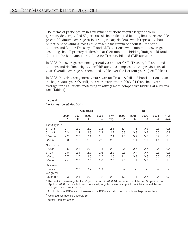The terms of participation in government auctions require larger dealers (primary dealers) to bid 50 per cent of their calculated bidding limit at reasonable prices. Maximum coverage ratios from primary dealers (which represent about 85 per cent of winning bids) could reach a maximum of about 2.6 for bond auctions and 2.4 for Treasury bill and CMB auctions, while minimum coverage, assuming that all primary dealers bid at their minimum bidding limit, would total about 1.4 for bond auctions and 1.2 for Treasury bill and CMB auctions.

In 2003–04 coverage remained generally stable for CMB, Treasury bill and bond auctions and declined slightly for RRB auctions compared to the previous fiscal year. Overall, coverage has remained stable over the last four years (see Table 4).

In 2003–04 tails were generally narrower for Treasury bill and bond auctions than in the previous year. Overall, tails were narrower in 2003–04 than the 4-year average for all auctions, indicating relatively more competitive bidding at auctions (see Table 4).

|--|--|--|--|--|

*Performance at Auctions*

|                      | Coverage       |                |                |                  | Tail         |                  |                |                |                |              |
|----------------------|----------------|----------------|----------------|------------------|--------------|------------------|----------------|----------------|----------------|--------------|
|                      | $2000 -$<br>01 | $2001 -$<br>02 | $2002 -$<br>03 | $2003 -$<br>04   | 4-yr<br>avg. | 2000-<br>01      | $2001 -$<br>02 | $2002 -$<br>03 | $2003 -$<br>04 | 4-yr<br>avg. |
| Treasury bills       |                |                |                |                  |              |                  |                |                |                |              |
| 3-month              | 2.1            | 2.0            | $2.2\,$        | $2.2\phantom{0}$ | 2.1          | 1.1              | 1.3            | 0.6            | 0.5            | 0.8          |
| 6-month              | 2.3            | 2.2            | 2.3            | 2.2              | 2.2          | 0.9              | 0.8            | 0.7            | 0.5            | 0.7          |
| 12-month             | 2.2            | 2.0            | 2.1            | 2.1              | 2.1          | 1.0              | 0.9            | 0.7            | 0.7            | 0.8          |
| <b>CMBs</b>          | 2.0            | 1.9            | 2.0            | 2.0              | 2.0          | 2.3              | 1.4            | 1.4            | 1.4            | 1.5          |
| Nominal bonds        |                |                |                |                  |              |                  |                |                |                |              |
| 2-year               | 2.5            | 2.3            | 2.3            | 2.5              | 2.4          | 0.6              | 0.7            | 0.7            | 0.5            | 0.6          |
| 5-year               | 2.6            | 2.4            | 2.5            | 2.6              | 2.5          | 0.5              | 0.7            | 0.7            | 0.5            | 0.6          |
| 10-year              | 2.7            | 2.5            | 2.5            | 2.5              | 2.5          | 1.1              | 0.9            | 0.8            | 0.5            | 0.8          |
| 30-year              | 2.4            | 2.5            | 2.5            | 2.6              | 2.5          | 2.8 <sup>1</sup> | 1.1            | 0.7            | 0.4            | 1.3          |
| Real return          |                |                |                |                  |              |                  |                |                |                |              |
| bonds <sup>2</sup>   | 3.1            | 2.8            | 3.2            | 2.9              | 3            | n.a.             | n.a.           | n.a.           | n.a.           | n.a.         |
| Weighted             |                |                |                |                  |              |                  |                |                |                |              |
| average <sup>3</sup> | 2.3            | 2.1            | 2.2            | 2.2              | 2.2          | 1.0              | 1.1            | 0.7            | 0.5            | 0.8          |

<sup>1</sup> The peak in the average tail for 30-year auctions in 2000–01 is due to one of the two 30-year auctions (April 19, 2000 auction) that had an unusually large tail of 4.4 basis points, which increased the annual average to 2.75 basis points.

<sup>2</sup> Auction tails for RRBs are not relevant since RRBs are distributed through single-price auctions.

<sup>3</sup> Weighted average excludes CMBs.

Source: Bank of Canada.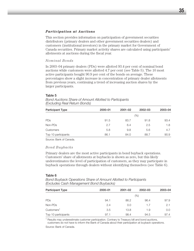#### *Participation at Auctions*

This section provides information on participation of government securities distributors (primary dealers and other government securities dealers) and customers (institutional investors) in the primary market for Government of Canada securities. Primary market activity shares are calculated using participants' allotments at auctions during the fiscal year.

#### *Nominal Bonds*

In 2003–04 primary dealers (PDs) were allotted 93.4 per cent of nominal bond auctions while customers were allotted 4.7 per cent (see Table 5). The 10 most active participants bought 90.9 per cent of the bonds on average. These percentages show a slight increase in concentration of primary dealer allotments from previous years, continuing a trend of increasing auction shares by the larger participants.

#### Table 5

| <b>Participant Type</b> | 2000-01 | $2001 - 02$ | 2002-03 | 2003-04 |  |
|-------------------------|---------|-------------|---------|---------|--|
|                         | (%)     |             |         |         |  |
| PDs                     | 91.5    | 83.7        | 91.8    | 93.4    |  |
| Non-PDs                 | 2.7     | 6.4         | 2.5     | 1.8     |  |
| Customers               | 5.8     | 9.8         | 5.6     | 4.7     |  |
| Top 10 participants     | 86.1    | 84.0        | 88.7    | 90.9    |  |

*Bond Auctions Share of Amount Allotted to Participants (Excluding Real Return Bonds)*

Source: Bank of Canada.

#### *Bond Buybacks*

Primary dealers are the most active participants in bond buyback operations. Customers' share of allotments at buybacks is shown as zero, but this likely underestimates the level of participation of customers, as they may participate in buyback operations through dealers without identifying themselves (see Table 6).

#### Table 6

*Bond Buyback Operations Share of Amount Allotted to Participants (Excludes Cash Management Bond Buybacks)*

| <b>Participant Type</b> | $2000 - 01$ | $2001 - 02$ | 2002-03 | 2003-04 |  |
|-------------------------|-------------|-------------|---------|---------|--|
|                         | (%)         |             |         |         |  |
| <b>PDs</b>              | 94.1        | 86.2        | 96.4    | 97.9    |  |
| Non-PDs                 | 2.4         | 0.0         | 1.7     | 2.1     |  |
| Customers <sup>1</sup>  | 3.5         | 13.8        | 1.9     | 0.0     |  |
| Top 10 participants     | 97.1        | 98.4        | 94.5    | 97.4    |  |

<sup>1</sup> Results may underestimate customer participation. Contrary to Treasury bill and bond auctions,

customers do not have to inform the Bank of Canada about their participation at buyback operations. Source: Bank of Canada.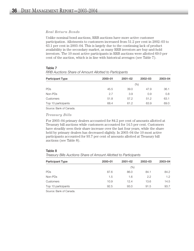#### *Real Return Bonds*

Unlike nominal bond auctions, RRB auctions have more active customer participation. Allotments to customers increased from 51.2 per cent in 2002–03 to 63.1 per cent in 2003–04. This is largely due to the continuing lack of product availability in the secondary market, as many RRB investors are buy-and-hold investors. The 10 most active participants in RRB auctions were allotted 69.0 per cent of the auction, which is in line with historical averages (see Table 7).

| <b>Participant Type</b> | 2000-01 | $2001 - 02$ | $2002 - 03$ | 2003-04 |
|-------------------------|---------|-------------|-------------|---------|
|                         |         |             | (%)         |         |
| PDs                     | 45.5    | 39.0        | 47.9        | 36.1    |
| Non-PDs                 | 2.7     | 3.9         | 0.9         | 0.8     |
| Customers               | 51.8    | 57.2        | 51.2        | 63.1    |
| Top 10 participants     | 68.4    | 61.2        | 63.9        | 69.0    |

## Table 7 *RRB Auctions Share of Amount Allotted to Participants*

Source: Bank of Canada.

#### *Treasury Bills*

For 2003–04 primary dealers accounted for 84.2 per cent of amounts allotted at Treasury bill auctions while customers accounted for 14.5 per cent. Customers have steadily seen their share increase over the last four years, while the share held by primary dealers has decreased slightly. In 2003–04 the 10 most active participants accounted for 93.7 per cent of amounts allotted at Treasury bill auctions (see Table 8).

#### Table 8

| Treasury Bills Auctions Share of Amount Allotted to Participants |  |  |
|------------------------------------------------------------------|--|--|
|                                                                  |  |  |

| <b>Participant Type</b> | 2000-01 | $2001 - 02$ | 2002-03 | 2003-04       |
|-------------------------|---------|-------------|---------|---------------|
|                         |         |             |         |               |
|                         | $(\%)$  |             |         |               |
| PDs                     | 87.6    | 86.0        | 84.1    | 84.2          |
| Non-PDs                 | 1.5     | 1.6         | 2.2     | $1.2^{\circ}$ |
| Customers               | 10.9    | 12.4        | 13.6    | 14.5          |
| Top 10 participants     | 92.5    | 93.0        | 91.5    | 93.7          |

Source: Bank of Canada.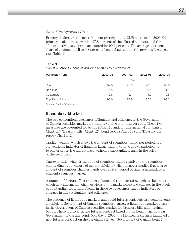#### *Cash Management Bills*

Primary dealers are the most frequent participants at CMB auctions. In 2003–04 primary dealers were awarded 97.8 per cent of the allotted amounts, and the 10 most active participants accounted for 99.2 per cent. The average allotment share of customers fell to 0.8 per cent from 4.5 per cent in the previous fiscal year (see Table 9).

| <b>Participant Type</b> | 2000-01 | $2001 - 02$ | 2002-03 | 2003-04 |
|-------------------------|---------|-------------|---------|---------|
|                         | (%)     |             |         |         |
| <b>PDs</b>              | 92.9    | 95.6        | 93.0    | 97.8    |
| Non-PDs                 | 4.5     | 2.3         | 2.5     | 1.4     |
| Customers               | 2.6     | 2.1         | 4.5     | 0.8     |
| Top 10 participants     | 95.6    | 97.9        | 95.5    | 99.2    |

#### Table 9 *CMBs Auctions Share of Amount Allotted to Participants*

Source: Bank of Canada.

#### **Secondary Market**

The two conventional measures of liquidity and efficiency in the Government of Canada securities market are trading volume and turnover ratio. These two measures are presented for bonds (Chart 10 and, for international comparison, Chart 11), Treasury bills (Chart 12), bond repos (Chart 13) and Treasury bill repos (Chart 14).

Trading volume, which shows the amount of securities traded per period, is a conventional indicator of liquidity. Large trading volume allows participants to buy or sell in the marketplace without a substantial change in the price of the securities.

Turnover ratio, which is the ratio of securities traded relative to the securities outstanding, is a measure of market efficiency. High turnover implies that a large amount of securities changes hands over a given period of time, a hallmark of an efficient securities market.

A number of factors affect trading volume and turnover ratio, such as the extent to which new information changes views in the marketplace and changes in the stock of outstanding securities. Trends in these two measures can be indicators of changes in market liquidity and efficiency.

The presence of liquid repo markets and liquid futures contracts also complements an efficient Government of Canada securities market. A liquid repo market exists in the Government of Canada securities market for Treasury bills and nominal bonds. There is also an active futures contract based on the benchmark 10-year Government of Canada bond. (On May 3, 2004, the Montreal Exchange launched a new futures contract on the benchmark 2-year Government of Canada bond.)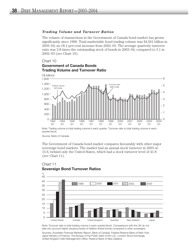#### *Trading Volume and Turnover Ratios*

The volume of transactions in the Government of Canada bond market has grown significantly since 1990. Total marketable bond trading volume was \$4,561 billion in 2003–04, an 18.1-per-cent increase from 2002–03. The average quarterly turnover ratio was 3.8 times the outstanding stock of bonds in 2003–04, compared to 3.1 in 2002–03 (see Chart 10).

#### Chart 10

### **Government of Canada Bonds Trading Volume and Turnover Ratio**



Note: Trading volume is total trading volume in each quarter. Turnover ratio is total trading volume in each quarter/stock.

Source: Bank of Canada.

The Government of Canada bond market compares favourably with other major sovereign bond markets. The market had an annual stock turnover in 2003 of 15.6, behind only the United States, which had a stock turnover level of 41.8 (see Chart 11).



## Chart 11 **Sovereign Bond Turnover Ratios**

Note: Turnover ratio is total trading volume in each quarter/stock. Comparisons with the UK do not take into account higher issuance levels of inflation-linked bonds compared to other sovereigns.

Sources: *Australian Financial Markets Report*, Bank of Canada, Federal Reserve Bank of New York, Japan Ministry of Finance, The Bureau of the Public Debt of the U.S., London Stock Exchange, United Kingdom Debt Management Office, Reserve Bank of New Zealand.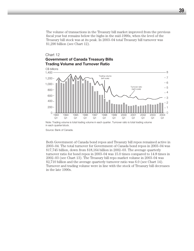The volume of transactions in the Treasury bill market improved from the previous fiscal year but remains below the highs in the mid-1990s, when the level of the Treasury bill stock was at its peak. In 2003–04 total Treasury bill turnover was \$1,290 billion (see Chart 12).

### Chart 12 **Government of Canada Treasury Bills Trading Volume and Turnover Ratio**



Source: Bank of Canada.

Both Government of Canada bond repos and Treasury bill repos remained active in 2003–04. The total turnover for Government of Canada bond repos in 2003–04 was \$17,745 billion, down from \$18,164 billion in 2002–03. The average quarterly turnover ratio for bond repos in 2003–04 was 15.0 times compared to 14.8 times in 2002–03 (see Chart 13). The Treasury bill repo market volume in 2003–04 was \$2,710 billion and the average quarterly turnover ratio was 6.0 (see Chart 14). Turnover and trading volume were in line with the stock of Treasury bill decreases in the late 1990s.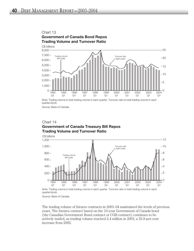

Note: Trading volume is total trading volume in each quarter. Turnover ratio is total trading volume in each quarter/stock.

Source: Bank of Canada.

## Chart 14 **Government of Canada Treasury Bill Repos Trading Volume and Turnover Ratio**



Note: Trading volume is total trading volume in each quarter. Turnover ratio is total trading volume in each quarter/stock.

Source: Bank of Canada.

The trading volume of futures contracts in 2003–04 maintained the levels of previous years. The futures contract based on the 10-year Government of Canada bond (the Canadian Government Bond contract or CGB contract) continues to be actively traded, as trading volume reached 2.4 million in 2003, a 32.9-per-cent increase from 2002.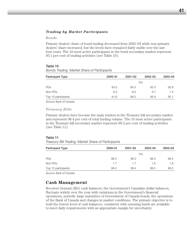#### *Trading by Market Participants*

#### *Bonds*

Primary dealers' share of bond trading decreased from 2002–03 while non-primary dealers' share increased, but the levels have remained fairly stable over the last four years. The 10 most active participants in the bond secondary market represent 95.1 per cent of trading activities (see Table 10).

#### Table 10

*Bonds Trading: Market Share of Participants*

| <b>Participant Type</b> | $2000 - 01$ | $2001 - 02$ | $2002 - 03$ | 2003-04 |
|-------------------------|-------------|-------------|-------------|---------|
|                         |             |             | (% )        |         |
| <b>PDs</b>              | 93.5        | 94.0        | 93.3        | 92.6    |
| Non-PDs                 | 6.5         | 6.0         | 6.7         | 7.4     |
| Top 10 participants     | 91.6        | 96.0        | 95.9        | 95.1    |

Source: Bank of Canada.

#### *Treasury Bills*

Primary dealers have become the main traders in the Treasury bill secondary market and represent 98.4 per cent of total trading volume. The 10 most active participants in the Treasury bill secondary market represent 99.2 per cent of trading activities (see Table 11).

#### Table 11

*Treasury Bill Trading: Market Share of Participants*

| <b>Participant Type</b> | $2000 - 01$ | $2001 - 02$ | $2002 - 03$ | 2003-04 |
|-------------------------|-------------|-------------|-------------|---------|
|                         |             |             | (%)         |         |
| PDs                     | 98.3        | 98.3        | 98.4        | 98.4    |
| Non-PDs                 | 1.7         | 1.7         | 1.6         | 1.6     |
| Top 10 participants     | 98.3        | 99.4        | 99.5        | 99.2    |

Source: Bank of Canada.

# **Cash Management**

Receiver General (RG) cash balances, the Government's Canadian-dollar balances, fluctuate widely over the year with variations in the Government's financial operations, periodic large maturities of Government of Canada bonds, the operations of the Bank of Canada and changes in market conditions. The primary objective is to hold the lowest level of cash balances, consistent with ensuring funds are available to meet daily requirements with an appropriate margin for uncertainty.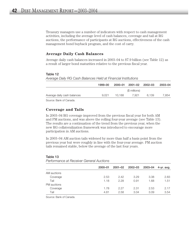Treasury managers use a number of indicators with respect to cash management activities, including the average level of cash balances, coverage and tail at RG auctions, the performance of participants at RG auctions, effectiveness of the cash management bond buyback program, and the cost of carry.

#### **Average Daily Cash Balances**

Average daily cash balances increased in 2003–04 to \$7.9 billion (see Table 12) as a result of larger bond maturities relative to the previous fiscal year.

#### Table 12

|                             | $1999 - 00$ |        | 2000-01 2001-02 2002-03 |       | 2003-04 |
|-----------------------------|-------------|--------|-------------------------|-------|---------|
|                             |             |        | (\$ millions)           |       |         |
| Average daily cash balances | 9.021       | 10.188 | 7.921                   | 6.139 | 7.854   |
| <u>.</u><br>$\sim$          |             |        |                         |       |         |

*Average Daily RG Cash Balances Held at Financial Institutions*

Source: Bank of Canada.

#### **Coverage and Tails**

In 2003–04 RG coverage improved from the previous fiscal year for both AM and PM auctions, and was above the rolling four-year average (see Table 13). The results are a continuation of the trend from the previous year, when the new RG collateralization framework was introduced to encourage more participation in AM auctions.

In 2003–04 AM auction tails widened by more than half a basis point from the previous year but were roughly in line with the four-year average. PM auction tails remained stable, below the average of the last four years.

#### Table 13

*Performance at Receiver General Auctions*

|             | $2000 - 01$ | $2001 - 02$ | 2002-03 | 2003-04 | 4-yr. avg. |
|-------------|-------------|-------------|---------|---------|------------|
| AM auctions |             |             |         |         |            |
| Coverage    | 2.53        | 2.42        | 3.29    | 3.38    | 2.83       |
| Tail        | 1.18        | 2.28        | 0.91    | 1.68    | 1.51       |
| PM auctions |             |             |         |         |            |
| Coverage    | 1.78        | 2.27        | 2.31    | 2.53    | 2.17       |
| Tail        | 4.81        | 2.58        | 3.04    | 3.09    | 3.54       |
|             |             |             |         |         |            |

Source: Bank of Canada.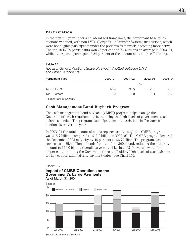#### **Participation**

In the first full year under a collateralized framework, the participant base at RG auctions widened, with non-LVTS (Large Value Transfer System) institutions, which were not eligible participants under the previous framework, becoming more active. The top 10 LVTS participants won 76 per cent of RG auctions on average in 2003–04, while other participants gained 24 per cent of the amount allotted (see Table 14).

#### Table 14

*Receiver General Auctions Share of Amount Allotted Between LVTS and Other Participants*

| <b>Participant Type</b> | 2000-01 | $2001 - 02$ | $2002 - 03$ | 2003-04 |
|-------------------------|---------|-------------|-------------|---------|
|                         |         |             | $(\% )$     |         |
| Top 10 LVTS             | 97.4    | 98.5        | 91.0        | 76.0    |
| Top 10 others           | 0.0     | 0.0         | 7.1         | 23.8    |

Source: Bank of Canada.

## **Cash Management Bond Buyback Program**

The cash management bond buyback (CMBB) program helps manage the Government's cash requirements by reducing the high levels of government cash balances needed. The program also helps to smooth variations in Treasury bill auction sizes over the year.

In 2003–04 the total amount of bonds repurchased through the CMBB program was \$15.7 billion, compared to \$12.9 billion in 2002–03. The CMBB program lowered the December 2003 maturity by 48 per cent to \$6.7 billion. The program also repurchased \$5.4 billion in bonds from the June 2004 bond, reducing the maturing amount to \$10.0 billion. Overall, large maturities in 2003–04 were lowered by 46 per cent, dropping the Government's cost of holding high levels of cash balances for key coupon and maturity payment dates (see Chart 15).

#### Chart 15

## **Impact of CMBB Operations on the Government's Large Payments**  As of March 31, 2004



Source: Department of Finance.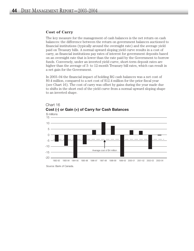#### **Cost of Carry**

The key measure for the management of cash balances is the net return on cash balances: the difference between the return on government balances auctioned to financial institutions (typically around the overnight rate) and the average yield paid on Treasury bills. A normal upward sloping yield curve results in a cost of carry, as financial institutions pay rates of interest for government deposits based on an overnight rate that is lower than the rate paid by the Government to borrow funds. Conversely, under an inverted yield curve, short-term deposit rates are higher than the average of 3- to 12-month Treasury bill rates, which can result in a net gain for the Government.

In 2003–04 the financial impact of holding RG cash balances was a net cost of \$0.4 million, compared to a net cost of \$12.4 million for the prior fiscal year (see Chart 16). The cost of carry was offset by gains during the year made due to shifts in the short end of the yield curve from a normal upward sloping shape to an inverted shape.



Chart 16 **Cost (-) or Gain (+) of Carry for Cash Balances**

Source: Bank of Canada.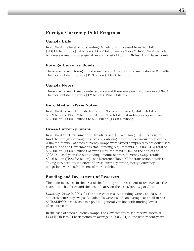# **Foreign Currency Debt Programs**

## **Canada Bills**

In 2003–04 the level of outstanding Canada bills increased from \$2.6 billion (US\$1.8 billion) to \$3.4 billion (US\$2.6 billion)—see Table 2. In 2003–04 Canada bills were issued, on average, at an all-in cost of US\$LIBOR less 15-25 basis points.

## **Foreign Currency Bonds**

There was no new foreign bond issuance and there were no maturities in 2003–04. The total outstanding was \$12.9 billion (US\$9.8 billion).

#### **Canada Notes**

There was no new Canada note issuance and there were no maturities in 2003–04. The total outstanding was \$1.2 billion (US\$1.0 billion).

## **Euro Medium-Term Notes**

In 2003–04 no new Euro Medium-Term Notes were issued, while a total of \$0.09 billion (US\$0.07 billion) matured. The total outstanding decreased from \$3.3 billion (US\$2.2 billion) to \$3.0 billion (US\$2.4 billion).

#### **Cross-Currency Swaps**

In 2003–04 the Government of Canada raised \$0.14 billion (US\$0.1 billion) to fund the foreign exchange reserves by entering into three cross-currency swaps. A limited number of cross-currency swaps were issued compared to previous fiscal years due to the Government's small funding requirements in 2003–04. A total of \$3.3 billion (US\$2.5 billion) of swaps matured in 2003–04. At the end of the 2003–04 fiscal year, the outstanding amount of cross-currency swaps totalled \$24.6 billion (US\$18.8 billion) (see Reference Table XI for transaction details). Taking into account the effect of cross-currency swaps, foreign currency obligations were 10.0 per cent of market debt.

#### **Funding and Investment of Reserves**

The main measures in the area of the funding and investment of reserves are the costs of the liabilities and the cost of carry on the asset/liability portfolio.

*Liability Costs*: In 2003–04 the sources of reserve funding were Canada bills and cross-currency swaps. Canada bills were issued, on average, at an all-in cost of US\$LIBOR less 15-25 basis points—generally in line with funding levels of recent years.

In the case of cross-currency swaps, the Government raised reserve assets at US\$LIBOR less 34 basis points on average in 2003–04, in line with recent years.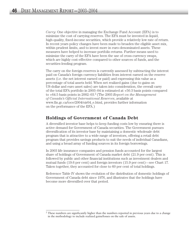*Carry*: One objective in managing the Exchange Fund Account (EFA) is to minimize the cost of carrying reserves. The EFA must be invested in liquid, high-quality, fixed-income securities, which provide a relatively low rate of return. In recent years policy changes have been made to broaden the eligible asset mix, within prudent limits, and to invest more in euro-denominated assets. These measures have helped to increase portfolio returns. Further means used to minimize the carry of the EFA have been the use of cross-currency swaps, which are highly cost-effective compared to other sources of funds, and the securities-lending program.

The carry on the foreign reserves is currently assessed by subtracting the interest paid on Canada's foreign currency liabilities from interest earned on the reserve assets (i.e. the net interest earned or paid) and expressing this value as a percentage of total assets held. When net realized gains (due to gains on US-dollar and euro asset sales) are taken into consideration, the overall carry of the total EFA portfolio in 2003–04 is estimated at +50.3 basis points compared to +64.5 basis points in 2002–03.2 (The 2003 *Report on the Management of Canada's Official International Reserves*, available at www.fin.gc.ca/toce/2004/oir04\_e.html, provides further information on the performance of the EFA.)

## **Holdings of Government of Canada Debt**

A diversified investor base helps to keep funding costs low by ensuring there is active demand for Government of Canada securities. The Government pursues diversification of its investor base by maintaining a domestic wholesale debt program that is attractive to a wide range of investors, offering a retail debt program that provides savings products to suit the needs of individual Canadians, and using a broad array of funding sources in its foreign borrowings.

In 2003 life insurance companies and pension funds accounted for the largest share of holdings of Government of Canada market debt (21.9 per cent). This is followed by public and other financial institutions such as investment dealers and mutual funds (19.6 per cent) and foreign investors (15.9 per cent)—see Chart 17. Taken together, they accounted for close to 60 per cent of total holdings.

Reference Table IV shows the evolution of the distribution of domestic holdings of Government of Canada debt since 1976, and illustrates that the holdings have become more diversified over that period.

<sup>&</sup>lt;sup>2</sup> These numbers are significantly higher than the numbers reported in previous years due to a change in the methodology to include realized gains/losses on the sale of assets.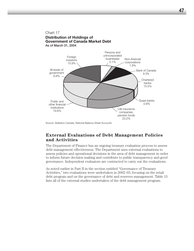

Source: Statistics Canada, *National Balance Sheet Accounts*

## **External Evaluations of Debt Management Policies and Activities**

The Department of Finance has an ongoing treasury evaluation process to assess debt management effectiveness. The Department uses external evaluations to assess policies and operational decisions in the area of debt management in order to inform future decision making and contribute to public transparency and good governance. Independent evaluators are contracted to carry out the evaluations.

As noted earlier in Part II in the section entitled "Governance of Treasury Activities," two evaluations were undertaken in 2002–03, focusing on the retail debt program and on the governance of debt and reserves management. Table 15 lists all of the external studies undertaken of the debt management program.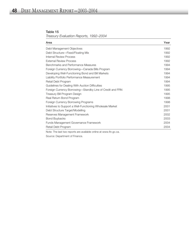#### Table 15 *Treasury Evaluation Reports, 1992–2004*

| Area                                                       | Year |
|------------------------------------------------------------|------|
| Debt Management Objectives                                 | 1992 |
| Debt Structure—Fixed/Floating Mix                          | 1992 |
| Internal Review Process                                    | 1992 |
| <b>External Review Process</b>                             | 1992 |
| Benchmarks and Performance Measures                        | 1994 |
| Foreign Currency Borrowing—Canada Bills Program            | 1994 |
| Developing Well-Functioning Bond and Bill Markets          | 1994 |
| Liability Portfolio Performance Measurement                | 1994 |
| Retail Debt Program                                        | 1994 |
| Guidelines for Dealing With Auction Difficulties           | 1995 |
| Foreign Currency Borrowing—Standby Line of Credit and FRN  | 1995 |
| Treasury Bill Program Design                               | 1995 |
| Real Return Bond Program                                   | 1998 |
| Foreign Currency Borrowing Programs                        | 1998 |
| Initiatives to Support a Well-Functioning Wholesale Market | 2001 |
| Debt Structure Target/Modelling                            | 2001 |
| Reserves Management Framework                              | 2002 |
| <b>Bond Buybacks</b>                                       | 2003 |
| Funds Management Governance Framework                      | 2004 |
| Retail Debt Program                                        | 2004 |

Note: The last two reports are available online at www.fin.gc.ca.

Source: Department of Finance.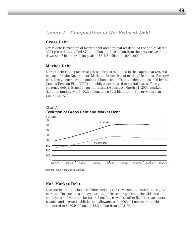#### **Gross Debt**

Gross debt is made up of market debt and non-market debt. At the end of March 2004 gross debt totalled \$701.1 billion, up \$1.0 billion from the previous year and down \$14.7 billion from its peak of \$715.8 billion in 1999–2000.

#### **Market Debt**

Market debt is the portion of gross debt that is funded in the capital markets and managed by the Government. Market debt consists of marketable bonds, Treasury bills, foreign currency denominated bonds and bills, retail debt, bonds held by the Canada Pension Plan (CPP) and obligations related to capital leases. Foreign currency debt is issued on an opportunistic basis. At March 31, 2004, market debt outstanding was \$440.2 billion, down \$2.2 billion from the previous year (see Chart A1).



#### Chart A1 **Evolution of Gross Debt and Market Debt**

Source: *Public Accounts of Canada.*

## **Non-Market Debt**

Non-market debt includes liabilities held by the Government, outside the capital markets. This includes money owed to public sector pensions, the CPP, and employees and veterans for future benefits, as well as other liabilities, accounts payable and accrued liabilities and allowances. In 2003–04 non-market debt amounted to \$260.9 billion, up \$3.2 billion from 2002–03.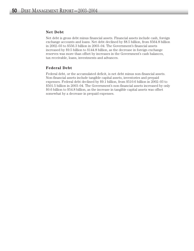#### **Net Debt**

Net debt is gross debt minus financial assets. Financial assets include cash, foreign exchange accounts and loans. Net debt declined by \$8.5 billion, from \$564.8 billion in 2002–03 to \$556.3 billion in 2003–04. The Government's financial assets increased by \$9.5 billion to \$144.8 billion, as the decrease in foreign exchange reserves was more than offset by increases in the Government's cash balances, tax receivable, loans, investments and advances.

#### **Federal Debt**

Federal debt, or the accumulated deficit, is net debt minus non-financial assets. Non-financial assets include tangible capital assets, inventories and prepaid expenses. Federal debt declined by \$9.1 billion, from \$510.6 billion in 2002–03 to \$501.5 billion in 2003–04. The Government's non-financial assets increased by only \$0.6 billion to \$54.8 billion, as the increase in tangible capital assets was offset somewhat by a decrease in prepaid expenses.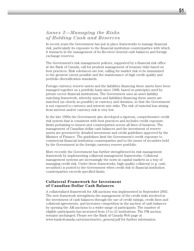# *Annex 2—Managing the Risks of Holding Cash and Reserves*

In recent years the Government has put in place frameworks to manage financial risk, particularly its exposure to the financial institution counterparties with which it transacts in the management of its Receiver General cash balances and foreign exchange reserves.

The Government's risk management policies, supported by a financial risk office at the Bank of Canada, call for prudent management of treasury risks based on best practices. Risk tolerances are low, calling for market risk to be immunized to the greatest extent possible and the maintenance of high credit quality and portfolio diversification standards.

Foreign currency reserve assets and the liabilities financing these assets have been managed together on a portfolio basis since 1998, based on principles used by private sector financial institutions. The Government uses an asset-liability matching framework, whereby assets and liabilities financing these assets are matched (as closely as possible) in currency and duration, so that the Government is not exposed to currency and interest rate risks. The risk of material loss arising from interest and/or currency risk is very low.

In the late 1990s the Government also developed a rigorous, comprehensive credit risk system that is consistent with best practices and includes credit exposure limits pertaining to issuers and counterparties across all lines of business. The management of Canadian-dollar cash balances and the investment of reserve assets are governed by detailed investment and credit guidelines approved by the Minister of Finance. The guidelines limit the Government's credit exposure to commercial financial institution counterparties and to the issuer of securities held by the Government in the foreign currency reserve portfolio.

More recently the Government has further strengthened its risk management framework by implementing collateral management frameworks. Collateral management systems are increasingly the norm in capital markets as a way of managing credit risk. Under these frameworks, high-quality collateral (e.g. cash, securities) is posted to the Government when credit risk to financial institution counterparties exceeds specified limits.

#### **Collateral Framework for Investment of Canadian-Dollar Cash Balances**

A collateralized framework for AM auctions was implemented in September 2002. The new framework strengthens the management of the credit risks involved in the investment of cash balances through the use of credit ratings, credit lines and collateral agreements, and increases competition in the auction of cash balances by opening the AM auctions to a wider range of participants. The number of eligible participants has increased from 13 to 21 institutions. The PM auction remains unchanged. Please see the Bank of Canada Web page at www.bankofcanada.ca/en/auction/rec\_general.pdf for further information.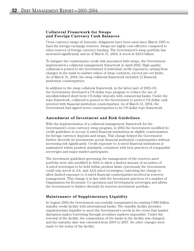#### **Collateral Framework for Swaps and Foreign Currency Cash Balances**

Cross-currency swaps of domestic obligations have been used since March 1995 to fund the foreign exchange reserves. Swaps are highly cost-effective compared to other sources of foreign currency funding. The Government's swap portfolio has increased significantly and as of March 31, 2004, it stood at \$24.6 billion.

To mitigate the counterparty credit risk associated with swaps, the Government implemented a collateral management framework in April 2002. High-quality collateral is posted to the Government if individual credit exposures, arising from changes in the mark-to-market values of swap contracts, exceed pre-set limits. As of March 31, 2004, the swap collateral framework included 12 financial institution counterparties.

In addition to the swap collateral framework, in the latter part of 2002–03, the Government developed a US-dollar repo program to reduce the use of uncollateralized short-term US-dollar deposits with commercial banks. Under the repo framework, collateral is posted to the Government to protect US-dollar cash invested with financial institution counterparties. As of March 31, 2004, the Government had signed seven counterparties to its US-dollar repo framework.

#### **Amendment of Investment and Risk Guidelines**

With the implementation of a collateral management framework for the Government's cross-currency swap program, in 2002 the Government modified its credit guidelines to accept A-rated financial institutions as eligible counterparties for foreign currency deposits and swaps. This change helped the Government further diversify its investments across financial institution counterparties without increasing risk significantly. Credit exposure to A-rated financial institutions is maintained within prudent standards, consistent with best practices of comparable sovereigns and major market participants.

The investment guidelines governing the management of the reserves asset portfolio were also modified in 2002 to allow a limited amount of securities of A-rated sovereigns to be held within prudent limits (previously the Government could only invest in AA- and AAA-rated sovereigns), mirroring the change to allow limited exposure to A-rated financial counterparties involved in reserves management. This change is in line with the investment practices of a number of Organisation for Economic Co-operation and Development sovereigns and allows the Government to further diversify its reserves investment portfolio.

#### **Maintenance of Supplementary Liquidity**

In August 2002 the Government successfully renegotiated its existing US\$6-billion standby credit facility with international banks. The standby facility provides supplementary liquidity to meet the Government's needs in the event that market disruption makes borrowing through securities markets impossible. Under the renewal of the facility, the composition of the banks in the facility was changed, and the maturity date was extended from 2003 to 2007. No other changes were made to the terms of the facility.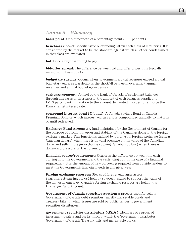## *Annex 3—Glossary*

**basis point:** One-hundredth of a percentage point  $(0.01$  per cent).

**benchmark bond:** Specific issue outstanding within each class of maturities. It is considered by the market to be the standard against which all other bonds issued in that class are evaluated.

**bid:** Price a buyer is willing to pay.

**bid-offer spread:** The difference between bid and offer prices. It is typically measured in basis points.

**budgetary surplus:** Occurs when government annual revenues exceed annual budgetary expenses. A deficit is the shortfall between government annual revenues and annual budgetary expenses.

**cash management:** Control by the Bank of Canada of settlement balances through increases or decreases in the amount of cash balances supplied to LVTS participants in relation to the amount demanded in order to reinforce the Bank's target interest rate.

**compound interest bond (C-bond):** A Canada Savings Bond or Canada Premium Bond on which interest accrues and is compounded annually to maturity or until redeemed.

**Exchange Fund Account:** A fund maintained by the Government of Canada for the purpose of promoting order and stability of the Canadian dollar in the foreign exchange market. This function is fulfilled by purchasing foreign exchange (selling Canadian dollars) when there is upward pressure on the value of the Canadian dollar and selling foreign exchange (buying Canadian dollars) when there is downward pressure on the currency.

**financial source/requirement:** Measures the difference between the cash coming in to the Government and the cash going out. In the case of a financial requirement, it is the amount of new borrowing required from outside lenders to meet the Government's financing needs in any given year.

**foreign exchange reserves:** Stocks of foreign exchange assets (e.g. interest-earning bonds) held by sovereign states to support the value of the domestic currency. Canada's foreign exchange reserves are held in the Exchange Fund Account.

**Government of Canada securities auction:** A process used for selling Government of Canada debt securities (mostly marketable bonds and Treasury bills) in which issues are sold by public tender to government securities distributors.

**government securities distributors (GSDs):** Members of a group of investment dealers and banks through which the Government distributes Government of Canada Treasury bills and marketable bonds.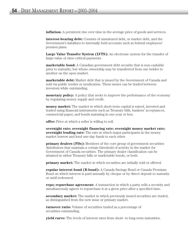**inflation:** A persistent rise over time in the average price of goods and services.

**interest-bearing debt:** Consists of unmatured debt, or market debt, and the Government's liabilities to internally held accounts such as federal employees' pension plans.

**Large Value Transfer System (LVTS):** An electronic system for the transfer of large-value or time-critical payments.

**marketable bond:** A Canadian government debt security that is non-cashable prior to maturity, but whose ownership may be transferred from one holder to another on the open market.

**marketable debt:** Market debt that is issued by the Government of Canada and sold via public tender or syndication. These issues can be traded between investors while outstanding.

**monetary policy:** A policy that seeks to improve the performance of the economy by regulating money supply and credit.

**money market:** The market in which short-term capital is raised, invested and traded using financial instruments such as Treasury bills, bankers' acceptances, commercial paper, and bonds maturing in one year or less.

**offer:** Price at which a seller is willing to sell.

**overnight rate; overnight financing rate; overnight money market rate; overnight lending rate:** The rate at which major participants in the money market borrow and lend one-day funds to each other.

**primary dealers (PDs):** Members of the core group of government securities distributors that maintain a certain threshold of activity in the market for Government of Canada securities. The primary dealer classification can be attained in either Treasury bills or marketable bonds, or both.

**primary market:** The market in which securities are initially sold or offered.

**regular interest bond (R-bond):** A Canada Savings Bond or Canada Premium Bond on which interest is paid annually by cheque or by direct deposit to maturity or until redeemed.

**repo; repurchase agreement:** A transaction in which a party sells a security and simultaneously agrees to repurchase it at a given price after a specified time.

**secondary market:** The market in which previously issued securities are traded, as distinguished from the new issue or primary market.

**turnover ratio:** Volume of securities traded as a percentage of securities outstanding.

**yield curve:** The levels of interest rates from short- to long-term maturities.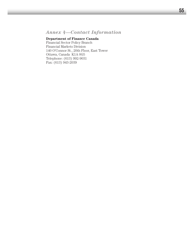# *Annex 4—Contact Information*

## **Department of Finance Canada**

Financial Sector Policy Branch Financial Markets Division 140 O'Connor St., 20th Floor, East Tower Ottawa, Canada K1A 0G5 Telephone: (613) 992-9031 Fax: (613) 943-2039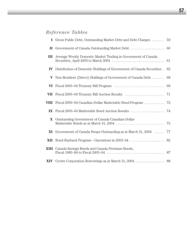# *Reference Tables*

|                         | <b>I</b> Gross Public Debt, Outstanding Market Debt and Debt Charges  | 59 |
|-------------------------|-----------------------------------------------------------------------|----|
| П.                      | Government of Canada Outstanding Market Debt                          | 60 |
| III                     | Average Weekly Domestic Market Trading in Government of Canada        | 61 |
| ${\bf IV}$              | Distribution of Domestic Holdings of Government of Canada Securities. | 62 |
| V                       | Non-Resident (Direct) Holdings of Government of Canada Debt           | 68 |
| VI                      |                                                                       | 69 |
| VII                     |                                                                       | 71 |
| VIII                    | Fiscal 2003–04 Canadian-Dollar Marketable Bond Program                | 72 |
| $\mathbf{I} \mathbf{X}$ |                                                                       |    |
| $\mathbf{X}$            | Outstanding Government of Canada Canadian-Dollar                      | 75 |
| XI                      | Government of Canada Swaps Outstanding as at March 31, 2004           | 77 |
| XII                     |                                                                       |    |
| XIII                    | Canada Savings Bonds and Canada Premium Bonds,                        |    |
|                         |                                                                       |    |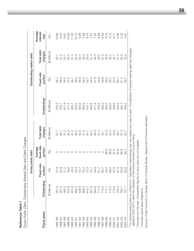|                                                    | しょうこく<br>١<br>et Debt and Debt Cl                              |
|----------------------------------------------------|----------------------------------------------------------------|
|                                                    | ر اسہ<br>1 No.10 0 10 11 11 11                                 |
| <b>Mance Table</b><br>$\frac{5}{2}$<br>erere.<br>ń | くさく<br>ノンソンー<br>L<br>C<br>.<br>נ<br>ړ<br>c<br>)<br>)<br>ؘ<br>ا |

|                                          |               | Gross public debt                      |                                               |                       |                          | Outstanding market debt |                       |                             |
|------------------------------------------|---------------|----------------------------------------|-----------------------------------------------|-----------------------|--------------------------|-------------------------|-----------------------|-----------------------------|
| Fiscal years                             | Outstanding   | Fixed-rate<br><b>Idion</b><br><u>o</u> | fixed-rate<br>Average<br>portion <sup>2</sup> | Total debt<br>charges | Outstanding <sup>3</sup> | Fixed-rate<br>portion   | Total debt<br>charges | Average<br>interest<br>rate |
|                                          | (\$ billions) | $\mathcal{S}$                          | (%)                                           | (\$ billions)         | (\$ billions)            | (%)                     | (\$ billions)         | (%)                         |
| 985-86                                   |               |                                        |                                               | 27.7                  | 202.3                    | 36.7                    | 20.7                  | 10.66                       |
| 1986-87<br>1987-88                       |               | 5 1 0<br>5 0 0 1 0<br>5 1 0            |                                               | 28.7                  | 229.7                    | 36.9                    | 21.5                  | 9.34                        |
|                                          |               |                                        |                                               | 31.2                  | 251.9                    | 38.2                    | 23.1                  | 9.61                        |
| 1988-89                                  |               | 49.6                                   |                                               | 35.5                  |                          | 37.2                    | 26.5                  | 10.82                       |
| 1989-90                                  |               | 49.9                                   |                                               | 41.2                  | 277.4<br>295.7           | 38.1                    | 31.4                  | 11.20                       |
| 1990-91                                  |               |                                        |                                               | 45.0                  | 325.0                    | 38.5                    | 34.3                  | 10.72                       |
|                                          |               | 50.7<br>50.7                           | $\circ$                                       | 43.9                  | 353.0                    | 38.9                    | 32.4                  | 8.86                        |
| 1991-92<br>1992-93                       |               |                                        | $\circ$                                       | 41.3                  | 383.9                    | 39.0                    |                       |                             |
| 1993-94<br>1994-95                       |               |                                        | O                                             |                       |                          | 42.7                    | 20<br>2021<br>2022    | 7.88<br>6.75                |
|                                          |               |                                        |                                               | 40.1<br>44.2          |                          | 44.4                    |                       |                             |
| 1995-96                                  |               |                                        |                                               | 49.4                  | 415.1<br>442.8<br>471.4  | 47.9                    |                       | 7.34<br>7.34                |
| 1996-97                                  |               | 5055657<br>2055677<br>205567           |                                               | 47.3                  | 478.8                    | 53.8                    | 33.0                  | 6.66                        |
|                                          |               |                                        | $\circ$                                       | 43.1                  | 469.2                    | 56.8                    | 31.0                  | 6.64                        |
| 00-6661<br>66-8661<br>66-8661            |               | 64.5                                   | 66.6                                          | 43.3                  | 463.0                    | 58.5                    | 30.8                  | 6.70                        |
|                                          |               | 66.5                                   | 66.6                                          | 43.4                  | 459.0                    | 59.1                    | 30.5                  | 6.15                        |
|                                          |               | 67.8                                   | 67.6                                          | 43.9                  | 449.0                    | 60.5                    | 30.7                  | 6.11                        |
|                                          |               | 67.4                                   | 67.6                                          | 39.7                  | 444.9                    | 60.1                    | 27.4                  | 5.56                        |
| 2000-01<br>2001-02<br>2002-03<br>2003-04 |               | 65.8                                   | 65.8                                          | 37.3                  | 442.4                    | 61.2                    | 25.2                  | 5.32                        |
|                                          |               | 63.8                                   | 64.4                                          | 35.7                  | 440.2                    | 58.7                    | 23.4                  | 4.91                        |

1 For interest-bearing debt as of March 31. Calculation methodology may vary slightly from year to year. The definition of interest-bearing debt has changed<br>slightly in 2002–03 to reflect the adoption of the full accrual b For interest-bearing debt as of March 31. Calculation methodology may vary slightly from year to year. The definition of interest-bearing debt has changed slightly in 2002–03 to reflect the adoption of the full accrual basis of accounting.

<sup>2</sup> Average over the year. Comparative figures for prior years are not available. Average over the year. Comparative figures for prior years are not available.

<sup>3</sup> Includes capital lease obligations. Includes capital lease obligations.

Sources: Public Accounts of Canada, Bank of Canada Review, Department of Finance estimates. Sources: *Public Accounts of Canada*, *Bank of Canada Review*, Department of Finance estimates.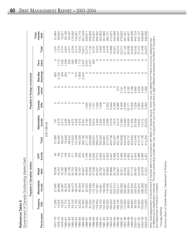|        | ٦                                                     |
|--------|-------------------------------------------------------|
|        | ataalina                                              |
| .<br>, | s<br>s<br>Ş<br>ĭ<br>.<br>J<br>Ï<br>١<br>דמו והאמי המד |
| ľ      |                                                       |

|                                      |                   | Payable in Canadian                                                                                                                                            | dollars                |                     |             |                                                                                                                   |                 | Payable in foreign currencies |                     |                 |        |                         |
|--------------------------------------|-------------------|----------------------------------------------------------------------------------------------------------------------------------------------------------------|------------------------|---------------------|-------------|-------------------------------------------------------------------------------------------------------------------|-----------------|-------------------------------|---------------------|-----------------|--------|-------------------------|
| Fiscal years                         | Treasury<br>bills | Marketable<br>bonds                                                                                                                                            | Retail<br>debt         | bonds<br><b>CPP</b> | Total       | Marketable<br>bonds                                                                                               | Canada<br>bills | Canada<br>notes <sup>1</sup>  | drawings<br>Standby | loans<br>Term   | Total  | market<br>Total<br>debt |
|                                      |                   |                                                                                                                                                                |                        |                     |             | (C\$ millions)                                                                                                    |                 |                               |                     |                 |        |                         |
| $87 - 78$                            | 11,295            | 21,645                                                                                                                                                         | 036<br>$\infty$        | $\frac{8}{4}$       | 51,060      | 181                                                                                                               |                 |                               | 850                 | O               | 1,031  | 51,664                  |
| 1978-79                              | 13,535            | 26,988                                                                                                                                                         | 443<br><u>଼ି</u><br>1  | 86                  | 60,062      | 3,319                                                                                                             | O               |                               | 2,782               | ,115            | 7,216  | 66,640                  |
| 1979-80                              | 16,325            | 33,387                                                                                                                                                         | 182<br>$\frac{1}{10}$  | $\frac{1}{2}$       | 68,007      | 3,312                                                                                                             | $\circ$         | $\circ$                       | 359                 | ,030            | 4,701  | 72,021                  |
| 1980-81                              | 21,770            | 40,976                                                                                                                                                         | 966<br>$\overline{5}$  | 86                  | 78,848      | 3,236                                                                                                             | $\circ$         | $\circ$                       | 355                 | 1,046           | 4,637  | 83,138                  |
| $1981 - 82$                          | 19,375            | 43,605                                                                                                                                                         | 108<br>25,             | 54                  | 88,242      | 3,867                                                                                                             | $\circ$         | $\circ$                       | O                   | 550             | 4,417  | 93,167                  |
| $1982 - 83$                          | 29,125            | 48,473                                                                                                                                                         | 753<br>32,             | 171                 | 10,522      | 4,872                                                                                                             | $\circ$         | $\circ$                       | $\circ$             | 362             | 5,234  | 116,562                 |
| 1983-84                              | 41,700            | 56,976                                                                                                                                                         | 403<br>38,             | 189                 | 137,268     | 4,306                                                                                                             | $\circ$         | $\circ$                       | 510                 | 398             | 5,214  | 142,901                 |
| 1984-85                              | 52,300            | 69,354                                                                                                                                                         | 167<br>42,             | 205                 | 164,026     | 4,972                                                                                                             | $\circ$         | $\circ$                       | 1,909               | 1,172           | 8,053  | 172,719                 |
| 1985-86                              | 61,950            | 81,163                                                                                                                                                         | 607<br>44,             | 445                 | 165<br>188, | 9,331                                                                                                             | $\circ$         | $\circ$                       | 2,233               | 2,247           | 13,811 | 201,229                 |
| 1986-87                              | 76,950            | 94,520                                                                                                                                                         | 854<br>43,             | 1,796               | 217,120     | 9,120                                                                                                             | ,045            | $\circ$                       |                     | 2,047           | 12,212 | 228,611                 |
| 987-88                               | 81,050            | 103,899                                                                                                                                                        | 558<br>52,             | 2,492               | 239,999     | 8,438                                                                                                             | ,045            | $\circ$                       |                     | 2,257           | 11,740 | 250,809                 |
| 88-88                                | 102,700           | 115,748                                                                                                                                                        | 47,048                 | 3,005               | 268,501     | 6,672                                                                                                             | 131             | $\circ$                       |                     | 934             | 8,737  | 276,301                 |
| 1989-90                              | 118,550           | 127,681                                                                                                                                                        | 207<br>40,             | 3,072               | 289,510     | 4,364                                                                                                             | 1,446           | $\circ$                       |                     | 0               | 5,810  | 294,562                 |
| 990-91                               | 139,150           | 143,601                                                                                                                                                        | 782<br>33,             | 3,492               | 320,025     | 3,555                                                                                                             | 1,008           |                               |                     | $\circ$         | 4,563  | 323,903                 |
| $991 - 92$                           | 152,300           | 158,059                                                                                                                                                        | 031<br>35,             | 3,501               | 348,891     | 3,535                                                                                                             |                 | $\circ$                       | O                   | $\circ$         | 3,535  | 351,885                 |
| 992-93                               | 162,050           | 178,436                                                                                                                                                        | 884<br>33,             | 3,505               | 377,875     | 2,926                                                                                                             | 2,552           | $\circ$                       | O                   | $\circ$         | 5,478  | 382,741                 |
| 993-94                               | 66,000            | 203,373                                                                                                                                                        | 866<br>30,             | 3,497               | 403,736     | 5,019                                                                                                             | 5,649           | O                             |                     | $\circ$         | 10,668 | 413,975                 |
| 994–95                               | 64,450            | 225,513                                                                                                                                                        | 756<br>30,             | 3,488               | 424,207     | 7,875                                                                                                             | 9,046           | $\circ$                       |                     | $\circ$         | 16,921 | 440,998                 |
| 995-96                               | 66,100            | 252,411                                                                                                                                                        | 801<br>30,             | 3,478               | 452,790     | 9,514                                                                                                             | 6,986           | 310                           | ⌒                   | O               | 16,810 | 469,547                 |
| 996-97                               | 135,400           | 282,059                                                                                                                                                        | $-51$<br>32,           | 3,468               | 453,838     | 2,460                                                                                                             | 8,436           | 2,121                         | O                   | $\circ$         | 23,017 | 476,852                 |
| 997-98                               | 112,300           | 293,987                                                                                                                                                        | 302<br>30,             | 3,456               | 440,045     | 14,590                                                                                                            | 9,356           | 3,176                         | O                   | $\circ$         | 27,122 | 467,291                 |
| 998-99                               | 96,950            | 294,914                                                                                                                                                        | $\frac{810}{2}$<br>28, | 4,063               | 424,737     | 19,655                                                                                                            | 0,171           | 6,182                         | O                   | $\circ$         | 36,008 | 460,427                 |
| 00-666                               | 99,850            | 293,250                                                                                                                                                        | 27,115                 | 3,427               | 423,642     | 21,464                                                                                                            | 6,008           | 5,168                         | $\circ$             | $\circ$         | 32,640 | 456,406                 |
| 2000-01                              | 88,700            | 293,879                                                                                                                                                        | 457<br>26,             | 3,404               | 412,440     | 20,509                                                                                                            | 7,228           | 5,695                         | $\circ$             | $\circ$         | 33,432 | 445,724                 |
| $2001 - 02$                          | 94,200            | 292,910                                                                                                                                                        | 229<br>24,             | 3,386               | 414,725     | 19,652                                                                                                            | 3,355           | 4,405                         | $\circ$             | $\circ$         | 27,412 | 442,137                 |
| 2002-03                              | 104,600           | 286,289                                                                                                                                                        | 878<br>22,             | 3,369               | 417,136     | 14,412                                                                                                            | 2,603           | 4,533                         | $\circ$             | $\circ$ $\circ$ | 21,548 | 436,684                 |
| 2003-04                              | 113,400           | 276,022                                                                                                                                                        | .521                   | 3,351               | 414,294     | 20,523                                                                                                            | 3,364           | 1,085                         | C                   |                 | 24,972 | 439,266                 |
|                                      |                   | Note: Subcategorization of Government of Canada debt is in accordance with Bank of Canada reports, which may vary slightly from Public Accounts categories due |                        |                     |             |                                                                                                                   |                 |                               |                     |                 |        |                         |
| and Department of Finance's numbers. |                   | to differences in classification methods. The total                                                                                                            |                        |                     |             | outstanding market debt may not equal the sum of the parts due to slight differences between the Bank of Canada's |                 |                               |                     |                 |        |                         |
|                                      |                   |                                                                                                                                                                |                        |                     |             |                                                                                                                   |                 |                               |                     |                 |        |                         |

Sources: Bank of Canada Review, Department of Finance. Sources: *Bank of Canada Review,* Department of Finance.

<sup>1</sup> Includes EMTNs. <sup>1</sup> Includes EMTNs.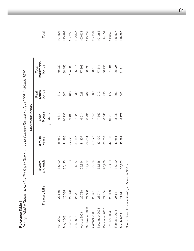**Reference Table III**<br>Average Weekly Domestic Market Trading in Government of Canada Securities, April 2003 to March 2004 *Average Weekly Domestic Market Trading in Government of Canada Securities, April 2003 to March 2004*

|                |                                                           |                      |                  | Marketable bonds |                         |                              |         |
|----------------|-----------------------------------------------------------|----------------------|------------------|------------------|-------------------------|------------------------------|---------|
|                | Treasury bills                                            | and under<br>3 years | 3 to 10<br>years | 10 years<br>Over | bonds<br>return<br>Real | marketable<br>bonds<br>Total | Total   |
|                |                                                           |                      |                  | (\$ millions)    |                         |                              |         |
| April 2003     | 22,555                                                    | 35,109               | 36,682           | 6,871            | 377                     | 79,039                       | 101,594 |
| May 2003       | 20,535                                                    | 37,425               | 41,998           | 10,732           | 303                     | 90,458                       | 110,993 |
| June 2003      | 22,976                                                    | 39,559               | 54,823           | 9,430            | 468                     | 104,280                      | 127,256 |
| July 2003      | 24,091                                                    | 34,857               | 53,167           | 7,920            | 332                     | 96,276                       | 120,367 |
| August 2003    | 22,738                                                    | 29,844               | 41,307           | 6,514            | 228                     | 77,893                       | 100,631 |
| September 2003 | 24,686                                                    | 39,767               | 39,831           | 6,231            | 267                     | 86,096                       | 110,782 |
| October 2003   | 23,631                                                    | 35,954               | 39,675           | 7,645            | 299                     | 83,573                       | 107,204 |
| November 2003  | 23,744                                                    | 32,658               | 37,109           | 7,562            | 212                     | 77,541                       | 101,285 |
| December 2003  | 27,154                                                    | 26,908               | 33,554           | 6,040            | 453                     | 66,955                       | 94,109  |
| January 2004   | 25,009                                                    | 38,429               | 42,207           | 10,718           | 477                     | 91,831                       | 116,840 |
| February 2004  | 26,511                                                    | 38,920               | 42,681           | 8,033            | 392                     | 90,026                       | 116,537 |
| March 2004     | 27,671                                                    | 36,903               | 45,891           | 8,777            | 343                     | 91,914                       | 119,585 |
|                | Source: Bank of Canada, Banking and Financial Statistics. |                      |                  |                  |                         |                              |         |

**61**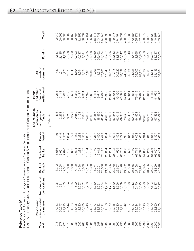| í |
|---|
|   |
| c |
|   |
|   |
|   |
|   |
|   |
|   |
|   |

 $\propto$ *Distrib utio n of D o m estic H oldin gs of G overn m e nt of C a n a da S e c urities*  $\overline{\mathcal{L}}$ ਹ

|                    | PART A —Treasury Bills, Canada Bills,       |                                  |                   |                    |                              | Bonds, <sup>1</sup> Canada Savings Bonds and Canada Premium Bonds |                                                               |                                           |         |                    |
|--------------------|---------------------------------------------|----------------------------------|-------------------|--------------------|------------------------------|-------------------------------------------------------------------|---------------------------------------------------------------|-------------------------------------------|---------|--------------------|
| Year<br><b>Due</b> | unincorporated<br>Persons and<br>businesses | Non-financial<br>corporations    | Canada<br>Bank of | Chartered<br>banks | banks <sup>2</sup><br>Quasi- | Life insurance<br>and pension<br>companies<br>funds               | institutions <sup>3</sup><br>and other<br>financial<br>Public | government <sup>4</sup><br>levels of<br>₹ | Foreign | Total <sup>5</sup> |
|                    |                                             |                                  |                   |                    |                              | (\$ millions)                                                     |                                                               |                                           |         |                    |
| 976                | 17,932                                      | 395                              | 8,242             | 8,666              | 716                          | 1,436                                                             | 2,273                                                         | 730                                       | 1,652   | 42,042             |
| 977                | 20,277                                      | 321                              | 10,268            | 9,601              | 1,048                        | 2,271                                                             | 3,114                                                         | 1,014                                     | 2,185   | 50,099             |
| 1978               | 22,723                                      | 403                              | 12,001            | 9,896              | 1,537                        | 3,738                                                             | 4,017                                                         | 1,721                                     | 4,770   | 60,806             |
| 1979               | 23,144                                      | 374                              | 13,656            | 10,156             | 1,684                        | 6,716                                                             | 4,103                                                         | 2,878                                     | 5,956   | 68,667             |
| 080                | 24,253                                      | 555                              | 15,858            | 10,002             | 2,771                        | 9,274                                                             | 5,561                                                         | 4,248                                     | 7,630   | 80,152             |
| 987                | 33,425                                      | 520                              | 17,100            | 10,003             | 2,452                        | 10,569                                                            | 5,342                                                         | 4,194                                     | 9,102   | 92,707             |
| 982                | 42,320                                      |                                  | 15,428            | 11,233             | 3,288                        | 13,151                                                            | 9,177                                                         | 4,654                                     | 10,737  | 112,255            |
| 1983               | 50,306                                      |                                  | 16,859            | 5,107              | 5,551                        | 17,816                                                            | 9,984                                                         | 5,321                                     | 12,091  | 138,537            |
| 1984               | 60,748                                      | 2,267<br>5,502<br>6,783<br>7,387 | 17,184            | 15,164             | 4,887                        | 24,039                                                            | 11,978                                                        | 7,166                                     | 16,205  | 164,154            |
| 1985               | 74,331                                      |                                  | 15,668            | 15,198             | 5,706                        | 31,068                                                            | 15,086                                                        | 10,106                                    | 21,608  | 196,158            |
| 1986               | 71,073                                      | 6,259                            | 18,374            | 17,779             | 7,277                        | 34,887                                                            | 18,414                                                        | 11,293                                    | 33,060  | 218,416            |
| 1987               | 83,732                                      | 8,591                            | 20,201            | 16,012             | 6,400                        | 38,870                                                            | 19,547                                                        | 13,918                                    | 36,462  | 243,733            |
| 1988               | 86,591                                      | 8,634                            | 20,606            | 21,115             | 7,492                        | 42,460                                                            | 19,028                                                        | 17,186                                    | 51,134  | 274,246            |
| 1989               | 81,566                                      | 11,402                           | 21,133            | 20,804             | 9,854                        | 48,037                                                            | 23,950                                                        | 17,840                                    | 61,707  | 296,293            |
| 0661               |                                             | 11,797                           | 20,325            | 24,224             | 10,460                       | 52,984                                                            | 26,051                                                        | 19,574                                    | 72,586  | 318,080            |
| 1991               | 80,079<br>72,945<br>70,930                  | 11,580<br>13,696                 | 22,370            | 35,792             | 12,091                       | 57,846                                                            | 33,054                                                        | 21,015                                    | 82,553  | 349,246            |
| 1992               |                                             |                                  | 22,607            | 44,555             | 12,428                       | 62,042                                                            | 39,396                                                        | 20,222                                    | 88,878  | 374,754            |
| 1993               | 61,221                                      | 10,359                           | 23,498            | 60,242             | 11,229                       | 69,917                                                            | 45,321                                                        | 18,397                                    | 108,847 | 409,031            |
| 1994               | 52,842                                      | 12,039                           | 24,902            | 70,063             | 9,992                        | 78,545                                                            | 52,847                                                        | 24,967                                    | 110,080 | 436,277            |
| 1995               | 48,867                                      | 12,048                           | 23,590            | 76,560             | 10,947                       | 87,467                                                            | 59,044                                                        | 26,324                                    | 116,543 | 461,390            |
| 1996               | 46,187                                      | 10,013                           | 25,556            | 74,789             | 10,952                       | 90,174                                                            | 71,514                                                        | 24,828                                    | 118,474 | 472,487            |
| 1997               | 39,924                                      | 10,470                           | 27,198            | 67,715             | 7,054                        | 94,991                                                            | 79,445                                                        | 25,509                                    | 112,865 | 465,171            |
| 1998               | 33,537                                      | 8,525                            | 27,911            | 66,375             | 6,659                        | 99,687                                                            | 79,895                                                        | 28,174                                    | 106,763 | 457,526            |
| 1999               | 37,118                                      | 9,290                            | 29,075            | 54,080             | 7,944                        | 108,656                                                           | 81,257                                                        | 28,394                                    | 102,263 | 458,07             |
| 2000               | 33,259                                      | 9,062                            | 31,726            | 58,269             | 2,842                        | 08,752                                                            | 73,911                                                        | 30,280                                    | 91,477  | 439,578            |
| 2001               | 33,979                                      | 7,643                            | 37,204            | 65,396             | 3,561                        | 99,744                                                            | 76,482                                                        | 34,341                                    | 80,974  | 439,324            |
| 2002               | 22,860                                      | 8,417                            | 38,859            | 66,057             | 3,307                        | 97,463                                                            | 81,521                                                        | 33,436                                    | 88,237  | 440,157            |
| 2003               | 21,455                                      | 7,827                            | 40,398            | 67,434             | 3,605                        | 101,096                                                           | 85,176                                                        | 38,184                                    | 68,065  | 433,240            |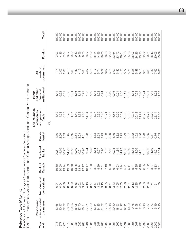Reference Table IV *(cont'd)*

Ĺ  $\overline{\phantom{a}}$ ÷. **Reference Table IV** (cont'd)<br>Distribution of Domestic Holdings of Government of Canada Securities<br>Distribution of Domestic Holdings of Government of Canada Securities *Distribution of Domestic Holdings of Government of Canada Securities*

|              | PART B — Treasury Bills, Canada Bills,  |                                                                                                                                                                                                                                                                                                                                                                                                                                                                                         |                  |              |                                                                                                              | Bonds,1 and Canada Savings Bonds and Canada Premium Bonds |                                  |                         |          |                    |
|--------------|-----------------------------------------|-----------------------------------------------------------------------------------------------------------------------------------------------------------------------------------------------------------------------------------------------------------------------------------------------------------------------------------------------------------------------------------------------------------------------------------------------------------------------------------------|------------------|--------------|--------------------------------------------------------------------------------------------------------------|-----------------------------------------------------------|----------------------------------|-------------------------|----------|--------------------|
| Year         | unincorporated<br>Persons and           | Non-financial                                                                                                                                                                                                                                                                                                                                                                                                                                                                           | Bank of          | Chartered    | Quasi-                                                                                                       | Life insurance<br>and pension<br>companies                | and other<br>financial<br>Public | levels of<br>$\bar{z}$  |          |                    |
| end          | businesses                              | corporations                                                                                                                                                                                                                                                                                                                                                                                                                                                                            | Canada           | banks        | banks <sup>2</sup>                                                                                           | funds                                                     | institutions <sup>3</sup>        | government <sup>4</sup> | Foreign  | Total <sup>5</sup> |
|              |                                         |                                                                                                                                                                                                                                                                                                                                                                                                                                                                                         |                  |              |                                                                                                              | (%)                                                       |                                  |                         |          |                    |
| ِ٥<br>50     | 65<br>$\frac{1}{4}$                     | $\overline{9}$<br>ö                                                                                                                                                                                                                                                                                                                                                                                                                                                                     | 9.60             | 20.61        | 1.70                                                                                                         | 3.42                                                      | 5.41                             | 1.74                    | 93<br>က် | 00.00              |
| 1977         | 47<br>$\overline{Q}$                    | 0.64                                                                                                                                                                                                                                                                                                                                                                                                                                                                                    | 20.50            | 19.16        | 2.09                                                                                                         | 4.53                                                      | 6.22                             | 2.02                    | 4.36     | 100.00             |
| 1978         | 37.37                                   | 0.66                                                                                                                                                                                                                                                                                                                                                                                                                                                                                    | 19.74            | 16.27        | 2.53                                                                                                         | 6.15                                                      | 6.61                             | 2.83                    | 7.84     | 100.00             |
| 1979         | 33.70                                   | 0.54                                                                                                                                                                                                                                                                                                                                                                                                                                                                                    | 19.89            | 14.79        | 2.45                                                                                                         | 9.78                                                      | 5.98                             | 4.19                    | 8.67     | 100.00             |
| 1980         | 30.26                                   | 0.69                                                                                                                                                                                                                                                                                                                                                                                                                                                                                    | 19.78            | 12.48        | 3.46                                                                                                         | 11.57                                                     | 6.94                             | 5.30                    | 9.52     | 100.00             |
| 1981         | 36.05                                   | 0.56                                                                                                                                                                                                                                                                                                                                                                                                                                                                                    | 18.45            | 10.79        | 2.64                                                                                                         | 11.40                                                     | 5.76                             | 4.52                    | 9.82     | 100.00             |
| 1982         | 37.70                                   |                                                                                                                                                                                                                                                                                                                                                                                                                                                                                         | 13.74            | 10.01        | 2.93                                                                                                         | 11.72                                                     | 8.18                             | 4.15                    | 9.56     | 100.00             |
| 1983         |                                         |                                                                                                                                                                                                                                                                                                                                                                                                                                                                                         | 12.17            | 10.90        | 4.01                                                                                                         | 12.86                                                     | 7.21                             | 3.84                    | 8.73     | 100.00             |
| 1984         | 36.31<br>37.01<br>$\overline{\text{O}}$ |                                                                                                                                                                                                                                                                                                                                                                                                                                                                                         | 10.47            | 9.24<br>7.75 |                                                                                                              | 14.64                                                     | 7.30                             | 4.37                    | 9.87     | 100.00             |
| 1985         | .89<br>57                               |                                                                                                                                                                                                                                                                                                                                                                                                                                                                                         | 7.99             |              |                                                                                                              | 15.84                                                     | 7.69                             | 5.15                    | 11.02    | 100.00             |
| 1986         | 32.54<br>34.35                          |                                                                                                                                                                                                                                                                                                                                                                                                                                                                                         | 8.41             | 8.14         |                                                                                                              | 15.97                                                     | 8.43                             | $5.77$<br>5.71          | 15.14    | 100.00             |
| 1987         |                                         |                                                                                                                                                                                                                                                                                                                                                                                                                                                                                         | 8.29             | 6.57         |                                                                                                              | 15.95                                                     | 8.02                             |                         | 14.96    | 100.00             |
| 1988         | -57<br>$\overline{5}$                   |                                                                                                                                                                                                                                                                                                                                                                                                                                                                                         | $7.51$<br>$7.13$ | 7.70         |                                                                                                              | 15.48                                                     | 6.94                             | 6.27                    | 18.65    | 100.00             |
| 1989         | .53<br>$\overline{27}$                  |                                                                                                                                                                                                                                                                                                                                                                                                                                                                                         |                  | 7.02         |                                                                                                              | 16.21                                                     | 8.08                             | 6.02                    | 20.83    | 100.00             |
| 1990         | 25.18                                   |                                                                                                                                                                                                                                                                                                                                                                                                                                                                                         | 6.39             | 7.62         |                                                                                                              | 16.66                                                     | 8.19                             | 6.15                    | 22.82    | 100.00             |
| 1991         | 20.89                                   |                                                                                                                                                                                                                                                                                                                                                                                                                                                                                         | 6.41             | 10.25        |                                                                                                              | 16.56                                                     | 9.46                             | 6.02<br>5.40            | 23.64    | 100.00             |
| 1992         |                                         |                                                                                                                                                                                                                                                                                                                                                                                                                                                                                         | 6.03             | 11.89        |                                                                                                              | 16.56                                                     | 10.51                            |                         | 23.72    | 100.00             |
| 1993         | $18.93$<br>$14.97$<br>$12.11$           | $\begin{array}{l} \mathcal{Q} \cup \mathcal{Q} \cup \mathcal{Q} \cup \mathcal{Q} \cup \mathcal{Q} \cup \mathcal{Q} \cup \mathcal{Q} \cup \mathcal{Q} \cup \mathcal{Q} \cup \mathcal{Q} \cup \mathcal{Q} \cup \mathcal{Q} \cup \mathcal{Q} \cup \mathcal{Q} \cup \mathcal{Q} \cup \mathcal{Q} \cup \mathcal{Q} \cup \mathcal{Q} \cup \mathcal{Q} \cup \mathcal{Q} \cup \mathcal{Q} \cup \mathcal{Q} \cup \mathcal{Q} \cup \mathcal{Q} \cup \mathcal{Q} \cup \mathcal{Q} \cup \mathcal{Q$ | 5.74             | 14.73        | 8 — E E E E E E E E E E E E E E E E<br>D. D. E E E E E E E E E E E E E E E<br>R. E E E E E E E E E E E E E E | 17.09                                                     | 11.08                            | 4.50                    | 26.61    | 100.00             |
| 1994         |                                         |                                                                                                                                                                                                                                                                                                                                                                                                                                                                                         | 5.71             | 16.06        |                                                                                                              | 18.00                                                     | 12.11                            | 5.72                    | 25.23    | 100.00             |
| 1995         | 0.59                                    |                                                                                                                                                                                                                                                                                                                                                                                                                                                                                         | 5.11             | 16.59        |                                                                                                              | 18.96                                                     | 12.80                            | 5.71                    | 25.26    | 100.00             |
| 1996         | 9.78                                    |                                                                                                                                                                                                                                                                                                                                                                                                                                                                                         | 5.41             | 15.83        |                                                                                                              | 19.08                                                     | 15.14                            | 5.25                    | 25.07    | 100.00             |
| 1997         | 8.58<br>7.33                            |                                                                                                                                                                                                                                                                                                                                                                                                                                                                                         | 5.85             | 14.56        | 59.<br>$\overline{ }$                                                                                        | 20.42                                                     | 17.08                            | 5.48                    | 24.26    | 100.00             |
| 1998         |                                         |                                                                                                                                                                                                                                                                                                                                                                                                                                                                                         | 6.10             | 14.51        | 46                                                                                                           | 21.79                                                     | 17.46                            | 6.16                    | 23.33    | 100.00             |
| 1999         |                                         |                                                                                                                                                                                                                                                                                                                                                                                                                                                                                         | 6.35             | 11.81        | 1.73                                                                                                         | 23.72                                                     | 17.74                            | 6.20                    | 22.32    | 100.00             |
| 2000         | 8.157<br>7.57<br>7.73                   | 2.08<br>2.06<br>1.74                                                                                                                                                                                                                                                                                                                                                                                                                                                                    | 7.22             | 13.26        | 0.65                                                                                                         | 24.74                                                     | 16.81                            | 6.89                    | 20.81    | 100.00             |
| 2001         |                                         |                                                                                                                                                                                                                                                                                                                                                                                                                                                                                         | 8.47             | 14.89        | $\overline{\infty}$<br>$\circ$                                                                               | 22.70                                                     | 17.41                            | 7.82                    | 18.43    | 100.00             |
| 2002<br>2003 | $\circ$ $\circ$<br>$\frac{1}{5}$        | $\frac{1}{2}$ 80                                                                                                                                                                                                                                                                                                                                                                                                                                                                        | 8.83<br>9.31     | 5.01         | $\overline{O}$ .7                                                                                            | 22.14                                                     | 18.52                            | 7.60                    | 20.05    | 100.00             |
|              |                                         |                                                                                                                                                                                                                                                                                                                                                                                                                                                                                         |                  | 5.54         | 83<br>$\circ$                                                                                                | 23.30                                                     | 19.63                            | 80<br>$\infty$          | 15.69    | 100.00             |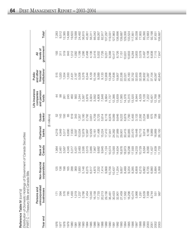| Reference Table IV (cont'd)                                          |
|----------------------------------------------------------------------|
| Distribution of Domestic Holdings of Government of Canada Securities |
| PART C — Treasury Bills and Canada Bills                             |

|              | PART C — I reasury Bills and Canada Bills   |                                   |                   |                    |                              |                                                     |                                                               |                                           |                    |
|--------------|---------------------------------------------|-----------------------------------|-------------------|--------------------|------------------------------|-----------------------------------------------------|---------------------------------------------------------------|-------------------------------------------|--------------------|
| Year end     | unincorporated<br>Persons and<br>businesses | nancial<br>corporations<br>Non-fi | Canada<br>Bank of | Chartered<br>banks | banks <sup>2</sup><br>Quasi- | Life insurance<br>and pension<br>companies<br>funds | institutions <sup>3</sup><br>and other<br>financial<br>Public | government <sup>4</sup><br>levels of<br>₹ | Total <sup>5</sup> |
|              |                                             |                                   |                   |                    | (\$ millions)                |                                                     |                                                               |                                           |                    |
| 1976         |                                             | 125                               | 1,964             | 4,219              | 52                           |                                                     | 515                                                           | 193                                       | 7,283              |
| 1977         | $171$<br>394                                | 136                               | 2,461             | 4,949              | 143                          | 88                                                  | 1,020                                                         | 311                                       | 9,512              |
| 1978         | 576                                         | 198                               | 3,567             | 5,517              | 193                          | 261                                                 | 1,554                                                         | 519                                       | 12,385             |
| 1979         | 785                                         | 165                               | 4,345             | 6,690              | 65                           | 245                                                 | 1,550                                                         | 843                                       | 14,688             |
| 1980         | 1,493                                       | 288                               | 5,317             | 7,500              | 619                          | 460                                                 | 2,431                                                         | 1,512                                     | 19,620             |
| 1981         | 1,019                                       | 369                               | 5,431             | 8,597              | 343                          | 560                                                 | 2,187                                                         | 1,082                                     | 19,588             |
| 1982         | 1,237                                       |                                   | 2,483             | 10,034             | 1,357                        | 1,244                                               | 5,008                                                         | 1,199                                     | 24,492             |
| 1983         | 3,766                                       |                                   | 2,595             | 12,879             | 3,180                        | 2,587                                               | 5,376                                                         | 1,286                                     | 36,815             |
| 1984         | 7,454                                       |                                   | 3,515             | 12,997             | 2,792                        | 3,876                                               | 6,544                                                         | 2,498                                     | 45,951             |
| 1985         | 13,340                                      |                                   | 3,985             | 12,629             | 3,651                        | 3,924                                               | 8,129                                                         | 4,136                                     | 56,311             |
| 1986         |                                             |                                   | 7,967             | 15,161             | 4,709                        | 3,592                                               | 10,164                                                        | 3,416                                     | 66,042             |
| 1987         | 16,158<br>17,733                            |                                   | 9,682             | 11,498             | 3,725                        | 4,806                                               | 9,589                                                         | 5,002                                     | 69,267             |
| 1988         | 20,213                                      |                                   | 9,945             | 15,224             | 5,614                        | 7,648                                               | 9,133                                                         | 7,726                                     | 82,917             |
| 1989         | 29,156                                      |                                   | 11,124            | 17,410             | 8,116                        | 9,664                                               | 12,908                                                        | 9,251                                     | 107,297            |
| 1990         | 36,461                                      |                                   | 10,574            | 17,841             | 8,976                        | 11,737                                              | 13,298                                                        | 9,388                                     | 119,031            |
| 1991         | 30,423<br>32,901<br>27,459                  |                                   | 13,093            | 24,382             | 9,089                        | 12,386                                              | 17,636                                                        | 10,417                                    | 127,863            |
| 1992         |                                             |                                   | 14,634            | 27,989             | 9,646                        | 13,639                                              | 19,907                                                        | 8,726                                     | 138,696            |
| 1993         |                                             |                                   | 6,876             | 29,901             | 9,222                        | 17,085                                              | 22,336                                                        | 7,151                                     | 139,687            |
| 1994         | 17,562                                      |                                   | 8,973             | 30,415             | 6,879                        | 14,376                                              | 22,021                                                        | 10,631                                    | 129,356            |
| 1995         | 16,296                                      |                                   | 18,298            | 30,865             | 7,760                        | 15,315                                              | 25,183                                                        | 10,603                                    | 133,524            |
| 1996         | 10,474                                      |                                   | 17,593            | 23,470             | 5,493                        | 13,520                                              | 32,752                                                        | 6,264                                     | 117,851            |
| 1997         | 5,966                                       |                                   | 14,233            | 19,448             | 3,133                        | 8,944                                               | 32,653                                                        | 3,803                                     | 95,038             |
| 1998         | 1,291                                       |                                   | 10,729            | 16,713             | 2,392                        | 4,529                                               | 32,508                                                        | 3,578                                     | 77,955             |
| 1999         | 8,539                                       |                                   | 8,584             | 9,814              | 3,234                        | 8,128                                               | 36,932                                                        | 3,497                                     | 85,390             |
| 2000         | 7,568                                       |                                   | 8,090             | 6,188              | 685                          | 7,222                                               | 31,087                                                        | 5,108                                     | 72,683             |
| 2001         | 8,744                                       |                                   | 11,427            | 9,969              | 675                          | 10,401                                              | 37,154                                                        | 6,838                                     | 92,198             |
| 2002<br>2003 | 551<br>987                                  | 894                               | 11,639            | 18,869             | 708                          | 12,768                                              | 40,087                                                        | 7,115                                     | 97,631             |
|              |                                             | 268                               | 11,733            | 26,150             | 863                          | 15,196                                              | 40,843                                                        | 7,647                                     | 108,687            |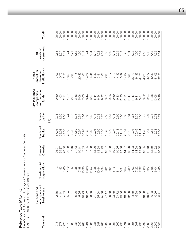Distribution of Domestic Holdings of Government of Canada Securities *Distribution of Domestic Holdings of Government of Canada Securities* PART D-Treasury Bills and Canada Bills Reference Table IV (cont'd) Reference Table IV *(cont'd)*

100.00 Total<sup>5</sup> 00.00 100.00 100.00 100.00 100.00 100.00 100.00 100.00 100.00 100.00 100.00 100.00 100.00 100.00 100.00 100.00 100.00 100.00 100.00 100.00 100.00 100.00 100.00 100.00 100.00 100.00 100.00 Year end businesses corporations Canada banks banks and the corporations sous proteins institutions sous busine 1976 2.35 2.35 2.35 1.72 26.97 57.12 2.67 2.671 0.60 0.60 7.071 2.65 100.00 1977 4.14 1.43 25.87 52.03 1.50 1.03 10.72 3.27 100.00 1978 4.65 1.60 28.80 44.55 1.56 2.11 12.55 4.19 100.00 1979 5.34 1.12 29.58 45.55 0.44 1.67 10.55 5.74 100.00 1980 7.61 1.47 27.10 38.23 3.15 2.34 12.39 7.71 100.00 1981 5.20 1.88 27.73 43.89 1.75 2.86 11.16 5.52 100.00 1982 5.05 7.88 10.14 40.97 5.54 5.08 20.45 4.90 100.00 1983 10.23 13.98 7.05 34.98 8.64 7.03 14.60 3.49 100.00 1984 16.22 13.66 7.65 28.28 6.08 8.44 14.24 5.44 100.00 1985 23.69 11.57 7.08 22.43 6.48 6.97 14.44 7.34 100.00 1986 24.47 7.38 12.06 22.96 7.13 5.44 15.39 5.17 100.00 1987 25.60 10.44 13.98 16.60 5.38 6.94 13.84 7.22 100.00 00.00.001 11.01 11.01 11.01 11.01 11.01 12.04 8.96.17 12.01 8.32 10.001 8.32 10.01 11.01 11.01 11.01 11.01 11. 1989 1989 27.17 27.17 19.01 19.01 19.01 19.01 19.01 12.03 19.03 10.01 27.17 19.01 12.03 100.00 1990 30.63 9.04 8.88 14.99 7.54 9.86 11.17 7.89 100.00 1991 23.79 8.16 10.24 19.07 7.11 9.69 13.79 8.15 100.00 1992 23.72 8.11 10.55 20.18 6.95 9.83 14.35 6.29 100.00 19.03 19.66 19.66 6.91 12.08 12.11 12.00 6.60 6.60 5.23 15.99 15.99 5.12 1994 13.58 6.57 14.67 23.51 5.32 11.11 17.02 8.22 100.00 1995 12.20 6.89 13.70 23.12 5.81 11.47 18.86 7.94 100.00 1996 8.89 19.22 14.47 14.47 14.47 14.47 14.47 14.47 14.47 14.47 14.47 14.47 14.47 14.47 14.47 14.47 14.47 14.4 001001 001 391.36 14.98 14.98 0.223 14.98 20.31 20.31 20.31 20.31 20.324 20.324 20.31 20.31 20.324 20.41 20.41 1998 1.66 7.97 13.76 21.44 3.07 5.81 41.70 4.59 100.00 00.001 10.001 14 10.001 10.000 10.000 10.000 10.000 10.000 10.000 10.000 10.000 10.000 10.000 10.000 10.000 10 2000 10.42.77 12.77 9.94 9.95 9.40 9.95 9.41 0.95 9.95 9.95 9.95 11.14 100 9.95 9.95 11.13 12.77 9.95 9.94 9.9 2001 9.48 12.42 12.00 12.48 12.48 12.48 12.48 12.48 12.48 12.42 12.59 12.59 12.59 12.59 12.59 12.59 12.59 12.5 2002 0.56 6.04 12.09 12.04 13.04 13.04 19.09 0.93.09 14.08 13.09 14.08 19.09 14.08 13.08 13.08 14.08 14.08 14.0 2003 0.91 4.85 10.80 24.06 0.79 13.98 37.58 7.04 100.00 government<sup>4</sup> levels of unincorporated Non-financial Bank of Chartered Quasi- and pension financial levels of 8.15 5.12 2.65 4.19 5.52 4.90 3.49 5.44 7.34 5.17 7.22 9.32 8.62 7.89 6.29 8.22 7.94 5.32 4.00 4.59 4.10 7.03 7.42 7.04<br>7.04 3.27 5.74 7.71  $\bar{a}$  $P_{\rm C}$  and  $P_{\rm C}$  and  $P_{\rm C}$  and  $P_{\rm C}$  and  $P_{\rm C}$  and  $P_{\rm C}$  and  $P_{\rm C}$  and  $P_{\rm C}$  and  $P_{\rm C}$ institutions<sup>3</sup> and other financial Public Life insurance Public 10.72  $12.55$ 10.55  $12.39$  $11.16$ 20.45 14.60 14.24 14.44 15.39 13.84 12.03  $11.17$ 13.79 14.35 15.99 17.02 18.86 27.79 34.36 41.70 43.25 42.77 40.30 41.06 37.58 7.07  $11.01$ Life insurance and pension companies 9.86 9.69 9.83 12.23 1.03 1.67 2.34 2.86 5.08 7.03 8.44 6.97 5.44 6.94  $9.22$  $11.47$  $11.47$ 9.52 1.28 13.08 13.98 0.60  $2.11$  $9.01$  $11.11$  $9.41$ 5.81 9.94 funds Quasi-<br>banks<sup>2</sup> 0.44  $3.15$ 1.75 5.54 8.64 6.08 6.48 7.13 5.38 6.77 7.56 7.54  $7.11$ 6.95 6.60 5.32 5.81 4.66 3.30  $3.07$ 3.79 0.94 0.79  $0.71$ 1.50 1.56 0.73 0.73 (%) Chartered banks 20.18 20.46 57.93 52.03 44.55 45.55 38.23 43.89 40.97 34.98 28.28 22.43 22.96 16.60 18.36 16.23 14.99 19.07 23.12  $19.91$ 21.44  $11.49$ 19.33 24.06  $21.41$ 23.51  $8.51$  $10.81$ Bank of<br>Canada 13.76 26.97 25.87 28.80 29.58 27.10 27.73  $10.14$ 7.05 7.65 7.08 12.06 13.98 11.99 10.37 8.88 10.24 10.55 12.08 14.67 13.70 14.93 14.98 10.05  $11.13$ 12.39  $11.92$ 10.80 corporations Non-financial 1.88 7.88 8.16 6.57 6.89 7.03 7.22 7.80  $1.72$  $1.43$ 1.60  $1.12$ 1.47 13.98 13.66  $11.57$ 7.38 10.44 8.94  $9.01$ 9.04  $8.11$  $6.91$ 9.27 7.58 6.04 4.85 PART D—Treasury Bills and Canada Bills unincorporated Persons and businesses 4.65 5.20 5.05 10.23 16.22 23.69 24.47 25.60 24.38 27.17 30.63 23.79 23.72 19.66 13.58 12.20 8.89 6.28 1.66 9.48 2.35 4.14 5.34 7.61 10.00  $10.41$ 0.56<br>0.91 Year end 1976 1978 1979 1983 1985 1986 1987 1988 1989 1990 1992 1993 1995 1996 1997 1998 1999 1980 1982 1984 1994 2000 2002 2003 1977 1981 1991 2001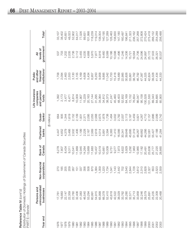| Reference Table IV $\langle \text{cont'} \text{d} \rangle$           |
|----------------------------------------------------------------------|
| Distribution of Domestic Holdings of Government of Canada Securities |
| PART E—Bonds                                                         |

 $\propto$ 

| PART E—Bonds' |                                             |                                        |                   |                    |                              |                                                     |                                                               |                                           |                    |
|---------------|---------------------------------------------|----------------------------------------|-------------------|--------------------|------------------------------|-----------------------------------------------------|---------------------------------------------------------------|-------------------------------------------|--------------------|
| Year end      | unincorporated<br>Persons and<br>businesses | corporations<br>inancial<br>Non-fi     | Bank of<br>Canada | Chartered<br>banks | banks <sup>2</sup><br>Quasi- | Life insurance<br>and pension<br>companies<br>funds | institutions <sup>3</sup><br>and other<br>financial<br>Public | government <sup>4</sup><br>levels of<br>₹ | Total <sup>5</sup> |
|               |                                             |                                        |                   |                    | (\$ millions)                |                                                     |                                                               |                                           |                    |
| 976           | 17,76                                       | 270                                    | 6,278             | 4,447              | 664                          | 1,392                                               | 1,758                                                         | 537                                       | 33,107             |
| 1977          | 19,883                                      | 185                                    | 7,807             | 4,652              | 905                          | 2,173                                               | 2,094                                                         | 703                                       | 38,402             |
| 1978          | 22,147                                      | 205                                    | 8,434             | 4,379              | 1,344                        | 3,477                                               | 2,463                                                         | 1,202                                     | 43,651             |
| 1979          | 22,359                                      | 209                                    | 9,311             | 3,466              | 1,619                        | 6,471                                               | 2,553                                                         | 2,035                                     | 48,023             |
| 1980          | 22,760                                      | 267                                    | 10,541            | 2,502              | 2,152                        | 8,814                                               | 3,130                                                         | 2,736                                     | 52,902             |
| 1981          | 32,406                                      | 151                                    | 11,669            | 1,406              | 2,109                        | 10,009                                              | 3,155                                                         | 3,112                                     | 64,017             |
| 1982          | 41,083                                      | 337                                    | 12,945            | 1,199              | 1,931                        | 11,907                                              | 4,169                                                         | 3,455                                     | 77,026             |
| 1983          | 46,540                                      | 356                                    | 14,264            | 2,228              | 2,371                        | 15,229                                              | 4,608                                                         | 4,035                                     | 89,631             |
| 1984          | 53,294                                      | 508                                    | 13,669            | 2,167              | 2,095                        | 20,163                                              | 5,434                                                         | 4,668                                     | 101,998            |
| 1985          | 60,991                                      | 870                                    | 11,683            | 2,569              | 2,055                        | 27,144                                              | 6,957                                                         | 5,970                                     | 118,239            |
| 1986          | 54,915                                      | 384                                    | 10,407            | 2,618              | 2,568                        | 31,295                                              | 8,250                                                         | 7,877                                     | 119,314            |
| 1987          | 65,999                                      | 359                                    | 10,519            | 4,514              | 2,675                        | 34,064                                              | 9,958                                                         | 8,916                                     | 138,004            |
| 1988          | 66,378                                      | 220                                    | 10,661            | 5,891              | 1,878                        | 34,812                                              | 9,895                                                         | 9,460                                     | I40,195            |
| 1989          | 52,410                                      | 734                                    | 10,009            | 3,394              | 1,738                        | 38,373                                              | 11,042                                                        | 8,589                                     | 127,289            |
| 1990          | 43,618                                      | <b>B41</b><br>$\overline{\phantom{0}}$ | 9,751             | 6,383              | 1,484                        | 41,247                                              | 12,753                                                        | 10,186                                    | 126,463            |
| 1991          | 42,522                                      | 143<br>$\vdash$ $\land$                | 9,277             | 11,410             | 3,002                        | 45,460                                              | 15,418                                                        | 10,598                                    | 138,830            |
| 1992          | 38,029                                      | 442                                    | 7,973             | 16,566             | 2,782                        | 48,403                                              | 19,489                                                        | 11,496                                    | 147,180            |
| 1993          | 33,762                                      | 702                                    | 6,622             | 30,341             | 2,007                        | 52,832                                              | 22,985                                                        | 11,246                                    | 160,497            |
| 1994          | 35,280                                      | 540                                    | 5,929             | 39,648             | 3,113                        | 64,169                                              | 30,826                                                        | 14,336                                    | 196,841            |
| 1995          | 32,571                                      | 844                                    | 5,292             | 45,695             | 3,187                        | 72,152                                              | 33,861                                                        | 15,721                                    | 211,323            |
| 1996          | 35,713                                      | ,728                                   | 7,963             | 51,319             | 5,459                        | 76,654                                              | 38,762                                                        | 18,564                                    | 236,162            |
| 1997          | 33,958                                      | 612                                    | 2,965             | 48,267             | 3,921                        | 86,047                                              | 46,792                                                        | 21,706                                    | 257,268            |
| 1998          | 32,246                                      | 310                                    | 17,182            | 49,662             | 4,267                        | 95,158                                              | 47,387                                                        | 24,596                                    | 272,808            |
| 1999          | 28,579                                      | 628<br>$0.0 - 0.0 - 0.0$               | 20,491            | 44,266             | 4,710                        | 100,528                                             | 44,325                                                        | 24,897                                    | 270,424            |
| 2000          | 25,691                                      | 327                                    | 23,636            | 52,081             | 2,157                        | 101,530                                             | 42,824                                                        | 25,172                                    | 275,418            |
| 2001          | 25,235                                      | 653                                    | 25,777            | 55,427             | 2,886                        | 89,343                                              | 39,328                                                        | 27,503                                    | 266,152            |
| 2002          | 22,309                                      | 523<br>$\sim$ $\sim$                   | 27,220            | 47,188             | 2,599                        | 84,695                                              | 41,434                                                        | 26,321                                    | 254,289            |
| 2003          | 20,468                                      | 559                                    | 28,665            | 41,284             | 2,742                        | 85,900                                              | 44,333                                                        | 30,537                                    | 256,488            |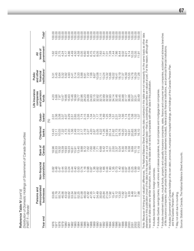Distribution of Domestic Holdings of Government of Canada Securities *Distribution of Domestic Holdings of Government of Canada Securities* Reference Table IV (cont'd) Reference Table IV *(cont'd)* PART F-Bonds<sup>1</sup> PART F—Bonds1

| Year end             | unincorporated<br>Persons and<br>businesses | inancial<br>rations<br>Non-fi  | Canada<br>Bank of                                                             | Chartered<br>banks                                                            | Quasi-<br>banks <sup>2</sup>              | Life insurance<br>and pension<br>companies<br>funds        | institutions <sup>3</sup><br>and other<br>financial<br>Public | levels of<br>₹                                         | Total <sup>5</sup>                                        |
|----------------------|---------------------------------------------|--------------------------------|-------------------------------------------------------------------------------|-------------------------------------------------------------------------------|-------------------------------------------|------------------------------------------------------------|---------------------------------------------------------------|--------------------------------------------------------|-----------------------------------------------------------|
|                      |                                             | corpo                          |                                                                               |                                                                               | (%)                                       |                                                            |                                                               | government <sup>4</sup>                                |                                                           |
| 976                  | Ю<br>53.6                                   |                                |                                                                               |                                                                               |                                           |                                                            |                                                               |                                                        | 100.00                                                    |
|                      |                                             | 0.82<br>0.48                   |                                                                               |                                                                               |                                           | $4.80$<br>$7.97$<br>$7.97$                                 |                                                               |                                                        |                                                           |
| 1977                 | 51.78                                       |                                |                                                                               |                                                                               |                                           |                                                            |                                                               |                                                        | 100.00                                                    |
| 978                  | 50.74                                       | 0.47                           |                                                                               |                                                                               |                                           |                                                            |                                                               |                                                        | 100.00                                                    |
| 1979                 | 46.56                                       |                                |                                                                               |                                                                               | ดี ซี ซี ซี<br>อี ซี ซี ซี<br>อี จี ซี ซี | 13.47                                                      |                                                               |                                                        | 100.00                                                    |
| 080                  | 43.02                                       | 0000<br>48944                  |                                                                               |                                                                               |                                           | 16.66                                                      |                                                               |                                                        |                                                           |
| 981                  |                                             |                                |                                                                               |                                                                               |                                           |                                                            |                                                               |                                                        |                                                           |
| 1982                 |                                             |                                |                                                                               |                                                                               |                                           | 15.63<br>15.46                                             |                                                               |                                                        |                                                           |
| 983                  |                                             |                                |                                                                               |                                                                               |                                           | 16.99                                                      |                                                               |                                                        |                                                           |
| 1984                 |                                             |                                | 13.40<br>9.88                                                                 |                                                                               |                                           | 19.77                                                      |                                                               |                                                        | 100.00<br>100.00<br>100.00<br>100.1                       |
| 1985                 |                                             |                                |                                                                               |                                                                               |                                           | 22.96                                                      |                                                               |                                                        | 100.00                                                    |
| 1986                 | 5<br>031910000000117<br>031910000000117     |                                | 8.72<br>7.62                                                                  |                                                                               |                                           | 26.23                                                      |                                                               |                                                        | 100.00                                                    |
| 1987                 |                                             |                                |                                                                               |                                                                               |                                           |                                                            |                                                               |                                                        |                                                           |
| 1988                 |                                             |                                |                                                                               |                                                                               |                                           |                                                            |                                                               |                                                        |                                                           |
| 1989                 |                                             |                                |                                                                               |                                                                               |                                           |                                                            | 8.67                                                          |                                                        |                                                           |
| 0661                 |                                             |                                |                                                                               |                                                                               |                                           |                                                            |                                                               |                                                        |                                                           |
| 991                  |                                             |                                |                                                                               |                                                                               |                                           |                                                            |                                                               |                                                        |                                                           |
| 1992                 |                                             |                                | 8 8 5 8 9 5 5 8 9 9 9 8<br>6 8 5 6 9 5 6 9 9 9 9 9<br>6 8 5 9 9 9 9 9 9 9 9 9 | 12 けいとするようについているといいかいでいい。おけいとうについていいかいかいかいかいかいかいかいかいかいかいかいかいかいかいかいとうしょうかいかいかい |                                           | 8<br>8 3 5 6 7 8 9 9<br>8 3 5 6 7 8 9 9<br>8 9 9 9 9 9 9 9 |                                                               |                                                        |                                                           |
| 1993                 |                                             |                                |                                                                               |                                                                               |                                           |                                                            |                                                               |                                                        |                                                           |
| 1994                 |                                             |                                |                                                                               |                                                                               |                                           | 32.60                                                      |                                                               |                                                        |                                                           |
| 1995                 |                                             | $0 + 10$<br>$48000$<br>$48000$ |                                                                               |                                                                               |                                           | 34.14                                                      |                                                               |                                                        | 100.00                                                    |
| 1996                 |                                             |                                |                                                                               |                                                                               |                                           |                                                            |                                                               |                                                        | 100.00                                                    |
| 1997                 |                                             |                                |                                                                               |                                                                               |                                           |                                                            |                                                               |                                                        |                                                           |
| 1998                 |                                             | 100000<br>1809809<br>1909      |                                                                               |                                                                               |                                           | $3245$<br>$3345$<br>$357$<br>$37$<br>$37$                  |                                                               |                                                        | $\begin{array}{c} 100.00 \\ 100.00 \\ 100.00 \end{array}$ |
| 1999                 | 10.57                                       |                                |                                                                               |                                                                               |                                           |                                                            |                                                               |                                                        |                                                           |
| 2000                 | 9.33<br>9.48                                |                                | 8.58                                                                          |                                                                               |                                           | 36.86                                                      |                                                               |                                                        | 100.00                                                    |
|                      |                                             |                                | 9.69                                                                          |                                                                               |                                           |                                                            | 14.78                                                         |                                                        | 100.00                                                    |
| 2001<br>2002<br>2003 | 8.77<br>7.98                                |                                | 10.70                                                                         |                                                                               |                                           | 33.57<br>33.31                                             | 16.29                                                         | $\begin{array}{c} 10.33 \\ 10.35 \\ 11.91 \end{array}$ | 100.00                                                    |
|                      | 98                                          | S                              |                                                                               |                                                                               |                                           | 33.49                                                      |                                                               |                                                        | $\overline{O}$ .                                          |
|                      |                                             |                                |                                                                               |                                                                               |                                           |                                                            |                                                               |                                                        |                                                           |

Note: Because of timing and valuation differences, The National Balance Sheet Accounts data contained in this table are not necessarily on the same basis as other data Note: Because of timing and valuation differences, The National Balance Sheet Accounts data contained in this table are not necessarily on the same basis as other data elsewhere in this publication (most of the data in this report are on a par-value basis-that is, outstanding securities are valued at par). For this reason, although the elsewhere in this publication (most of the data in this report are on a par-value basis—that is, outstanding securities are valued at par). For this reason, although the two sets of data yield very similar information, the data in this table are not strictly comparable with other data in this publication. two sets of data yield very similar information, the data in this table are not strictly comparable with other data in this publication.

<sup>1</sup> Includes bonds denominated in foreign currencies. <sup>1</sup> Includes bonds denominated in foreign currencies.

<sup>2</sup> Includes Quebec savings banks, credit unions and caisses populaires, trust companies and mortgage loan companies. Includes Quebec savings banks, credit unions and caisses populaires, trust companies and mortgage loan companies.

- <sup>3</sup> Includes investment dealers, mutual funds, property and casualty insurance companies, sales, finance and consumer loan companies, accident and sickness branches Includes investment dealers, mutual funds, property and casualty insurance companies, sales, finance and consumer loan companies, accident and sickness branches of life insurance companies, other private financial institutions (not elsewhere included), federal public financial institutions, and provincial financial institutions. of life insurance companies, other private financial institutions (not elsewhere included), federal public financial institutions, and provincial financial institutions.
- <sup>4</sup> Includes Government of Canada holdings of its own debt, provincial, municipal and hospital holdings, and holdings of the Canada Pension Plan Includes Government of Canada holdings of its own debt, provincial, municipal and hospital holdings, and holdings of the Canada Pension Plan and the Quebec Pension Plan. and the Quebec Pension Plan.

<sup>5</sup> May not add due to rounding. May not add due to rounding.

Source: Statistics Canada, The National Balance Sheet Accounts. Source: Statistics Canada, *The National Balance Sheet Accounts*.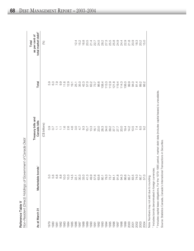|                                            | Non-Resident (Direct) Holdings of Government of Canada Debt |                                    |                                                                                                                                                                                                                                                                                                       | Total                                            |
|--------------------------------------------|-------------------------------------------------------------|------------------------------------|-------------------------------------------------------------------------------------------------------------------------------------------------------------------------------------------------------------------------------------------------------------------------------------------------------|--------------------------------------------------|
| As at March 31                             | Marketable bonds <sup>1</sup>                               | Treasury bills and<br>Canada bills | Total                                                                                                                                                                                                                                                                                                 | total market debt <sup>2</sup><br>as per cent of |
|                                            |                                                             | (C\$ billions)                     |                                                                                                                                                                                                                                                                                                       | (%)                                              |
| 979                                        |                                                             |                                    |                                                                                                                                                                                                                                                                                                       |                                                  |
| 080                                        |                                                             |                                    |                                                                                                                                                                                                                                                                                                       |                                                  |
| 981                                        |                                                             | 0.7700                             |                                                                                                                                                                                                                                                                                                       |                                                  |
| 1982                                       |                                                             |                                    |                                                                                                                                                                                                                                                                                                       |                                                  |
| 1983                                       |                                                             | $7.0000$<br>$7.000$                |                                                                                                                                                                                                                                                                                                       |                                                  |
| 1984                                       |                                                             |                                    |                                                                                                                                                                                                                                                                                                       |                                                  |
| 1985                                       |                                                             |                                    |                                                                                                                                                                                                                                                                                                       |                                                  |
| 1986                                       | 22.1                                                        | 3.0                                | 25.1                                                                                                                                                                                                                                                                                                  | 12.4                                             |
| 1987                                       | 30.3                                                        | 4.7                                | 35.0                                                                                                                                                                                                                                                                                                  | 15.2                                             |
| 1988                                       |                                                             |                                    | 42.3                                                                                                                                                                                                                                                                                                  | 16.8                                             |
| 1989                                       | $33.4978887788777$                                          | $9.3$<br>15.7                      | 57.0                                                                                                                                                                                                                                                                                                  | 20.5                                             |
| 1990                                       |                                                             | 13.3                               |                                                                                                                                                                                                                                                                                                       | 21.4                                             |
| 1991                                       |                                                             | 16.1                               |                                                                                                                                                                                                                                                                                                       | 22.7                                             |
| 1992                                       |                                                             |                                    |                                                                                                                                                                                                                                                                                                       |                                                  |
| 1993                                       |                                                             | 23.3<br>28.3                       |                                                                                                                                                                                                                                                                                                       |                                                  |
| 1994                                       |                                                             | 34.0                               |                                                                                                                                                                                                                                                                                                       |                                                  |
| 1995                                       |                                                             |                                    |                                                                                                                                                                                                                                                                                                       |                                                  |
| 1996                                       |                                                             | 712<br>275<br>8977                 | $\begin{array}{l} 63.7 \\ 63.7 \\ 73.6 \\ 86.4 \\ 95.9 \\ 96.9 \\ 12.7 \\ 121.8 \\ 121.8 \\ 121.8 \\ 121.8 \\ 121.8 \\ 121.8 \\ 121.8 \\ 121.8 \\ 121.8 \\ 122.8 \\ 122.8 \\ 123.8 \\ 124.8 \\ 124.8 \\ 123.8 \\ 124.8 \\ 124.8 \\ 125.8 \\ 124.8 \\ 125.8 \\ 124.8 \\ 124.8 \\ 124.8 \\ 124.8 \\ 12$ | 2222223<br>23222323<br>23222323                  |
| 1997                                       | 91.8                                                        |                                    |                                                                                                                                                                                                                                                                                                       |                                                  |
| 1998                                       | 94.3                                                        | 20.0                               | 119.4<br>114.3                                                                                                                                                                                                                                                                                        | 24.4                                             |
| 1999                                       | 86.6<br>85.7                                                | 19.4                               | 106.0                                                                                                                                                                                                                                                                                                 | 22.9                                             |
| 2000                                       |                                                             | $14.2$<br>$10.5$                   |                                                                                                                                                                                                                                                                                                       | 21.8                                             |
|                                            | 83.5                                                        |                                    | 99.0<br>94.0                                                                                                                                                                                                                                                                                          | 20.9                                             |
| 2001<br>2002<br>2003                       | 74.0                                                        | $\overline{74}$                    | 81.4                                                                                                                                                                                                                                                                                                  | 18.3                                             |
|                                            | 80.7                                                        | 5.<br>6.<br>9.<br>9.               | 89.2<br>66.2                                                                                                                                                                                                                                                                                          | 20.2                                             |
| 2004                                       | 57.0                                                        |                                    |                                                                                                                                                                                                                                                                                                       | 15.0                                             |
| Note: Numbers may not add due to rounding. |                                                             |                                    |                                                                                                                                                                                                                                                                                                       |                                                  |

ת<br>ה Note: Numbers may not add due to rounding.  $\frac{1}{2}$ 

1 Includes bonds denominated in foreign currencies. <sup>1</sup> Includes bonds denominated in foreign currencies.

<sup>2</sup> Includes capital lease obligations. For the 1979-1985 period, market debt data (includes capital leases) is unavailable. Includes capital lease obligations. For the 1979–1985 period, market debt data (includes capital leases) is unavailable. Source: Statistics Canada, Canada's International Transactions in Securities. Source: Statistics Canada, *Canada's International Transactions in Securities.*

 $\mathbf{\alpha}$ 

eference

T a ble  $\,>$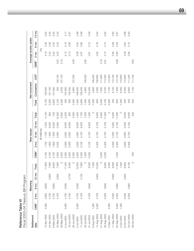| Fiscal 2003-04 Treasury Bill Program |                  |                |                 |                 |         |                  |                |               |                 |          |          |               |                 |                  |                |                       |                 |
|--------------------------------------|------------------|----------------|-----------------|-----------------|---------|------------------|----------------|---------------|-----------------|----------|----------|---------------|-----------------|------------------|----------------|-----------------------|-----------------|
| Settlement                           |                  |                | Maturing        |                 |         |                  |                | New issues    |                 |          |          | Net increment |                 |                  |                | Average tender yields |                 |
| date                                 | CMB <sup>1</sup> | $3 \text{ mo}$ | 6 <sub>mo</sub> | $12 \text{ mo}$ | Total   | CMB <sup>1</sup> | $3 \text{ mo}$ | 6 mo          | $12 \text{ mo}$ | Total    | Total    | Cumulative    | OS <sup>2</sup> | CMB <sup>1</sup> | $3 \text{ mo}$ | 6 <sub>mo</sub>       | $12 \text{ mo}$ |
|                                      |                  |                |                 |                 |         |                  |                | (\$ millions) |                 |          |          |               |                 |                  | (%)            |                       |                 |
| 0-Apr-2003                           | 4,000            | 3,800          | 3,800           |                 | 1,600   | 4,100            | ,700           | ,700          | 7,500           | $-4,100$ | $-4,100$ | 00,500        |                 |                  | 3.19           | 3.36                  | 3.62            |
| 24-Apr-2003                          |                  | 4,100          |                 | 3,800           | 7,900   | 4,700            | 006            | 006           | 8,500           | 600      | $-3,500$ | 101,100       |                 |                  | 3.24           | 3.36                  | 3.55            |
| 8-May-2003                           |                  | 4,700          | 3,900           |                 | 8,600   | 4,700            | 1,900          | 1,900         | 8,500           | $-100$   | $-3,600$ | 101,000       |                 |                  | 3.22           | 3.35                  | 3.55            |
| 22-May-2003                          |                  | 4,100          |                 | 3,800           | 7,900   | 3,000            | 5,000          | 2,000         | 2,000           | 12,000   | 4,100    | 500           | 105,100         | 3.22             | 3.20           | 3.32                  | 3.43            |
| 29-May-2003                          |                  |                |                 |                 | $\circ$ | 2,000            |                |               |                 | 2,000    | 2,000    | 2,500         | 07,100          | 3.19             |                |                       |                 |
| 5-Jun-2003                           | 3,000            | 4,700          | 3,500           |                 | 11,200  | 5,000            | 2,000          | 2,000         | 9,000           | $-2,200$ | 300      | 104,900       |                 |                  | 3.15           | 3.19                  | 3.17            |
| 19-Jun-2003                          |                  | 4,700          |                 | 3,700           | 8,400   | 5,000            | 2,000          | 2,000         | 9,000           | 600      | 900      | 105,500       |                 |                  | 3.13           | 3.08                  | 2.97            |
| 26-Jun-2003                          |                  |                |                 |                 | $\circ$ | 2,000            |                |               |                 | 2,000    | 2,000    | 2,900         | 107,500         | 3.08             |                |                       |                 |
| 3-Jul-2003                           | 2,000            | 4,700          | 3,300           |                 | 10,000  | 5,000            | 2,000          | 2,000         | 9,000           | $-1,000$ | 1,900    | 106,500       |                 |                  | 3.08           | 3.04                  | 2.99            |
| 17-Jul-2003                          |                  | 4,100          |                 | 3,700           | 7,800   | 5,300            | 2,100          | 2,100         | 9,500           | 1,700    | 3,600    | 108,200       |                 |                  | 2.87           | 2.89                  | 2.89            |
| 29-Jul-2003                          |                  |                |                 |                 | $\circ$ | 1,000            |                |               |                 | 1,000    | 1,000    | 4,600         | 09,200          | 2.95             |                |                       |                 |
| $31 - Jul - 2003$                    |                  | 4,700          | 3,600           |                 | 8,300   | 5,300            | 2,100          | 2,100         | 9,500           | 1,200    | 5,800    | 110,400       |                 |                  | 2.81           | 2.72                  | 2.69            |
| 5-Aug-2003                           | 1,000            |                |                 |                 | 1,000   |                  |                |               |                 | $\circ$  | $-1,000$ | 4,800         | 09,400          |                  |                |                       |                 |
| 14-Aug-2003                          | 2,000            | 4,700          |                 | 3,600           | 10,300  |                  | 5,300          | 2,100         | 2,100           | 9,500    | $-800$   | 4,000         | 108,600         |                  | 2.82           | 2.78                  | 2.84            |
| 21-Aug-2003                          |                  |                |                 |                 | $\circ$ | 3,000            |                |               |                 | 3,000    | 3,000    | 7,000         | 11,600          | 2.79             |                |                       |                 |
| 28-Aug-2003                          |                  | 5,000          | 3,800           |                 | 8,800   | 2,000            | 5,300          | 2,100         | 2,100           | 11,500   | 2,700    | 9,700         | 14,300          | 2.91             | 2.70           | 2.74                  | 2.85            |
| 4-Sep-2003                           | 2,000            |                |                 |                 | 2,000   |                  |                |               |                 | $\circ$  | $-2,000$ | 7,700         | 12,300          |                  |                |                       |                 |
| 11-Sep-2003                          |                  | 5,000          |                 | 3,600           | 8,600   |                  | 5,000          | 2,000         | 2,000           | 9,000    | 400      | 8,100         | 12,700          |                  | 2.65           | 2.68                  | 2.80            |
| 25-Sep-2003                          | 3,000            | 5,000          | 3,600           |                 | 11,600  | 1,500            | 5,300          | 2,100         | 2,100           | 11,000   | $-600$   | 7,500         | 12,100          | 2.69             | 2.60           | 2.59                  | 2.67            |
| 2-Oct-2003                           | 1,500            |                |                 |                 | 1,500   |                  |                |               |                 | $\circ$  | $-1,500$ | 6,000         | 10,600          |                  |                |                       |                 |
| 9-Oct-2003                           |                  | 5,000          |                 | 3,800           | 8,800   |                  | 5,000          | 2,000         | 2,000           | 9,000    | 200      | 6,200         | 10,800          |                  | 2.59           | 2.62                  | 2.68            |
| 23-Oct-2003                          |                  | 5,300          | 3,800           |                 | 9,100   |                  | 5,300          | 2,100         | 2,100           | 9,500    | 400      | 6,600         | 11,200          |                  | 2.65           | 2.70                  | 2.83            |
| 29-Oct-2003                          |                  |                |                 |                 | $\circ$ | 500              |                |               |                 | 500      | 500      | 7,100         | 111,700         | 2.63             |                |                       |                 |

Bill Dr Reference Table VI<br>Fiscal 2003–04 Treas Reference Table VI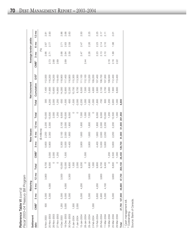$\propto$ eference ⊦≖ ble VI *(c o nt'd) Fis c al 2 0 0 3 – 0 4 Tre a s ury Bill Pro gra*

| Fiscal zuus-u4 Ireasury Bill Program |                  |                              |                 |                 |         |                  |         |                 |                 |         |          |               |                 |                  |         |                       |                 |
|--------------------------------------|------------------|------------------------------|-----------------|-----------------|---------|------------------|---------|-----------------|-----------------|---------|----------|---------------|-----------------|------------------|---------|-----------------------|-----------------|
| Settlement                           |                  |                              | Maturing        |                 |         |                  |         | New issues      |                 |         |          | Net increment |                 |                  |         | Average tender yields |                 |
| date                                 | CMB <sup>1</sup> | $3 \text{ mo}$               | 6 <sub>mo</sub> | $12 \text{ mo}$ | Total   | CMB <sup>1</sup> | mo<br>က | 6 <sub>mo</sub> | $12 \text{ mo}$ | Total   | Total    | Cumulative    | OS <sup>2</sup> | CMB <sup>1</sup> | mo<br>က | ρg<br>ဖ               | $12 \text{ mo}$ |
|                                      |                  |                              |                 |                 |         |                  |         | (\$ millions)   |                 |         |          |               |                 |                  | (%)     |                       |                 |
| 6-Nov-2003                           | 500              | 5,300                        |                 | 3,900           | 9,700   |                  | 5,600   | 2,200           | 2,200           | 10,000  | 300      | 7,400         | 112,000         |                  | 2.66    | 2.67                  | 2.81            |
| 20-Nov-2003                          |                  | 5,300                        | 4,000           |                 | 9,300   | 3,000            | 5,900   | 2,300           | 2,300           | 13,500  | 4,200    | 11,600        | 16,200          | 2.73             | 2.71    | 2.77                  | 2.93            |
| 26-Nov-2003                          |                  |                              |                 |                 |         | 2,000            |         |                 |                 | 2,000   | 2,000    | 13,600        | 118,200         | 2.68             |         |                       |                 |
| 27-Nov-2003                          |                  |                              |                 |                 | O       | 1,250            |         |                 |                 | 1,250   | 1,250    | 14,850        | 119,450         | 2.69             |         |                       |                 |
| 4-Dec-2003                           | 1,250            | 5,300                        |                 | 3,500           | 10,050  |                  | 5,300   | 2,100           | 2,100           | 9,500   | -550     | 14,300        | 118,900         |                  | 2.68    | 2.71                  | 2.86            |
| 18-Dec-2003                          | 3,000            | 5,000                        | 4,000           |                 | 12,000  | 1,500            | 5,000   | 2,000           | 2,000           | 10,500  | $-1,500$ | 12,800        | 17,400          | 2.69             | 2.64    | 2.63                  | 2.68            |
| 30-Dec-2003                          |                  | 5,300                        |                 | 3,300           | 8,600   |                  | 4,400   | 1,800           | 1,800           | 8,000   | $-600$   | 12,200        | 116,800         |                  | 2.59    | 2.59                  | 2.63            |
| 5-Jan-2004                           | 1,500            |                              |                 |                 | 1,500   |                  |         |                 |                 | $\circ$ | $-1,500$ | 10,700        | 115,300         |                  |         |                       |                 |
| 7-Jan-2004                           | 2,000            |                              |                 |                 | 2,000   |                  |         |                 |                 | $\circ$ | $-2,000$ | 8,700         | 113,300         |                  |         |                       |                 |
| 15-Jan-2004                          |                  | 5,000                        | 4,200           |                 | 9,200   |                  | 3,800   | 1,600           | 1,600           | 7,000   | $-2,200$ | 6,500         | 111,100         |                  | 2.47    | 2.47                  | 2.50            |
| 28-Jan-2004                          |                  |                              |                 |                 | $\circ$ | 1,000            |         |                 |                 | 1,000   | 1,000    | 7,500         | 112,100         | 2.44             |         |                       |                 |
| 29-Jan-2004                          |                  | 5,300                        |                 | 3,600           | 8,900   |                  | 3,800   | 1,600           | 1,600           | 7,000   | $-1,900$ | 5,600         | 10,200          |                  | 2.26    | 2.26                  | 2.25            |
| 2-Feb-2004                           | 1,000            |                              |                 |                 | 1,000   |                  |         |                 |                 | $\circ$ | $-1,000$ | 4,600         | 109,200         |                  |         |                       |                 |
| 12-Feb-2004                          |                  | 5,600                        | 4,200           |                 | 9,800   |                  | 4,400   | 1,800           | 1,800           | 8,000   | $-1,800$ | 2,800         | 107,400         |                  | 2.23    | 2.23                  | 2.25            |
| 26-Feb-2004                          |                  | 5,900                        |                 | 3,800           | 9,700   |                  | 5,000   | 2,000           | 2,000           | 9,000   | $-700$   | 2,100         | 106,700         |                  | 2.13    | 2.14                  | 2.17            |
| 11-Mar-2004                          |                  | 5,300                        | 4,100           |                 | 9,400   |                  | 5,600   | 2,200           | 2,200           | 10,000  | 600      | 2,700         | 107,300         |                  | 2.10    | 2.10                  | 2.11            |
| 18-Mar-2004                          |                  |                              |                 |                 | $\circ$ | 1,200            |         |                 |                 | 1,200   | 1,200    | 3,900         | 108,500         | 2.16             |         |                       |                 |
| 25-Mar-2004                          |                  | 5,000                        |                 | 3,600           | 8,600   | 2,500            | 5,600   | 2,200           | 2,200           | 12,500  | 3,900    | 7,800         | 112,400         | 2.16             | 1.99    | 1.98                  | 2.01            |
| 29-Mar-2004                          |                  |                              |                 |                 | $\circ$ | 1,000            |         |                 |                 | 1,000   | 1,000    | 8,800         | 113,400         | 2.22             |         |                       |                 |
| Total                                |                  | 27,750 127,900 49,800 47,700 |                 |                 | 253,150 | 28,450           | 129,700 | 51,900          | 51,900          | 261,950 | 8,800    |               |                 |                  |         |                       |                 |

1 Cash management bill.<br><sup>2</sup> Outstanding.

<sup>1</sup> Cash management bill.<br><sup>2</sup> Outstanding.<br>Source: Bank of Canada. Source: Bank of Canada.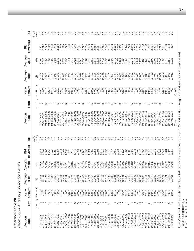Fiscal 2003-04 Treasury Bill Auction Results *Fiscal 2003–04 Treasury Bill Auction Results* Reference Table VII Reference Table VII

| Tail             | points)<br>(basis      |                        | ب بہ بہ<br>$\circ$        | 0                                                                                   | ယ္                                   |                  | $\ddot{\circ}$ $\ddot{\circ}$ $\ddot{\circ}$<br>$\circ$ |                      |                | r.            | 0.7                                                           | တ္          | က္                                                                                                                     |                        | 9<br>ယ္                         | Ņ                      |                | 4           |                |                            |                |                     | က္               | Ņ                        | $\sim 4$         |                                      | $^\circ$         | တ္            | က္               | က္<br>က္                   | 0.4                        | 0.6           | œ                    | 0.4                    | 4                | တ္<br>4<br>O               | က္<br>$\circ$                   |             |                            |         |
|------------------|------------------------|------------------------|---------------------------|-------------------------------------------------------------------------------------|--------------------------------------|------------------|---------------------------------------------------------|----------------------|----------------|---------------|---------------------------------------------------------------|-------------|------------------------------------------------------------------------------------------------------------------------|------------------------|---------------------------------|------------------------|----------------|-------------|----------------|----------------------------|----------------|---------------------|------------------|--------------------------|------------------|--------------------------------------|------------------|---------------|------------------|----------------------------|----------------------------|---------------|----------------------|------------------------|------------------|----------------------------|---------------------------------|-------------|----------------------------|---------|
| coverage<br>Bid  |                        | $-291$                 | 2.076                     | 2.049                                                                               | 2.128                                | 1.718            | 2.258<br>1.839                                          | 1.893                | 1.826          | 1.994         | 1.885<br>1.946                                                | 2.107       | 1.821                                                                                                                  | 2.222                  | 2.180<br>2.015                  | 2.148                  | 2.484          | 2.267       | 1.921          | 2.024<br>2.028             | 2.224          | 2.398               | 2.238            | 2.376                    | 2.460            | 2.475<br>2.502                       | 1.778            | 2.446         | 2.329            | 2.509<br>2.348             | 2.063                      | 2.068         | 1.787                | 2.124                  | 2.303            | 2.130<br>2.325             | 2.181                           | 2.259       | 1.588<br>.805              |         |
| Average<br>yield | (%)                    | 2.595                  | 2.620<br>2.833            | 2.651                                                                               | 2.699                                | 2.634            | 2.812<br>2.665                                          | 2.673                | 2.933          | 2.714         | 2.726<br>2.773                                                | 2.680       | 2.687                                                                                                                  | 2.858                  | 2.710<br>2.681                  | 2.683                  | 2.641          | 2.626       | 2.688          | 2.590<br>2.632             | 2.585          |                     | 2.498<br>2.472   | 2.468<br>2.249           |                  | 2.260<br>2.258                       | 2.443            | 2.246         | 2.233<br>2.234   | 2.172                      | 2.133                      | 2.142         | 2.110                | 2.100                  | 2.099            | 2.158<br>2.006             | 1.990                           | 1.976       | 2.158<br>2.222             |         |
| Average<br>price | $\bigoplus$            | 99.308                 | 98.710<br>97.355          | 99.293                                                                              | 98.773                               | 99.942           | 97.272<br>99.290                                        | 98.685               | 97.264         | 99.277        | 98.740<br>99.791                                              | 99.693      | 99.948                                                                                                                 | 97.229                 | 98.667                          | 97.492                 | 99.296         | 98.806      | 99.868         | 97.429<br>99.295           | 98.721         | 97.661              | 99.341           | 98.883                   | 97.806           | 99.397<br>98.887                     | 99.967           | 97.892        | 99.404           | 98.982<br>97.880           | 99.431                     | 98.943        | 98.017               | 99.439                 | 99.043           | 98.039<br>99.917           | 99.474                          | 99.024      | 99.982<br>99.917           |         |
| amount<br>Issue  | (\$ millions)          | 5,000<br>2,000         |                           | 2,100<br>5,300                                                                      | 2,100                                | 500              | 2,200<br>5,600                                          | 2,200                | 2,300<br>5,900 |               | 2,300<br>3,000                                                |             | 2,000<br>1,250                                                                                                         | 2,100                  | 5,300<br>2,100                  | 2,000                  | 5,000          | 2,000       | 1,500<br>1,800 |                            | 4,400<br>1,800 | 1,600               | 3,800            | 1,600                    | 1,600            | 1,600<br>3,800                       | 1,000            | 1,800         | 4,400            | 1,800<br>2,000             | 5,000                      | 2,000         | 2,200                | 5,600                  | 2,200            | 1,200<br>2,200             | 5,600                           | 2,200       | 1,000<br>2,500             | 261,950 |
| Term             | (months)               |                        |                           | $\begin{array}{c}\n\alpha & \alpha & \beta \\ \alpha & \beta & \alpha\n\end{array}$ |                                      |                  |                                                         |                      |                |               | $\circ$<br>$\circ$                                            | $\circ$     | $\circ$                                                                                                                | $\frac{1}{2}$ $\infty$ | $\circ$                         | $\frac{1}{2}$ $\infty$ |                | $\circ$     | $\circ$        | $\frac{1}{2}$ $\infty$     |                | $O \n\cap \n\infty$ |                  |                          |                  | $\frac{1}{6}$ $\omega$ $\infty$      | O                | $\frac{N}{2}$ |                  |                            | $OQ$ $OQ$                  |               | $\frac{1}{\sqrt{2}}$ | က                      | $\circ$          | $\frac{\infty}{\infty}$    |                                 |             |                            |         |
| Auction<br>date  |                        | 7-Oct-2003             | 21-Oct-2003<br>7-Oct-2003 | 21-Oct-2003                                                                         | 21-Oct-2003                          | 28-Oct-2003      | 4-Nov-2003<br>4-Nov-2003                                | 4-Nov-2003           | 18-Nov-2003    | 18-Nov-2003   | 18-Nov-2003<br>19-Nov-2003                                    | 25-Nov-2003 | 26-Nov-2003                                                                                                            | 2-Dec-2003             | 2-Dec-2003<br>2-Dec-2003        | 16-Dec-2003            | 16-Dec-2003    | 16-Dec-2003 | 17-Dec-2003    | 29-Dec-2003<br>29-Dec-2003 | 29-Dec-2003    | 13-Jan-2004         | 13-Jan-2004      | 13-Jan-2004              | 27-Jan-2004      | 27-Jan-2004<br>27-Jan-2004           | 28-Jan-2004      | 10-Feb-2004   | 10-Feb-2004      | 24-Feb-2004<br>10-Feb-2004 | 24-Feb-2004                | 24-Feb-2004   | 9-Mar-2004           | 9-Mar-2004             | 9-Mar-2004       | 18-Mar-2004<br>23-Mar-2004 | 23-Mar-2004                     | 23-Mar-2004 | 29-Mar-2004<br>25-Mar-2004 | Total   |
| Tail             | points)<br>(basis      | 0.4                    | 0.5<br>0.5                |                                                                                     | 0.5<br>0.0                           | ro co<br>$\circ$ | Ņ<br>Ö<br>$\circ$                                       | $\frac{2}{\sqrt{2}}$ | 0.4            | ယ္<br>$\circ$ | တ္                                                            | တ္          | $\sim$                                                                                                                 | ယ္<br>Õ                | $0.\overline{3}$<br>0.6         | $0.\overline{3}$       | 0.5            | 0.4         | ā              | $\overline{0}$<br>0.4      | $\overline{2}$ | $\frac{0}{1}$       | $0.\overline{3}$ | $\overline{\mathcal{E}}$ | $0.\overline{8}$ | $\overline{0.7}$<br>$\overline{0.7}$ | $0.\overline{6}$ | 0.6           | $0.\overline{3}$ | 0.6<br>$\overline{0}$ .    | 0.4                        | $\frac{3}{2}$ | 3.6                  | 0.5                    | $0.\overline{3}$ | 0.6<br>$0.\overline{6}$    | 0.6                             |             |                            |         |
| coverage<br>Bid  |                        | 2.344                  | 2.292<br>2.187            | 1.958                                                                               | 2.242                                | 1.986            | 2.285<br>1.987                                          | 2.462                | 2.051          | 2.177         | 2.175<br>1.841                                                | 2.168       | 2.006                                                                                                                  | 1.947                  | 2.355<br>1.924                  | 2.260                  | 2.254<br>2.304 |             | 1.689          | 2.153<br>2.181             | 2.013          | 2.217               | 2.460            | 2.128                    | 2.025            | 1.963<br>2.080                       | 1.992            | 2.126         | 2.048            | 2.009<br>2.120             | 2.030                      | 2.519         | 1.818                | 2.116                  | 2.379            | 2.060<br>2.269             | 2.042                           | 2.204       | 2.080<br>2.027             |         |
| Average<br>yield | (%)                    | 3.625                  | 3.190<br>3.358            | 3.554                                                                               | 3.241                                | 3.365            | 3.218<br>3.548                                          | 3.352                | 3.431          | 3.197         | 3.315<br>3.221                                                | 3.191       | 3.168                                                                                                                  | 3.155                  | 3.189<br>2.969                  | 3.127                  | 3.077          | 3.076       | 2.993          | 3.044<br>3.077             | 2.894          | 2.869               | 2.887            | 2.949                    | 2.690            | 2.808<br>2.715                       | 2.840            | 2.819         | 2.779            | 2.853<br>2.794             | 2.700                      | 2.741         | 2.914                | 2.805                  | 2.654            | 2.684<br>2.671             | 2.597                           | 2.592       | 2.676<br>2.689             |         |
| Average<br>price | ⊕                      | 96.641                 | 98.478<br>99.151          | 96.57                                                                               | 99.137                               | 98.350           | 96.710<br>99.143                                        | 98.481               | 96.692         | 99.149        | 98.374<br>99.877                                              | 99.695      | 97.052                                                                                                                 | 99.160                 | 98.553<br>97.124                | 99.167                 | 98.489         | 99.589      | 97.210         | 98.618<br>99.181           | 97.195         | 99.236              | 98.581           | 99.943                   | 97.485           | 99.252<br>98.766                     | 97.246           | 99.249        | 98.633           | 99.733<br>97.337           | 99.280                     | 98.754        | 99.944               | 97.279                 | 99.292           | 98.679<br>97.503           | 99.322                          | 98.821      | 99.948<br>97.401           |         |
| amount<br>Issue  | (months) (\$ millions) | 1,700                  | 4,100<br>002'1            | 1,900                                                                               | 4,700                                | 1,900            | 1,900<br>4,700                                          | 1,900                | 2,000          | 5,000         | 2,000<br>3,000                                                | 2,000       | 2,000                                                                                                                  | 5,000                  | 2,000                           | 2,000                  | 2,000<br>2,000 |             | 2,000<br>5,000 |                            | 2,000<br>2,100 | 5,300               | 2,100            | 1,000                    | 2,100            | 5,300<br>2,100                       | 2,100            | 5,300         | 2,100            | 3,000                      | 2,100<br>5,300             | 2,100         | 2,000                | 2,000                  | 5,000            | 2,000<br>2,100             | 5,300                           | 2,100       | 1,500<br>2,000             |         |
| Term             |                        | $\frac{1}{2}$ $\infty$ |                           |                                                                                     | $\stackrel{\sim}{\leftarrow} \infty$ |                  | $\circ$ $\frac{1}{2}$ $\circ$ $\circ$                   |                      |                |               | $\overset{\sim}{\sim}$ $\overset{\sim}{\sim}$ $\circ$ $\circ$ | $\circ$     | $P$ $\alpha$ $\alpha$ $\alpha$ $\beta$ $\alpha$ $\alpha$ $\alpha$ $\beta$ $\alpha$ $\alpha$ $\alpha$ $\alpha$ $\alpha$ |                        |                                 |                        |                |             |                |                            |                |                     |                  |                          |                  | $O \underset{t}{\sim} \infty$        |                  |               | $\sum_{i=1}^{n}$ |                            | $\sum_{i=1}^{n}$           |               |                      | $\frac{1}{2}$ $\infty$ |                  |                            | $\frac{1}{2}$ $\omega$ $\infty$ |             | $\circ$<br>$\frac{1}{2}$   |         |
| Auction<br>date  |                        | 8-Apr-2003             | 8-Apr-2003<br>8-Apr-2003  | 22-Apr-2003                                                                         | 22-Apr-2003                          | 22-Apr-2003      | 6-May-2003<br>6-May-2003                                | 6-May-2003           | 20-May-2003    | 20-May-2003   | 21-May-2003<br>20-May-2003                                    | 28-May-2003 | 3-Jun-2003                                                                                                             | 3-Jun-2003             | $17 - Jun - 2003$<br>3-Jun-2003 | 17-Jun-2003            | 17-Jun-2003    | 25-Jun-2003 | 2-Jul-2003     | 2-Jul-2003<br>2-Jul-2003   | 15-Jul-2003    | 15-Jul-2003         | 15-Jul-2003      | 28-Jul-2003              | 29-Jul-2003      | 29-Jul-2003<br>29-Jul-2003           | 12-Aug-2003      | 12-Aug-2003   | 12-Aug-2003      | 21-Aug-2003                | 26-Aug-2003<br>26-Aug-2003 | 26-Aug-2003   | 28-Aug-2003          | 9-Sep-2003             | 9-Sep-2003       | 23-Sep-2003<br>9-Sep-2003  | 23-Sep-2003                     | 23-Sep-2003 | 24-Sep-2003<br>7-Oct-2003  |         |

Source: Bank of Canada.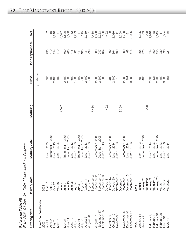| í      |
|--------|
|        |
| I<br>i |
|        |
|        |
|        |
| ı      |
| ı      |
|        |
|        |
| ı      |
|        |
|        |
|        |
|        |
|        |

 $\mathbf{\alpha}$ *Fis c al 2 0 0 3 – 0 4 C a n a dia n-D ollar Marketa ble B o n d Pro gra*

*m*

| Offering date      | Delivery date        | Maturity date                | Maturing | Gross         | Bond repurchase   | Net                  |
|--------------------|----------------------|------------------------------|----------|---------------|-------------------|----------------------|
| Fixed-coupon bonds |                      |                              |          | (\$ millions) |                   |                      |
| 2003               | 2003                 |                              |          |               |                   |                      |
| April 9            | April 14             | June 1, 2033                 |          | 300           | 293               |                      |
| April 24           | April 29             | September 1, 2008            |          | 400           | 410               | $-10$                |
| Nay 7              | May 12               | June 1, 2013                 |          | 2,400         | 154               | 2,246                |
| May 14             | May 16               | June 1, 2005                 |          | 400           | 319               | $\overline{6}$       |
|                    | June 2<br>June 2     |                              | 7,097    |               |                   | $-7,097$             |
| May 28             |                      | September 1, 2008            |          | 2,300         |                   | 1,800                |
|                    | June 13              | December 1, 2005             |          | 2,700         |                   | 2,000                |
| June 11<br>June 19 | June 25              | June 1, 2013                 |          | 600           | 800<br>000<br>000 | 182                  |
| July 9<br>July 16  | July 14              | June 1, 2033                 |          | 1,600         | 301               | 1,299                |
|                    | July 21              | September 1, 2008            |          | 400           | 441               | $-41$                |
| July 30            | August 1             | December 1, 2005             |          | 300           | 185               | 115                  |
| August 6           | August 11            | June 1, 2013                 |          | 2,400         | $\frac{5}{29}$    | 2,319                |
| August 20          | August 25            | June 1, 2033                 |          | 300           |                   |                      |
|                    | September            |                              | 7,480    |               |                   |                      |
| August 27          | September            | September 1, 2008            |          | 2,300         | 500               | $-7,480$<br>1,800    |
| September 17       | င္<br>September      | December 1, 2005             |          | 2,500         | 247               | 2,253                |
| September 25       | September            | June 1, 2013                 |          | 600           | 464               | 136                  |
|                    | October <sub>1</sub> |                              | 452      |               |                   | $-452$               |
| October 8          | October 14           | September 1, 2008            |          | 400           | 392               | $\infty$             |
| October 15         | October 20           | June 1, 2014<br>June 1, 2033 |          | 2,400         |                   | 2,036                |
| November 5         | November 10          |                              |          | 210           | 364<br>199        | $\overline{+}$       |
|                    | December             |                              | 8,358    |               |                   | $-8,358$             |
| November 26        | December             | September 1, 2009            |          | 2,300         | 600               | 1,700                |
| December 10        | December             | June 1, 2014                 |          | 407           | 488               | $\overline{\varphi}$ |
| December 17        | December 19          | June 1, 2006                 |          | 3,500         | 414               | 3,086                |
| 2004               | 2004                 |                              |          |               |                   |                      |
| January 14         | January 19           | June 1, 2033                 |          | 1,500         | 105               | 1,395                |
| January 21         | January 26           | September 1, 2009            |          | 400           | 473               | $-73$                |
|                    | February 2           |                              | 929      |               |                   | $-929$               |
| February 4         | February 9           | June 1, 2014                 |          | 2,300         | 354               | 1,946                |
| February 11        | February 13          | June 1, 2006                 |          | 138           |                   | 38                   |
| February 18        | February 23          | September 1, 2009            |          | 2,200         | 1580              | 2,045                |
| February 25        | March <sub>1</sub>   | June 1, 2033                 |          | 300           |                   | $\overline{+}$       |
| March 10           | March 12             | June 1, 2006                 |          | 3,500         | 696<br>221        | 2,804<br>140         |
| March 17           | March 22             | June 1, 2014                 |          | 361           |                   |                      |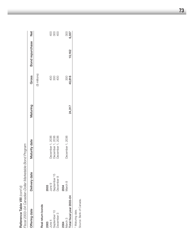| Fiscal 2003-04 Canadian-Dollar Marketable Bond Program<br>Reference Table VIII (cont'd) |               |                                      |          |               |                 |                            |
|-----------------------------------------------------------------------------------------|---------------|--------------------------------------|----------|---------------|-----------------|----------------------------|
| Offering date                                                                           | Delivery date | Maturity date                        | Maturing | Gross         | Bond repurchase | Net                        |
|                                                                                         |               |                                      |          | (\$ millions) |                 |                            |
| Real return bonds                                                                       |               |                                      |          |               |                 |                            |
| 2003                                                                                    | 2003          |                                      |          |               |                 |                            |
| June $4$                                                                                | June 9        | December 1, 2036                     |          |               |                 |                            |
| September 10                                                                            | September 15  |                                      |          | 2880          |                 | 8<br>8<br>8<br>8<br>8<br>8 |
| December 3                                                                              | December 8    | December 1, 2036<br>December 1, 2036 |          |               |                 |                            |
| 2004                                                                                    | 2004          |                                      |          |               |                 |                            |
| March 3                                                                                 | Vlarch 8      | December 1, 2036                     |          | 300           |                 | 300<br>6.337               |
| Total fiscal year 2003-04                                                               |               |                                      | 24,317   | 40,816        | 10,162          |                            |
|                                                                                         |               |                                      |          |               |                 |                            |

\* Maturing date. Maturing date.

Source: Bank of Canada. Source: Bank of Canada.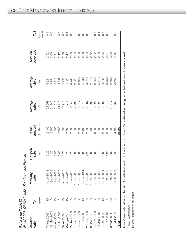|                        | )<br>)<br>)<br>o<br>Pac,<br>i nhinni<br>うっりり<br>e Bond      |
|------------------------|-------------------------------------------------------------|
|                        | こんしょくごう こ<br>Ividinu.<br>Ξ                                  |
| ֡֡֡<br>l.<br>こくこく<br>ĺ | <<br><<<br><<<br>5<br>)<br>)<br> <br>3)<br>2)<br>2)<br>よしいこ |

| Auction<br>date | Term        | Maturity<br>date   | Coupon<br>rate | amount<br>Issue         | Average<br>price   | Average<br>yield                                              | coverage<br>Auction | Tail              |
|-----------------|-------------|--------------------|----------------|-------------------------|--------------------|---------------------------------------------------------------|---------------------|-------------------|
|                 | (years      |                    | 8              | (\$ millions)           | $\widehat{\Theta}$ | (%)                                                           |                     | (basis<br>points) |
| 7-May-2003      |             | 1-Jun-201          |                |                         | 102.558            | 4.924                                                         | 2.52                | 0.4               |
| 28-May-2003     |             | $1 -$ Sep-200      | 5.25<br>4.25   |                         | 101.243            | 3.984                                                         | 2.60                | 0.6               |
| 4-Jun-2003      |             | ≌<br>$1 - Dec-203$ | $3.00*$        |                         | 101.810            | 2.915                                                         | 2.91                |                   |
| $11 - Jun-2003$ |             | $1 - Dec-2OC$      | 3.00           |                         | 99.913             | 3.037                                                         | 2.47                | $0.\overline{8}$  |
| 9-Jul-2003      |             | 1-Jun-203          |                |                         | 107.715            | 5.236                                                         | 2.56                | $\overline{0.7}$  |
| 6-Aug-2003      |             | $-$ Jun-201        |                |                         | 101.912            | 5.000                                                         | 2.47                |                   |
| 27-Aug-2003     |             | 1-Sep-200          |                |                         | 100.044            | 4.240                                                         | 2.63                | 0.5<br>0.5        |
| 10-Sep-2003     |             | $1 - Dec-203$      |                | 300                     | 98.239             | 3.085                                                         | 2.69                |                   |
| I7-Sep-2003     |             | $1-Dec-2OC$        |                |                         | 99.612             |                                                               |                     | C.C               |
| 15-Oct-2003     |             | 1-Jun-201          |                | 2,500<br>2,400<br>2,300 | 99.615             | 3.183<br>5.048                                                |                     | G.5               |
| 26-Nov-2003     |             | $1 -$ Sep-200      |                |                         | 99.607             |                                                               |                     | 0.6               |
| 3-Dec-2003      |             | 1-Dec-203          |                | 400                     | 101.793            |                                                               |                     |                   |
| 17-Dec-2003     |             | 1-Jun-200          |                | 3,500                   | 99.522             | $4.329$<br>$2.915$<br>$2.05$<br>$5.113$<br>$4.642$<br>$4.642$ |                     |                   |
| 14-Jan-2004     |             | -Jun-2033          |                |                         | 109.623            |                                                               |                     |                   |
| 4-Feb-2004      | $\supseteq$ | $1 - Jun-201$      |                | 1,500<br>2,300          | 102.900            |                                                               | 2.55                |                   |
| 18-Feb-2004     |             | $1 -$ Sep-200      |                | 2,200                   | 102.272            | 3.790                                                         | 2.64                |                   |
| 3-Mar-2004      |             | 1-Dec-2036         | $3.00*$        | 300                     | 11.177             | 2.498                                                         | 3.09                |                   |
| 10-Mar-2004     |             | $1 - Jun - 2006$   | 3.00           | 3,500                   | 101.152            | .463                                                          | 2.35                | $0.\overline{2}$  |
| Total           |             |                    |                | 35,300                  |                    |                                                               |                     |                   |
|                 |             |                    |                |                         |                    |                                                               |                     |                   |

Note: Coverage is defined as the ratio of total bids at auction to the amount auctioned. Tail is defined as the high accepted yield minus the average yield. Note: Coverage is defined as the ratio of total bids at auction to the amount auctioned. Tail is defined as the high accepted yield minus the average yield. \* Real return bonds. Real return bonds.

Source: Department of Finance. Source: Department of Finance.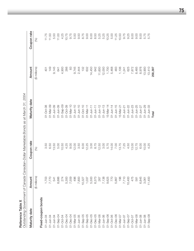| ٢<br>١ |
|--------|
|        |
|        |
|        |
|        |
|        |
|        |
|        |
|        |

| Reference Table X    |               | Outstanding Government of Canada Canadian-Dollar Marketable Bonds as at March 31, 2004 |                           |               |             |
|----------------------|---------------|----------------------------------------------------------------------------------------|---------------------------|---------------|-------------|
| Maturity date        | Amount        | Coupon rate                                                                            | Maturity date             | Amount        | Coupon rate |
|                      | (\$ millions) | (%)                                                                                    |                           | (\$ millions) | (%)         |
| Fixed-coupon bonds   |               |                                                                                        |                           |               |             |
| 01-Jun-04            | 1,703         | 3.50                                                                                   | 01-Oct-08                 | 401           | 11.75       |
| 01-Jun-04            |               | 6.50                                                                                   | $01 - \text{Mar} - 09$    | 149           | 11.50       |
| 01-Jun-04            | 7,770<br>541  | 13.50                                                                                  | $01 - Jun - 09$           | 9,145         | 5.50        |
| $01 - \text{Sep-04}$ | 8,886         | 5.00                                                                                   | $01 - Jun - 09$           | 641           | 11.00       |
| 01-Oct-04            | 274           | 10.50                                                                                  | $01 -$ Sep-09             | 4,900         | 4.25        |
| 01-Dec-04            | 5,300         | 4.25                                                                                   | 01-Oct-09                 | 266           | 10.75       |
| 01-Dec-04            | 7,559         | 9.00                                                                                   | $01 - \text{Mar} - 10$    | 83            | 9.75        |
| 01-Mar-05            | 496           | 12.00                                                                                  | $01 - Jun - 10$           | 9,745         | 5.50        |
| $01 - Jun - 05$      | 7,800         | 3.50                                                                                   | $01 - Jun - 10$           | 2,444         | 9.50        |
| $01 - \text{Sep-05}$ | 10,327        | 6.00                                                                                   | $01 - Oct - 10$           | 132           | 8.75        |
| $01 - \text{Sep-05}$ | 1,037         | 12.25                                                                                  | $01 - \text{Mar-11}$      | 632           | 9.00        |
| $01 - Dec - 05$      | 5,500         | 3.00                                                                                   | $01 - Jun - 11$           | 14,450        | 6.00        |
| $01 - Dec - 05$      | 6,373         | 8.75                                                                                   | $01 - Jun-1+$             | 642           | 8.50        |
| 01-Mar-06            | 267           | 12.50                                                                                  | $01 - Jun - 12$           | 11,600        | 5.25        |
| $01 - Jun - 06$      | 7,138         | 3.00                                                                                   | $01 - Jun - 13$           | 12,000        | 5.25        |
| $01 - \text{Sep-06}$ | 9,625         | 5.75                                                                                   | $15 - \frac{14}{3}$       | 1,700         | 10.25       |
| 01-Oct-06            | 770           | 14.00                                                                                  | 01-Jun-14                 | 5,468         | 5.00        |
| $01 - Dec -06$       | 5,867         | 7.00                                                                                   | $01 - Jun - 15$           | 483           | 11.25       |
| $01 - Max - 07$      | 196           | 13.75                                                                                  | $15 - \text{Mar} - 2^{-}$ | 1,106         | 10.50       |
| $01 - Jun-07$        | 7,710         | 7.25                                                                                   | $01 - Jun-21$             | 1,241         | 9.75        |
| $01 - \text{Sep-07}$ | 10,400        | 4.50                                                                                   | $01 - Jun - 22$           | 625           | 9.25        |
| $01 - Oct - 07$      | 475           | 13.00                                                                                  | $01 - Jun - 23$           | 7,872         | 8.00        |
| $01 - Max - 08$      | 581           | 12.75                                                                                  | $01 - Jun-25$             | 8,485         | 9.00        |
| $01 - Jun - 08$      | 6,845         | 6.00                                                                                   | $01 - Jun-27$             | 8,976         | 8.00        |
| $01 - Jun - 08$      | 3,061         | 10.00                                                                                  | 01-Jun-29                 | 13,900        | 5.75        |
| $01 - \text{Sep-08}$ | 11,400        | 4.25                                                                                   | $01 - Jun - 33$           | 13,410        | 5.75        |
|                      |               |                                                                                        | Total                     | 258,397       |             |

**75**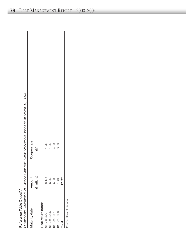| バナバ       | Ì                           |
|-----------|-----------------------------|
| ć         | P                           |
| ⊭         | vernment                    |
| čanc<br>à | alic<br>totor/<br>צו<br>המר |

*din Gnt of C da Cdia n-D ollar Marketa ble Bds at Marc h*

|                         |               | Outstanding Government of Canada Canadian-Dollar Marketable Bonds as at March 31, 2004 |
|-------------------------|---------------|----------------------------------------------------------------------------------------|
| Maturity date           | Amount        | Coupon rate                                                                            |
|                         | (\$ millions) | (%)                                                                                    |
| Real return bonds       |               |                                                                                        |
| 01-Dec-2021             | 175<br>ιó     | 4.25                                                                                   |
| 01-Dec-2026             | ,250<br>5     |                                                                                        |
| 01-Dec-2031             | 800<br>5      | $4.800$<br>$4.800$                                                                     |
| 01-Dec-2036             | 400           |                                                                                        |
| Total                   | 625           |                                                                                        |
| Source: Bank of Canada. |               |                                                                                        |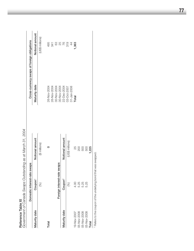| Reference Table XI                                                         |                        | Government of Canada Swaps Outstanding as at March 31, 2004 |                   |                                             |
|----------------------------------------------------------------------------|------------------------|-------------------------------------------------------------|-------------------|---------------------------------------------|
|                                                                            | Domestic interest-rate | swaps                                                       |                   | Cross-currency swaps of foreign obligations |
| Maturity date                                                              | Coupon <sup>1</sup>    | Notional amount                                             | Maturity date     | Notional amount                             |
|                                                                            | (%)                    | (\$ millions)                                               |                   | (US\$ millions)                             |
| Total                                                                      |                        |                                                             | 26-Nov-2004       | 495                                         |
|                                                                            |                        |                                                             | 26-Nov-2004       | 341                                         |
|                                                                            |                        |                                                             | 30-Nov-2004       | $\mathbb{S}^3$                              |
|                                                                            | Foreign interest-rate  | swaps                                                       | 30-Nov-2004       | 25                                          |
| Maturity date                                                              | Coupon <sup>1</sup>    | Notional amount                                             | 22-Dec-2004       | 76                                          |
|                                                                            | (%)                    | (US\$ millions)                                             | 03-Oct-2007       | 319                                         |
|                                                                            |                        |                                                             | $31 - Jan - 2008$ | $\overline{4}$                              |
| 19-Nov-2007                                                                | 4.00                   | 25                                                          | Total             | 1,363                                       |
| 05-Nov-2008                                                                | 5.25                   | 200                                                         |                   |                                             |
| 05-Nov-2008                                                                | 5.25                   | 500                                                         |                   |                                             |
| 05-Nov-2008                                                                | 5.25                   | 500                                                         |                   |                                             |
| Total                                                                      |                        | 1,225                                                       |                   |                                             |
| <sup>1</sup> Refers to the coupon of the underlying bond that was swapped. |                        |                                                             |                   |                                             |

 Refers to the coupon of the underlying bond that was swapped.  $\frac{1}{2}$ 3 שוועו השג 5  $\frac{1}{2}$  $\frac{D}{2}$  $\frac{1}{2}$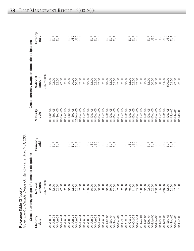|                      | Cross-currency swaps of domestic obligations |                  |                        | Cross-currency swaps of domestic obligations |                  |
|----------------------|----------------------------------------------|------------------|------------------------|----------------------------------------------|------------------|
| Maturity<br>date     | Notional<br>amount                           | Currency<br>paid | Maturity<br>date       | amount<br>Notiona                            | Currency<br>paid |
|                      | (US\$ millions)                              |                  |                        | (US\$ millions)                              |                  |
| 01-Jun-04            | 92.00                                        | EUR              | 01-Sep-05              | 62.00                                        | n⊟<br>⊟          |
| 01-Jun-04            | 62.00                                        |                  | $01 - \text{Sep-05}$   | 92.00                                        | 5<br>巴           |
| 01-Jun-04            | 62.00                                        | B<br>B<br>B      | $01 -$ Sep-05          | 92.00                                        | $rac{1}{2}$      |
| 01-Jun-04            | 92.00                                        | $rac{1}{2}$      | $01 - \text{Sep-05}$   | 92.00                                        | EUR              |
| 01-Jun-04            | 62.00                                        | $rac{1}{2}$      | $01 -$ Sep-05          | 92.00                                        | $rac{1}{2}$      |
| 01-Jun-04            | 62.00                                        | EUR              | $01 -$ Sep-05          | 92.00                                        | EUR              |
| 01-Jun-04            | 62.00                                        | EUR              | 01-Sep-05              | 100.00                                       | GSD              |
| 01-Jun-04            | 62.00                                        | EUR              | 23-Nov-05              | 150.00                                       | go               |
| 01-Jun-04            | 62.00                                        | EUR              | $01 - Dec -05$         | 62.00                                        | EUR              |
| 01-Jun-04            | 62.00                                        | $E$ UR           | $01 - Dec - 05$        | 62.00                                        | EUR              |
| 01-Jun-04            | 100.00                                       | <b>GSD</b>       | 01-Dec-05              | 62.00                                        | EUR              |
| 01-Jun-04            | 50.00                                        | <b>GSD</b>       | $01 - Dec -05$         | 62.00                                        | EUR              |
| 01-Jun-04            | 100.00                                       | asp              | 01-Dec-05              | 62.00                                        | EUR              |
| 01-Jun-04            | 50.00                                        | asp              | 01-Dec-05              | 62.00                                        | EUR              |
| 01-Jun-04            | 50.00                                        | go               | $01 - Dec-05$          | 92.00                                        | EUR              |
| $01 - \text{Sep-04}$ | 62.00                                        | EUR              | $01 - Dec -05$         | 62.00                                        | EUR              |
| $01 - \text{Sep-04}$ | 69.00                                        | EUR              | 01-Dec-05              | 62.00                                        | EUR              |
| $01 - \text{Sep-04}$ | 62.00                                        | EUR              | $01 - Dec -05$         | 62.00                                        | EUR              |
| $01 - \text{Sep-04}$ | 62.00                                        | EUR              | $J1-Dec-05$            | 62.00                                        | EUR              |
| 01-Oct-04            | 62.00                                        | E                | 01-Dec-05              | 62.00                                        | E                |
| 01-Oct-04            | 50.00                                        | go               | $01 - Dec-05$          | 62.00                                        | EUR              |
| 01-Oct-04            | 75.00                                        | <b>USD</b>       | $01 - Dec -05$         | 62.00                                        | EUR              |
| 01-Oct-04            | 111.00                                       | JSD              | $01 - Dec -05$         | 62.00                                        | EUR              |
| 01-Oct-04            | 55.00                                        | asp              | $01 - Dec -05$         | 62.00                                        | EUR              |
| 23-Nov-04            | 100.00                                       | asp              | $01 - Dec -05$         | 62.00                                        | EUR              |
| 01-Dec-04            | 62.00                                        | EUR              | $01 - Dec -05$         | 92.00                                        | E                |
| 01-Dec-04            | 92.00                                        | E                | $01 - Dec -05$         | 82.00                                        | EUR              |
| 01-Mar-05            | 62.00                                        | $E$ UR           | $01 - Dec -05$         | 50.00                                        | go               |
| 01-Mar-05            | 250.00                                       | <b>USD</b>       | 01-Dec-05              | 50.00                                        | GSD              |
| 01-Mar-05            | 65.00                                        | asp              | $01 - Dec -05$         | 50.00                                        | asu              |
| 01-Mar-05            | 250.00                                       | go               | 01-Dec-05              | 54.00                                        | GSU              |
| $01 - \text{Sep}-05$ | 62.00                                        | $\frac{1}{2}$    | $01 - Dec -05$         | 500.00                                       | GSU              |
| $01 -$ Sep-05        | 62.00                                        | E                | $01 - \text{Mar} - 06$ | 62.00                                        | E                |
| $01 -$ Sep-05        | 37.00                                        | EUR              | $01 - \text{Mar-OS}$   | 92.00                                        | EUR              |
| $01 -$ Sep-05        | 37.00                                        | $E$ UR           | $01 - \text{Mar-OS}$   | 92.00                                        | EUR              |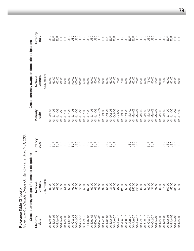|                        | Government of Canada Swaps Outstanding as at March 31, | 2004             |                        |                                              |                  |
|------------------------|--------------------------------------------------------|------------------|------------------------|----------------------------------------------|------------------|
|                        | Cross-currency swaps of domest                         | c obligations    |                        | Cross-currency swaps of domestic obligations |                  |
| Maturity<br>date       | Notional<br>amount                                     | Currency<br>paid | Maturity<br>date       | Notiona<br>amount                            | Currency<br>paid |
|                        | (US\$ millions)                                        |                  |                        | (US\$ millions)                              |                  |
| 01-Mar-06              | 92.00                                                  | EUR<br>E         | 01-Mar-08              | 50.00                                        | $\frac{5}{5}$    |
| 01-Mar-06              | 62.00                                                  | EUR              | 01-Jun-08              | 62.00                                        | EUR              |
| $01 - Max - OS$        | 62.00                                                  | EUR              | $01 - Jun - 08$        | 62.00                                        | EUR<br>E         |
| 01-Mar-06              | 50.00                                                  | go               | $01 - Jun - 08$        | 62.00                                        | EUR              |
| 01-Mar-06              | 54.00                                                  | go               | $01 - Jun - 08$        | 62.00                                        | EUR              |
| $01 - \text{Sep}-06$   | 62.00                                                  | E                | 01-Jun-08              | 250.00                                       | go               |
| $01 - Oct - 06$        | 62.00                                                  | EUR              | 01-Jun-08              | 100.00                                       | asp              |
| 01-Oct-06              | 50.00                                                  | asp              | $01 - Jun - 08$        | 100.00                                       | asp              |
| 01-Oct-06              | 50.00                                                  | go               | 01-Jun-08              | 100.00                                       | asp              |
| 30-Oct-06              | 250.00                                                 | <b>USD</b>       | $01 - Jun - 08$        | 50.00                                        | GSD              |
| 11-Nov-06              | 150.00                                                 | asp              | 01-Jun-08              | 100.00                                       | asp              |
| $01 - Dec -06$         | 62.00                                                  | EUR              | 01-Jun-08              | 50.00                                        | asp              |
| 01-Dec-06              | 62.00                                                  | $rac{1}{2}$      | 01-Jun-08              | 50.00                                        | <b>GSD</b>       |
| $01 - Dec -OE$         | 92.00                                                  |                  | 30-Sep-08              | 50.00                                        | <b>GSD</b>       |
| $01 - Dec -OE$         | 92.00                                                  | EUR              | 01-Oct-08              | 92.00                                        | EUR              |
| $01 - Dec -OE$         | 55.00                                                  | JSD              | 01-Oct-08              | 92.00                                        | EUR              |
| $01 - Max - 07$        | 31.00                                                  |                  | 01-Oct-08              | 62.00                                        | EUR              |
| $O1 - Jun - O7$        | 62.00                                                  | 555              | 01-Oct-08              | 62.00                                        | EUR              |
| $01 - Jun - 07$        | 62.00                                                  |                  | 01-Oct-08              | 70.00                                        | asp              |
| $01 - Jun - 07$        | 123.00                                                 | EUR              | 01-Oct-08              | 70.00                                        | asp              |
| $01 - Jun - 07$        | 62.00                                                  | EUR              | 01-Oct-08              | 50.00                                        | asp              |
| $01 - Jun-07$          | 250.00                                                 | JSD              | $01 - \text{Mar} - 09$ | 92.00                                        | EUR              |
| $01 - Jun - 07$        | 250.00                                                 | go               | 01-Mar-09              | 62.00                                        | EUR              |
| $01 - Jun-07$          | 250.00                                                 | JSD              | $01 - Max - 09$        | 70.00                                        | GSD              |
| $01 - Oct - 07$        | 62.00                                                  | EUR              | $01 - \text{Mar} - 09$ | 65.00                                        | go               |
| $01 - Oct - 07$        | 62.00                                                  | EUR              | $01 - \text{Mar} - 09$ | 50.00                                        | go               |
| $01 - Oct - 07$        | 62.00                                                  | EUR              | $01 - \text{Mar} - 09$ | 75.00                                        | asp              |
| $01 - Oct - 07$        | 31.00                                                  | EUR              | 01-Mar-09              | 50.00                                        | go               |
| $01 - Max - OB$        | 92.00                                                  | E                | $01 - \text{Mar} - 09$ | 50.00                                        | go               |
| 01-Mar-08              | 62.00                                                  | $rac{1}{2}$      | $01 - \text{Mar} - 09$ | 100.00                                       | GSD              |
| 01-Mar-08              | 75.00                                                  | <b>GSD</b>       | $01 - \text{Mar} - 09$ | 75.00                                        | go               |
| 01-Mar-08              | 100.00                                                 | go               | 01-Jun-09              | 62.00                                        | EUR              |
| $01 - Max - OB$        | 50.00                                                  | <b>GSD</b>       | $01 - Jun - 09$        | 92.00                                        | EUR              |
| $01 - \text{Mar} - 08$ | 200.00                                                 | GSU              | $01 - Jun-09$          | 62.00                                        | EUR              |
| $01 - Max - OB$        | 50.00                                                  | go               | 01-Jun-09              | 92.00                                        | EUR              |

Reference Table XI (cont'd) Reference Table XI *(cont'd)*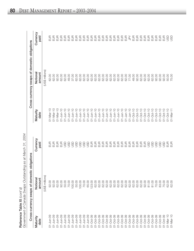|                        | Cross-currency swaps of domest | ic obligations                                                                                                                                                                                                                                                                                                                                                                                                                                |                        | Cross-currency swaps of domestic obligations |                  |
|------------------------|--------------------------------|-----------------------------------------------------------------------------------------------------------------------------------------------------------------------------------------------------------------------------------------------------------------------------------------------------------------------------------------------------------------------------------------------------------------------------------------------|------------------------|----------------------------------------------|------------------|
| Maturity<br>date       | Notional<br>amount             | Currency<br>paid                                                                                                                                                                                                                                                                                                                                                                                                                              | Maturity<br>date       | Notional<br>amount                           | Currency<br>paid |
|                        | (US\$ millions)                |                                                                                                                                                                                                                                                                                                                                                                                                                                               |                        | (US\$ millions)                              |                  |
| 01-Jun-09              | 92.00                          |                                                                                                                                                                                                                                                                                                                                                                                                                                               | $01 - \text{Mar} - 10$ | 62.00                                        | EUR<br>E         |
| 01-Jun-09              | 92.00                          | EUR<br>EUR                                                                                                                                                                                                                                                                                                                                                                                                                                    | $01 - \text{Mar} - 10$ | 62.00                                        | $rac{1}{2}$      |
| 01-Jun-09              | 62.00                          | EUR                                                                                                                                                                                                                                                                                                                                                                                                                                           | $01 - \text{Mar} - 10$ | 92.00                                        | E                |
| 01-Jun-09              | 92.00                          | EUR                                                                                                                                                                                                                                                                                                                                                                                                                                           | $01 - Jun - 10$        | 62.00                                        | $rac{1}{2}$      |
| 01-Jun-09              | 50.00                          | <b>GSD</b>                                                                                                                                                                                                                                                                                                                                                                                                                                    | $01 - Jun - 10$        | 62.00                                        | EUR              |
| 01-Jun-09              | 70.00                          | <b>USD</b>                                                                                                                                                                                                                                                                                                                                                                                                                                    | $01 - Jun - 10$        | 49.00                                        | EUR              |
| 01-Jun-09              | 100.00                         | <b>GSD</b>                                                                                                                                                                                                                                                                                                                                                                                                                                    | $01 - Jun - 10$        | 37.00                                        | EUR              |
| $01 - Jun - 09$        | 50.00                          | <b>GSD</b>                                                                                                                                                                                                                                                                                                                                                                                                                                    | $01 - Jun - 10$        | 62.00                                        | EUR              |
| $01 - Jun - 09$        | 100.00                         | asp                                                                                                                                                                                                                                                                                                                                                                                                                                           | $01 - Jun - 10$        | 62.00                                        | EUR              |
| $01 - Jun - 09$        | 70.00                          | asp                                                                                                                                                                                                                                                                                                                                                                                                                                           | $01 - Jun - 10$        | 62.00                                        | EUR              |
| 01-Jun-09              | 65.00                          | asp                                                                                                                                                                                                                                                                                                                                                                                                                                           | $01 - Jun - 10$        | 62.00                                        | EUR              |
| 01-Oct-09              | 123.00                         |                                                                                                                                                                                                                                                                                                                                                                                                                                               | $01 - Jun - 10$        | 62.00                                        | B<br>B<br>B      |
| 01-Oct-09              | 62.00                          |                                                                                                                                                                                                                                                                                                                                                                                                                                               | $01 - Jun - 10$        | 62.00                                        |                  |
| 01-Oct-09              | 62.00                          |                                                                                                                                                                                                                                                                                                                                                                                                                                               | $01 - Jun - 10$        | 62.00                                        | EUR              |
| 01-Oct-09              | 62.00                          | 555555                                                                                                                                                                                                                                                                                                                                                                                                                                        | $01 - Jun - 10$        | 62.00                                        | EUR              |
| 01-Oct-09              | 62.00                          |                                                                                                                                                                                                                                                                                                                                                                                                                                               | $01 - Jun - 10$        | 62.00                                        | EUR              |
| 01-Oct-09              | 62.00                          |                                                                                                                                                                                                                                                                                                                                                                                                                                               | $01 - Jun - 10$        | 62.00                                        | EUR              |
| 01-Oct-09              | 92.00                          |                                                                                                                                                                                                                                                                                                                                                                                                                                               | $01 - Jun - 10$        | 62.00                                        | EUR              |
| 01-Oct-09              | 62.00                          | $\begin{array}{c} \Xi \Xi \\ \Xi \Xi \end{array}$                                                                                                                                                                                                                                                                                                                                                                                             | $01 - Jun - 10$        | 62.00                                        | EUR              |
| 01-Oct-09              | 62.00                          | $\begin{array}{c} 2 \overline{1} \\ 2 \overline{1} \\ 3 \overline{1} \\ 4 \overline{1} \\ 5 \overline{1} \\ 5 \overline{1} \\ 6 \overline{1} \\ 7 \overline{1} \\ 8 \overline{1} \\ 9 \overline{1} \\ 16 \overline{1} \\ 17 \overline{1} \\ 18 \overline{1} \\ 19 \overline{1} \\ 19 \overline{1} \\ 19 \overline{1} \\ 19 \overline{1} \\ 19 \overline{1} \\ 19 \overline{1} \\ 19 \overline{1} \\ 19 \overline{1} \\ 19 \overline{1} \\ 19$ | $01 - Jun - 10$        | 62.00                                        | EUR              |
| 01-Oct-09              | 62.00                          |                                                                                                                                                                                                                                                                                                                                                                                                                                               | $01 - Jun - 10$        | 62.00                                        | E                |
| 01-Oct-09              | 62.00                          |                                                                                                                                                                                                                                                                                                                                                                                                                                               | $01 - Jun - 10$        | 77.00                                        | $\cong$          |
| 01-Oct-09              | 62.00                          |                                                                                                                                                                                                                                                                                                                                                                                                                                               | $01 - Oct - 10$        | 49.00                                        | EUR              |
| 01-Oct-09              | 62.00                          | EUR                                                                                                                                                                                                                                                                                                                                                                                                                                           | $01 - Oct - 10$        | 92.00                                        | EUR              |
| 01-Oct-09              | 62.00                          | EUR                                                                                                                                                                                                                                                                                                                                                                                                                                           | $01 - Oct - 10$        | 62.00                                        | EUR              |
| 01-Oct-09              | 92.00                          | EUR                                                                                                                                                                                                                                                                                                                                                                                                                                           | $01 - Oct - 10$        | 62.00                                        | EUR              |
| 01-Oct-09              | 81.00                          | <b>GSD</b>                                                                                                                                                                                                                                                                                                                                                                                                                                    | $01 - Oct - 10$        | 62.00                                        | EUR              |
| 01-Oct-09              | 81.00                          | JSD                                                                                                                                                                                                                                                                                                                                                                                                                                           | $01 - Oct - 10$        | 62.00                                        | EUR              |
| 01-Oct-09              | 70.00                          | <b>GSD</b>                                                                                                                                                                                                                                                                                                                                                                                                                                    | $01 - Oct - 10$        | 92.00                                        | EUR              |
| 01-Oct-09              | 83.00                          | JSD                                                                                                                                                                                                                                                                                                                                                                                                                                           | $01 - Oct - 10$        | 92.00                                        | $E$ UR           |
| $01 - Oct - 09$        | 75.00                          | go                                                                                                                                                                                                                                                                                                                                                                                                                                            | $01 - Oct - 10$        | 92.00                                        | $E$ UR           |
| $01 - \text{Mar} - 10$ | 62.00                          | EUR                                                                                                                                                                                                                                                                                                                                                                                                                                           | $01 - Oct - 10$        | 50.00                                        | GSU              |
| $01 - \text{Mar} - 10$ | 62.00                          | $rac{1}{2}$                                                                                                                                                                                                                                                                                                                                                                                                                                   | $01 - \text{Mar} - 11$ | 75.00                                        | GSD              |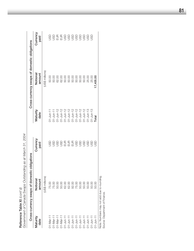| Reference Table XI (cont'd) | Government of Canada Swaps Outstanding as at March 31, 2004 |                                                                                                                                                                                                                                                                                                               |                  |                                              |                  |
|-----------------------------|-------------------------------------------------------------|---------------------------------------------------------------------------------------------------------------------------------------------------------------------------------------------------------------------------------------------------------------------------------------------------------------|------------------|----------------------------------------------|------------------|
|                             | Cross-currency swaps of domest                              | ic obligations                                                                                                                                                                                                                                                                                                |                  | Cross-currency swaps of domestic obligations |                  |
| Maturity<br>date            | Notional<br>amount                                          | Currency<br>paid                                                                                                                                                                                                                                                                                              | Maturity<br>date | Notional<br>amount                           | Currency<br>paid |
|                             | (US\$ millions)                                             |                                                                                                                                                                                                                                                                                                               |                  | US\$ millions)                               |                  |
| $01 - \text{Mar} - 11$      | 75.00                                                       | 95<br>20                                                                                                                                                                                                                                                                                                      | $D1$ -Jun-11     |                                              | g                |
| $01 - \text{Mar} - 11$      | 75.00                                                       |                                                                                                                                                                                                                                                                                                               | $11$ -Jun-11     |                                              | $95599999999$    |
| $01 - \text{Mar} - 11$      | 50.00                                                       |                                                                                                                                                                                                                                                                                                               | $31 - Jun - 12$  |                                              |                  |
| $01 - Max - 11$             | 50.00                                                       |                                                                                                                                                                                                                                                                                                               | $31 - Jun - 12$  |                                              |                  |
| $01 - Jun - 11$             | 62.00                                                       |                                                                                                                                                                                                                                                                                                               | $31 - Jun - 12$  |                                              |                  |
| $01 - Jun-11$               | 62.00                                                       |                                                                                                                                                                                                                                                                                                               | $21 - Jun - 12$  |                                              |                  |
| $01 - Jun-11$               | 92.00                                                       |                                                                                                                                                                                                                                                                                                               | $31 - Jun - 12$  |                                              |                  |
| $01 - Jun - 11$             | 75.00                                                       | $\begin{array}{c} 9995 \\ 2011 \\ 3021 \\ 4031 \\ 5041 \\ 6051 \\ 6061 \\ 6071 \\ 6081 \\ 6091 \\ 6091 \\ 6091 \\ 6091 \\ 6091 \\ 6091 \\ 6091 \\ 6091 \\ 6091 \\ 6091 \\ 6091 \\ 6091 \\ 6091 \\ 6091 \\ 6091 \\ 6091 \\ 6091 \\ 6091 \\ 6091 \\ 6091 \\ 6091 \\ 6091 \\ 6091 \\ 6091 \\ 6091 \\ 6091 \\ 60$ | $21 - Jun - 12$  |                                              |                  |
| $01 - Jun-11$               | 50.00                                                       |                                                                                                                                                                                                                                                                                                               | $31 - Jun - 12$  |                                              |                  |
| $01 - Jun-11$               | 50.00                                                       |                                                                                                                                                                                                                                                                                                               | $31 - Jun - 12$  | 50.00                                        |                  |
| $01 - Jun-11$               | 50.00                                                       |                                                                                                                                                                                                                                                                                                               | $21 - Jun - 13$  | 25.00                                        |                  |
| $01 - Jun-11$               | 50.00                                                       | ğ                                                                                                                                                                                                                                                                                                             | $1 - Jun - 13$   | 25.00                                        |                  |
| $01 - Jun - 11$             | 50.00                                                       | $\frac{50}{5}$                                                                                                                                                                                                                                                                                                | <b>Total</b>     | 17,405.00                                    |                  |
|                             | Note: Numbers may not add due to rounding.                  |                                                                                                                                                                                                                                                                                                               |                  |                                              |                  |

Source: Department of Finance. Source: Department of Finance.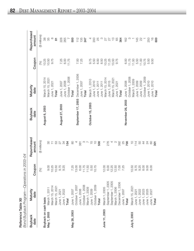**Reference Table XII**<br>Bond Buyback Program—Operations in 2003–04

| <b>Buyback</b><br>date | Maturity<br>date                                                                               | Coupon | Repurchased<br>amount         | <b>Buyback</b><br>date | Maturity<br>date | Coupon             | Repurchased<br>amount |
|------------------------|------------------------------------------------------------------------------------------------|--------|-------------------------------|------------------------|------------------|--------------------|-----------------------|
|                        |                                                                                                | (%)    | (\$ millions)                 |                        |                  | $($ math>          | (\$ millions)         |
| Buyback on cash basis  |                                                                                                |        |                               | August 6, 2003         | Vlarch 15, 2014  |                    |                       |
| May 7, 2003            |                                                                                                | 0.00   | 80                            |                        | March 15, 2021   | $10.25$<br>$10.50$ | 38<br>35              |
|                        | March 1, 2011<br>March 15, 2014                                                                | 0.25   | $\overline{\top}$             |                        | June 1, 2021     | 9.75               | $\infty$              |
|                        | March 15, 2021                                                                                 | 0.50   | 53                            |                        | Total            |                    | $\overline{\infty}$   |
|                        | June 1, 2021<br>June 1, 2022<br><b>Total</b>                                                   | 9.75   | 27                            | August 27, 2003        | June 1, 2007     | 7.25               | 228                   |
|                        |                                                                                                | 9.25   | 34                            |                        | June 1, 2008     | 6.00               | 265                   |
|                        |                                                                                                |        | 154                           |                        | October 1, 2008  | 11.75              |                       |
| May 28, 2003           | June 1, 2007<br>October 1, 2007                                                                | 7.25   | $\infty$                      |                        | Total            |                    | 500                   |
|                        |                                                                                                | 13.00  |                               | September 17, 2003     | December 1, 2006 |                    | 112                   |
|                        | June 1, 2008<br>October 1, 2008<br>March 1, 2009<br>June 1, 2009                               | 6.00   | 381                           |                        | June 1, 2007     | 7.25               |                       |
|                        |                                                                                                | 11.75  |                               |                        | Total            |                    | $135$<br>247          |
|                        |                                                                                                | 1.50   |                               |                        |                  |                    |                       |
|                        |                                                                                                | 5.50   | $\frac{5}{1}$                 | October 15, 2003       | March 1, 2010    | 9.75<br>5.50       | $\overline{a}$        |
|                        | October 1, 2009                                                                                | 0.75   | $\overline{C}$                |                        | June 1, 2010     |                    | 200                   |
|                        | Total                                                                                          |        | 500                           |                        | June 1, 2011     | 6.00               | 25                    |
|                        |                                                                                                |        |                               |                        | June 1, 2011     | 8.50               | $\infty$              |
| June 11, 2003          | March 1, 2005                                                                                  | 2.00   | $\overline{a}$                |                        | March 15, 2014   | 10.25              |                       |
|                        | September 1, 2005                                                                              | 6.00   | 276                           |                        | June 1, 2015     | 11.25              |                       |
|                        | September 1, 2005                                                                              | 2.25   | $4\sigma$                     |                        | March 15, 2021   | 10.50              |                       |
|                        | March 1, 2006                                                                                  | 12.50  |                               |                        | June 1, 2021     | 9.75               | 2720                  |
|                        | December 1, 2006                                                                               | 7.25   | 392                           |                        | Total            |                    | 364                   |
|                        | June 1, 2007                                                                                   |        | 25                            |                        |                  |                    |                       |
|                        | Total                                                                                          |        | 700                           | November 26, 2003      | June 1, 2008     | 6.00               | 162                   |
| July 9, 2003           |                                                                                                | 0.50   | $\overline{C}$                |                        | October 1, 2008  | $11.75$<br>$11.50$ |                       |
|                        |                                                                                                |        |                               |                        | March 1, 2009    |                    |                       |
|                        |                                                                                                | 9.75   | $\frac{1}{4}$ & $\frac{4}{4}$ |                        | June 1, 2009     | 5.50               | 145                   |
|                        |                                                                                                | 9.25   |                               |                        | June 1, 2009     | 11.00              | 22                    |
|                        |                                                                                                | 8.00   |                               |                        | October 1, 2009  | 10.75              |                       |
|                        | March 15, 2021<br>June 1, 2021<br>June 1, 2022<br>June 1, 2023<br>June 1, 2025<br>June 1, 2027 | 9.00   | $\overline{c}$                |                        | June 1, 2010     | 5.50               |                       |
|                        |                                                                                                | 8.00   | 8                             |                        | June 1, 2010     | 9.50               | $250$<br>$+6$<br>600  |
|                        | <b>Total</b>                                                                                   |        | $\overline{5}$                |                        | Total            |                    |                       |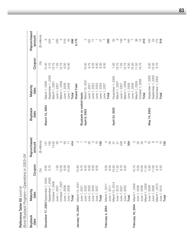|                        | Bond Buyback Program-Operations     | in 2003-04  |                          |                         |                      |               |                       |
|------------------------|-------------------------------------|-------------|--------------------------|-------------------------|----------------------|---------------|-----------------------|
| <b>Buyback</b><br>date | Maturity<br>date                    | Coupon      | Repurchased<br>amount    | <b>Buyback</b><br>date  | Maturity<br>date     | Coupon        | Repurchased<br>amount |
|                        |                                     | (96)        | (\$ millions)            |                         |                      | (%)           | (\$ millions)         |
|                        | December 17, 2003 September 1, 2005 | 6.00        | 147                      | March 10, 2004          | March 1, 2006        | 12.50         |                       |
|                        | September 1, 2006                   | 5.75        | 150                      |                         | September 1, 2006    | 5.75          | $\frac{8}{225}$       |
|                        | October 1, 2006                     |             | 14.00                    |                         | March 1, 2007        | 13.75         | $\overline{a}$        |
|                        | June 1, 2007                        | 7.25        | SO                       |                         | June 1, 2007         | 7.25          | 200                   |
|                        | October 1, 2007                     | 3.00        | S                        |                         | March 1, 2008        | 12.75         | $\overline{a}$        |
|                        | June 1, 2008                        | 6.00        | 50                       |                         | June 1, 2008         | 6.00          | 216                   |
|                        | June 1, 2008                        | 0.00        | $\overline{\top}$        |                         | June 1, 2008         | 10.00         | 43                    |
|                        | <b>Total</b>                        |             | 414                      |                         | Total                |               | 696                   |
| January 14, 2004       | March 15, 2021                      | 0.50        | $\mathbb{C}$             |                         | <b>Grand Total</b>   |               | 5,170                 |
|                        | June 1, 2021                        | 9.75        |                          | Buyback on switch basis |                      |               |                       |
|                        | June 1, 2022                        | 9.25        | $\mathbb{C}$             | April 9, 2003           | March 15, 2021       | 10.50         | $\mathcal{L}$         |
|                        | June 1, 2023                        | 8.00        | 25                       |                         | June 1, 2021         | 9.75          | $\frac{18}{1}$        |
|                        | June 1, 2025                        | 9.00        | $\mathcal{Q}$            |                         | 2022<br>June 1,      | 9.25          | $\overline{r}$        |
|                        | June 1, 2027                        | 8.00        | P <sub>2</sub>           |                         | 2023<br>June 1,      | 8.00          |                       |
|                        | Total                               |             | 105                      |                         | 2025<br>June 1,      | 9.00          | $\overline{\circ}$    |
| February 4, 2004       | March 1, 2011                       | 0.00        | $\mathbb{C}$             |                         | 2027<br>June 1,      | 8.00          | $\overline{a}$        |
|                        | June 1, 2011                        | 6.00        |                          |                         | Total                |               | 293                   |
|                        | March 15, 2014                      | 0.25        | <b>50</b><br>51          | April 24, 2003          | December 1, 2006     |               | 25                    |
|                        | June 1, 2015                        | 1.25        | $\overline{\mathcal{C}}$ |                         | March 1, 2007        | 7.00<br>13.75 | $\infty$              |
|                        | June 1, 2021                        | 9.75        | 239                      |                         | June 1, 2007         | 7.25          | 149                   |
|                        | June 1, 2022                        | 9.25        | $\frac{5}{3}$            |                         | <b>March 1, 2008</b> | 12.75         | $\infty$              |
|                        | <b>Total</b>                        |             |                          |                         | June 1, 2008         | 6.00          | 165                   |
| February 18, 2004      | March 1, 2008                       | 2.75        | $\mathbb{Q}$             |                         | June 1, 2008         | 10.00         |                       |
|                        | June 1, 2008                        | <b>6.00</b> | 25                       |                         | Vlarch 1, 2009       | 11.50         | 86                    |
|                        | June 1, 2008                        | 0.00        | 32                       |                         | October 1, 2009      | 10.75         | $\frac{1}{2}$         |
|                        | March 1, 2009                       | 1.50        | $\infty$                 |                         | Total                |               | 410                   |
|                        | June 1, 2009                        | 5.50        | 75                       | May 14, 2003            | September 1, 2005    | <b>6.00</b>   | 120                   |
|                        | June 1, 2009                        | 1.00        | O                        |                         | September 1, 2005    | 12.25         | 24                    |
|                        | March 1, 2010                       | 9.75        | $\sim$                   |                         | December 1, 2005     | 8.75          | 175                   |
|                        | June 1, 2010                        | 5.50        | $\overline{C}$           |                         | Total                |               | 319                   |
|                        | Total                               |             | 155                      |                         |                      |               |                       |

J  $\ddot{r}$ Reference Table XII (cont'd)<br>Bond Burback Brown Reference Table XII *(cont'd)*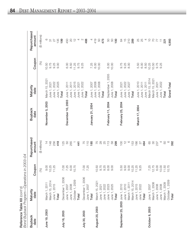**Reference Table XII** (cont'd)<br>Bond Buyback Program—Operations in 2003–04

| <b>Buyback</b><br>date          | Maturity<br>date | Coupon      | Repurchased<br>amount | <b>Buyback</b><br>date | Maturity<br>date  | Coupon      | Repurchased<br>amount     |
|---------------------------------|------------------|-------------|-----------------------|------------------------|-------------------|-------------|---------------------------|
|                                 |                  | (%)         | (\$ millions)         |                        |                   | $\circledS$ | (\$ millions)             |
| June 19, 2003                   | March 1, 2011    | 0.00        | $\frac{1}{4}$         | November 5, 2003       | March 15, 2021    | 10.50       | $\circ$                   |
|                                 | March 15, 2014   | 10.25       | 148                   |                        | 2021<br>June 1,   | 9.75        | $\overline{\mathfrak{S}}$ |
|                                 | June 1, 2015     | 11.25       | 256                   |                        | 2022<br>June 1,   | 9.25        | 27                        |
|                                 | Total            |             | 418                   |                        | 2025<br>June 1,   | 0.00        | 135                       |
| July 16, 2003                   | December 1, 2006 | <b>7.00</b> | 125                   |                        | Total             |             | 199                       |
|                                 | June 1, 2007     | 7.25        | SO                    | December 10, 2003      | 2011<br>June 1,   | 6.00        | 450                       |
|                                 | June 1, 2008     | 6.00        | 265                   |                        | 2011<br>June 1,   | 8.50        | $\rm{S}$                  |
|                                 | October 1, 2009  | 0.75        |                       |                        | 2015<br>June 1,   | 11.25       | $\frac{1}{2}$             |
|                                 | Total            |             | 441                   |                        | 2021<br>June 1,   | 9.75        | 4                         |
| July 30, 2003                   | December 1, 2006 | 7.00        | 75                    |                        | 2022<br>June 1,   | 9.25        | $\sim$                    |
|                                 | June 1, 2007     | 7.25        | 110                   |                        | Total             |             | 488                       |
|                                 | Total            |             | 185                   | January 21, 2004       | 2007<br>June 1,   | 7.25        |                           |
| August 20, 2003                 | March 15, 2021   | 0.50        | 75                    |                        | 2008<br>June 1,   | 6.00        | 419                       |
|                                 | June 1, 2021     | 9.75        | $^{28}$               |                        | 2008<br>June 1,   | 10.00       | SO                        |
|                                 | June 1, 2022     | 9.25        | 25                    |                        | Total             |             | 473                       |
|                                 | June 1, 2023     | 8.00        | 113                   | February 11, 2004      | September 1, 2005 | 6.00        | 50                        |
|                                 | June 1, 2025     | 0.00        | 58                    |                        | June 1, 2008      | 10.00       | SO                        |
|                                 | Total            |             | 299                   |                        | Total             |             | 100                       |
| September 25, 2003 June 1, 2010 |                  | 5.50        | 100                   | February 25, 2004      | 2021<br>June 1,   | 9.75        | $\mathcal{Q}$             |
|                                 | June 1, 2010     | 9.50        | $\frac{1}{2}$         |                        | 2022<br>June 1,   | 9.25        | $\frac{5}{1}$             |
|                                 | March 1, 2011    | 9.00        | $\circ$               |                        | 2027<br>June 1,   | 8.00        | 210                       |
|                                 | March 15, 2014   | 10.25       | 153                   |                        | <b>Total</b>      |             | 289                       |
|                                 | June 1, 2015     | 11.25       | 166                   | March 17, 2004         | June 1, 2010      | 5.50        | 25                        |
|                                 | June 1, 2022     | 9.25        | 27                    |                        | June 1, 2011      | <b>6.00</b> | 25                        |
|                                 | Total            |             | 464                   |                        | June 1, 2011      | 8.50        | 4                         |
| October 8, 2003                 | June 1, 2007     | 7.25        | 65                    |                        | Vlarch 15, 2014   | 10.25       | $\overline{C}$            |
|                                 | March 1, 2008    | 12.75       | $\infty$              |                        | March 15, 2021    | 10.50       | $\overline{C}$            |
|                                 | June 1, 2008     | 6.00        | 237                   |                        | June 1, 2021      | 9.75        |                           |
|                                 | June 1, 2008     | 10.00       |                       |                        | 2022<br>June 1,   | 9.25        | Ξ                         |
|                                 | March 1, 2009    | 11.50       | 50                    |                        | Total             |             | 221                       |
|                                 | October 1, 2009  | 10.75       |                       |                        | Grand Total       |             | 4,993                     |
|                                 | Total            |             | 392                   |                        |                   |             |                           |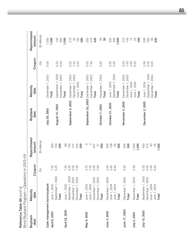|                              | Bona Buyoack Programoranons in 2003–04                           |        |                           |                                     |                           |              |                          |
|------------------------------|------------------------------------------------------------------|--------|---------------------------|-------------------------------------|---------------------------|--------------|--------------------------|
| <b>Buyback</b><br>date       | Maturity<br>date                                                 | Coupon | Repurchased<br>amount     | <b>Buyback</b><br>date              | Maturity<br>date          | Coupon       | Repurchased<br>amount    |
|                              |                                                                  | (%)    | (\$ millions)             |                                     |                           | (%)          | (\$ millions)            |
| Cash management bond buyback |                                                                  |        |                           | July 29, 2003                       | December 1, 2003          | 5.00         | 1,000                    |
| April 8, 2003                | June 1, 2003                                                     | 7.25   | 450                       |                                     | Total                     |              |                          |
|                              | September 1, 2003<br>Total                                       | 5.25   | 100<br>550                | August 12, 2003                     | September 1, 2003         | 5.25         | 100                      |
| April 22, 2003               | June 1, 2003                                                     | 7.25   | 69                        |                                     | December 1, 2003<br>Total | 5.00         | 1,000<br>900             |
|                              | September 1, 2003                                                | 5.25   | 100                       | September 9, 2003                   | December 1, 2003          |              | 210                      |
|                              | December 1, 2003                                                 | 5.00   | 101                       |                                     | December 1, 2003          | 5.00<br>7.50 | 85                       |
|                              | December 1, 2003                                                 | 7.50   | 230                       |                                     | June 1, 2004              | 3.50         | 150                      |
|                              | Total                                                            |        | 500                       |                                     | Total                     |              | 395                      |
| May 6, 2003                  | June 1, 2003<br>June 1, 2003                                     | 5.75   | တ                         | September 23, 2003 December 1, 2003 |                           |              |                          |
|                              |                                                                  | 7.25   | S                         |                                     | December 1, 2003          | 5.00<br>7.50 |                          |
|                              | December 1, 2003                                                 | 5.00   | 457                       |                                     | Total                     |              | 205<br>215<br><b>420</b> |
|                              |                                                                  | 7.50   | $\overline{\mathfrak{S}}$ |                                     |                           |              |                          |
|                              | December 1, 2003<br><b>Total</b>                                 |        | 500                       | October 7, 2003                     | December 1, 2003          | 5.00         | 50<br>50                 |
| June 3, 2003                 | December 1, 2003                                                 | 5.00   | 300                       |                                     | Total                     |              |                          |
|                              |                                                                  | 3.50   | 136                       | October 21, 2003                    | June 1, 2004              | 3.50         | 550                      |
|                              |                                                                  | 6.50   | 64                        |                                     | September 1, 2004         | 5.00         | 450                      |
|                              | June 1, 2004<br>June 1, 2004<br><b>Total</b>                     |        | 500                       |                                     | Total                     |              | 1,000                    |
| June 17, 2003                | December 1, 2003                                                 | 5.00   | 500                       | November 4, 2003                    | December 1, 2003          | 5.00         | 315                      |
|                              | Total                                                            |        | 500                       |                                     | December 1, 2003          | 7.50         | 105                      |
|                              |                                                                  |        |                           |                                     | June 1, 2004              | 3.50         | $\frac{5}{1}$            |
| July 2, 2003                 | December 1, 2003<br>Total                                        | 5.00   | 1,000                     |                                     | June 1, 2004              | 6.50         | $^{24}$                  |
|                              |                                                                  |        | 1,000                     |                                     | Total                     |              | 459                      |
| July 15, 2003                | September 1, 2003                                                | 5.25   | 450                       | December 2, 2003                    | June 1, 2004              | 3.50         | 500                      |
|                              |                                                                  | 5.00   | 475                       |                                     | September 1, 2004         | 5.00         | 350                      |
|                              |                                                                  | 3.50   | 50                        |                                     | December 1, 2004          | 9.00         | $\infty$                 |
|                              | December 1, 2003<br>June 1, 2004<br>June 1, 2004<br><b>Total</b> | 6.50   | 25                        |                                     | Total                     |              | 930                      |
|                              |                                                                  |        | 1,000                     |                                     |                           |              |                          |

 $-$ Onerations in 2003–04 *Bond Buyback Program—Operations in 2003–04* **Reference Table XII** (cont'd)<br>Bond Buyback Program—Or Reference Table XII *(cont'd)*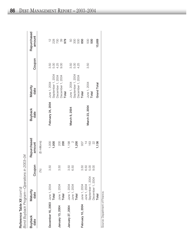| <u>द्व</u> | <b>Buyback</b><br>$\frac{1}{2}$ | Repurchased | $\ddot{\phantom{a}}$                       | Maturity<br>$\frac{1}{2}$                                   | <b>Buyback</b><br>$\frac{1}{2}$ |
|------------|---------------------------------|-------------|--------------------------------------------|-------------------------------------------------------------|---------------------------------|
|            |                                 |             | Bond Buyback Program—Operations in 2003-04 |                                                             |                                 |
|            |                                 |             |                                            | Reference Table XII $\langle \text{cont}' \text{d} \rangle$ |                                 |

| <b>Buyback</b><br>date         | Maturity<br>date                                      | noal<br>Cou          | Repurchased<br>amount              | <b>Buyback</b><br>date | Maturity<br>date                                      | Coupon               | Repurchased<br>amount              |
|--------------------------------|-------------------------------------------------------|----------------------|------------------------------------|------------------------|-------------------------------------------------------|----------------------|------------------------------------|
|                                |                                                       | (%)                  | (\$ millions)                      |                        |                                                       |                      |                                    |
| December 16, 2003 June 1, 2004 | Total                                                 | 3.50                 | 1,000<br>1,000                     | February 24, 2004      | September 1, 2004<br>June 1, 2004                     | 3.50<br>5.00         | $\frac{28}{280}$                   |
| January 13, 2004               | June 1, 2004<br>Total                                 | 3.50                 | 200<br>200                         |                        | December 1, 2004<br>December 1, 2004<br>Total         | 4.25<br>0.00         | 979<br>$\mathcal{S}^{\mathcal{O}}$ |
| January 27, 2004               | June 1, 2004<br>June 1, 2004<br>Total                 | 3.50<br>6.50         | $\infty$<br>1,198<br>1,200         | March 9, 2004          | September 1, 2004<br>December 1, 2004<br>June 1, 2004 | 3.50<br>5.00<br>4.25 | 50<br>300<br>500                   |
| February 10, 2004              | June 1, 2004                                          | 3.50                 | 937                                |                        | Total                                                 |                      | 850                                |
|                                | September 1, 2004<br>December 1, 2004<br>June 1, 2004 | 6.50<br>5.00<br>0.00 | 163<br>$\approx$<br>$\overline{4}$ | March 23, 2004         | June 1, 2004<br>Total                                 | 3.50                 | 500<br>500                         |
|                                | Total                                                 |                      | 1,136                              |                        | Grand Total                                           |                      | 15,669                             |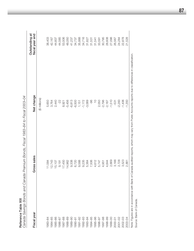| Canada Savings Bonds and Canada | Premium Bonds, Fiscal 1983-84 to Fiscal 2003-04 |                                                                                                                                                        |                                   |
|---------------------------------|-------------------------------------------------|--------------------------------------------------------------------------------------------------------------------------------------------------------|-----------------------------------|
| Fiscal year                     | Gross sales                                     | Net change                                                                                                                                             | Outstanding at<br>fiscal year end |
|                                 |                                                 | (\$ millions)                                                                                                                                          |                                   |
| 983-84                          | 11,584                                          | 5,650                                                                                                                                                  | 38,403                            |
| 1984-85                         | 12,743                                          | 3,764                                                                                                                                                  | 42,167                            |
| 1985-86                         | 15,107                                          | 2,440                                                                                                                                                  | 44,607                            |
| 1986-87                         | 9,191                                           | $-22$                                                                                                                                                  | 44,585                            |
| 1987-88                         | 17,450                                          | 8,921                                                                                                                                                  | 53,506                            |
| 1988-89                         | 14,962                                          | $-5,456$                                                                                                                                               | 48,050                            |
| 1989-90                         | 9,338                                           | $-6,813$                                                                                                                                               | 41,237                            |
| 1990-91                         | 6,720                                           | $-6,500$                                                                                                                                               | 34,737                            |
| 1991-92                         | 9,588                                           | 1,151                                                                                                                                                  | 35,888                            |
| 1992-93                         | 9,235                                           | $-1,172$                                                                                                                                               | 34,716                            |
| 1993-94                         | 5,364                                           | $-3,089$                                                                                                                                               | 31,627                            |
| 1994-95                         | 7,506                                           | -96                                                                                                                                                    | 31,531                            |
| 1995-96                         | 4,612                                           | $\frac{0}{1}$                                                                                                                                          | 31,541                            |
| 1996-97                         | 5,747                                           | 2,050                                                                                                                                                  | 33,591                            |
| 1997-98                         | 4,951                                           | $-2,796$                                                                                                                                               | 30,795                            |
| 1998-99                         | 4,844                                           | $-2,187$                                                                                                                                               | 28,608                            |
| 1999-00                         | 2,669                                           | $-1,510$                                                                                                                                               | 27,098                            |
| 2000-01                         | 3,188                                           | $-531$                                                                                                                                                 | 26,567                            |
| $2001 - 02$                     | 2,728                                           | $-2,283$                                                                                                                                               | 24,284                            |
| 2002-03                         | 3,523                                           | $-1,406$                                                                                                                                               | 22,878                            |
| 2003-04                         | 2,881                                           | $-1,350$                                                                                                                                               | 21,528                            |
|                                 |                                                 | Note: Figures are in accordance with Bank of Canada audited reports, which may vary from Public Accounts reports due to differences in classification. |                                   |

Source: Bank of Canada.

Source: Bank of Canada.

Reference Table XIII Reference Table XIII